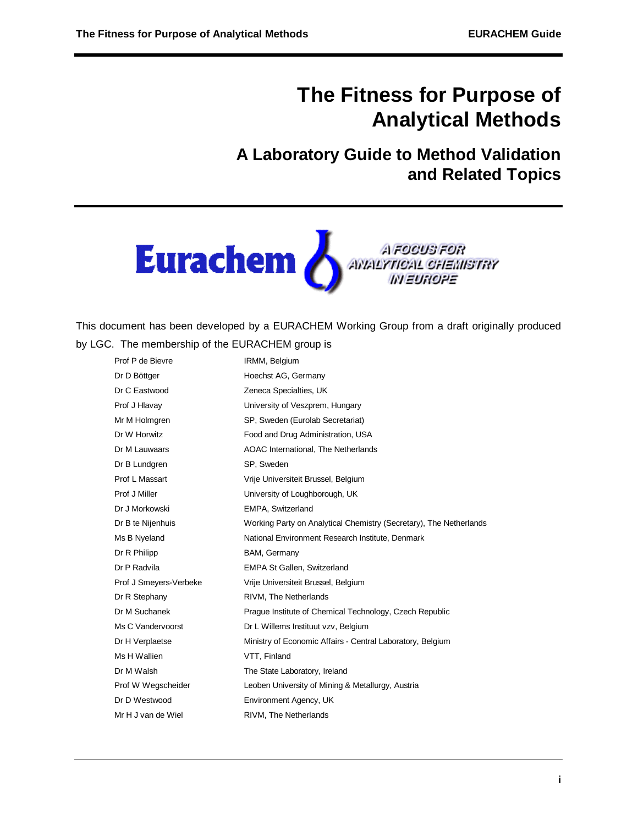# **The Fitness for Purpose of Analytical Methods**

## **A Laboratory Guide to Method Validation and Related Topics**



A FOOUS FOR<br>AWALYTICAL CHEMISTRY<br>IN EUROPE

This document has been developed by a EURACHEM Working Group from a draft originally produced by LGC. The membership of the EURACHEM group is

| Prof P de Bievre       | IRMM, Belgium                                                      |
|------------------------|--------------------------------------------------------------------|
| Dr D Böttger           | Hoechst AG, Germany                                                |
| Dr C Eastwood          | Zeneca Specialties, UK                                             |
| Prof J Hlavay          | University of Veszprem, Hungary                                    |
| Mr M Holmgren          | SP, Sweden (Eurolab Secretariat)                                   |
| Dr W Horwitz           | Food and Drug Administration, USA                                  |
| Dr M Lauwaars          | AOAC International, The Netherlands                                |
| Dr B Lundgren          | SP, Sweden                                                         |
| Prof L Massart         | Vrije Universiteit Brussel, Belgium                                |
| Prof J Miller          | University of Loughborough, UK                                     |
| Dr J Morkowski         | EMPA, Switzerland                                                  |
| Dr B te Nijenhuis      | Working Party on Analytical Chemistry (Secretary), The Netherlands |
| Ms B Nyeland           | National Environment Research Institute, Denmark                   |
| Dr R Philipp           | BAM, Germany                                                       |
| Dr P Radvila           | <b>EMPA St Gallen, Switzerland</b>                                 |
| Prof J Smeyers-Verbeke | Vrije Universiteit Brussel, Belgium                                |
| Dr R Stephany          | RIVM, The Netherlands                                              |
| Dr M Suchanek          | Prague Institute of Chemical Technology, Czech Republic            |
| Ms C Vandervoorst      | Dr L Willems Instituut vzv, Belgium                                |
| Dr H Verplaetse        | Ministry of Economic Affairs - Central Laboratory, Belgium         |
| Ms H Wallien           | VTT, Finland                                                       |
| Dr M Walsh             | The State Laboratory, Ireland                                      |
| Prof W Wegscheider     | Leoben University of Mining & Metallurgy, Austria                  |
| Dr D Westwood          | Environment Agency, UK                                             |
| Mr H J van de Wiel     | RIVM, The Netherlands                                              |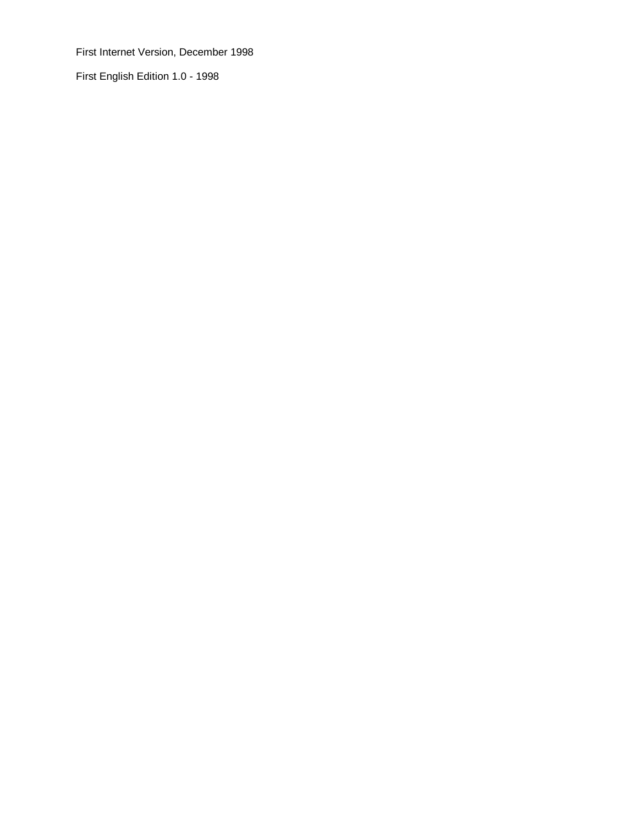First Internet Version, December 1998

First English Edition 1.0 - 1998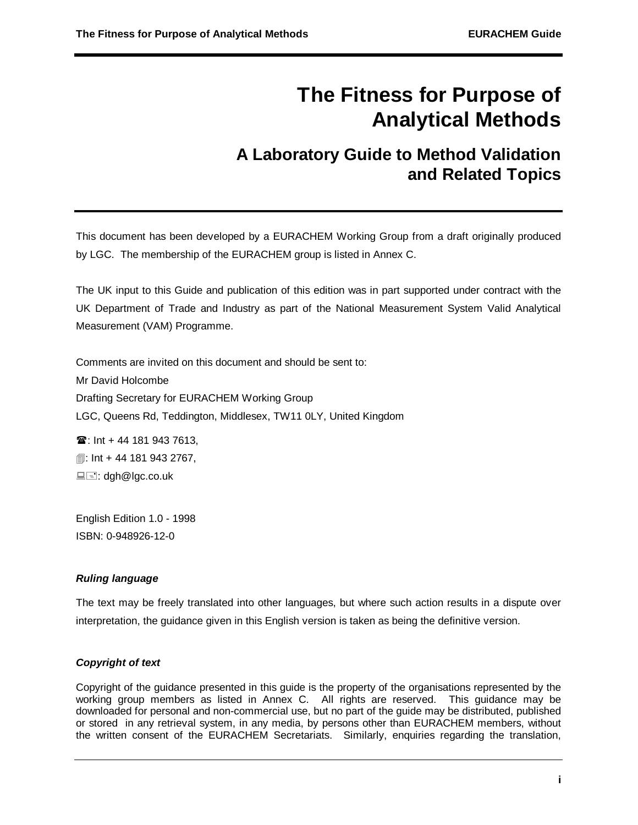# **The Fitness for Purpose of Analytical Methods**

## **A Laboratory Guide to Method Validation and Related Topics**

This document has been developed by a EURACHEM Working Group from a draft originally produced by LGC. The membership of the EURACHEM group is listed in Annex C.

The UK input to this Guide and publication of this edition was in part supported under contract with the UK Department of Trade and Industry as part of the National Measurement System Valid Analytical Measurement (VAM) Programme.

Comments are invited on this document and should be sent to: Mr David Holcombe Drafting Secretary for EURACHEM Working Group LGC, Queens Rd, Teddington, Middlesex, TW11 0LY, United Kingdom  $\hat{a}$ : Int + 44 181 943 7613.

**1**: Int + 44 181 943 2767,  $\blacksquare$  $\blacksquare$ : dgh@lgc.co.uk

English Edition 1.0 - 1998 ISBN: 0-948926-12-0

## *Ruling language*

The text may be freely translated into other languages, but where such action results in a dispute over interpretation, the guidance given in this English version is taken as being the definitive version.

## *Copyright of text*

Copyright of the guidance presented in this guide is the property of the organisations represented by the working group members as listed in Annex C. All rights are reserved. This guidance may be downloaded for personal and non-commercial use, but no part of the guide may be distributed, published or stored in any retrieval system, in any media, by persons other than EURACHEM members, without the written consent of the EURACHEM Secretariats. Similarly, enquiries regarding the translation,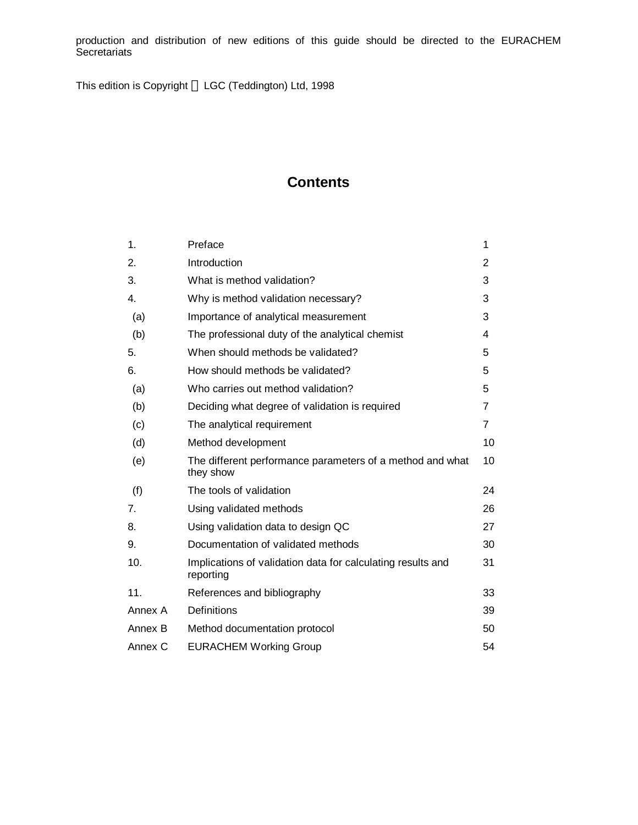production and distribution of new editions of this guide should be directed to the EURACHEM **Secretariats** 

This edition is Copyright © LGC (Teddington) Ltd, 1998

## **Contents**

| 1.             | Preface                                                                  | 1              |
|----------------|--------------------------------------------------------------------------|----------------|
| 2.             | Introduction                                                             | 2              |
| 3.             | What is method validation?                                               | 3              |
| 4.             | Why is method validation necessary?                                      | 3              |
| (a)            | Importance of analytical measurement                                     | 3              |
| (b)            | The professional duty of the analytical chemist                          | 4              |
| 5.             | When should methods be validated?                                        | 5              |
| 6.             | How should methods be validated?                                         | 5              |
| (a)            | Who carries out method validation?                                       | 5              |
| (b)            | Deciding what degree of validation is required                           | 7              |
| (c)            | The analytical requirement                                               | $\overline{7}$ |
| (d)            | Method development                                                       | 10             |
| (e)            | The different performance parameters of a method and what<br>they show   | 10             |
| (f)            | The tools of validation                                                  | 24             |
| 7 <sub>1</sub> | Using validated methods                                                  | 26             |
| 8.             | Using validation data to design QC                                       | 27             |
| 9.             | Documentation of validated methods                                       | 30             |
| 10.            | Implications of validation data for calculating results and<br>reporting | 31             |
| 11.            | References and bibliography                                              | 33             |
| Annex A        | Definitions                                                              | 39             |
| Annex B        | Method documentation protocol                                            | 50             |
| Annex C        | <b>EURACHEM Working Group</b>                                            | 54             |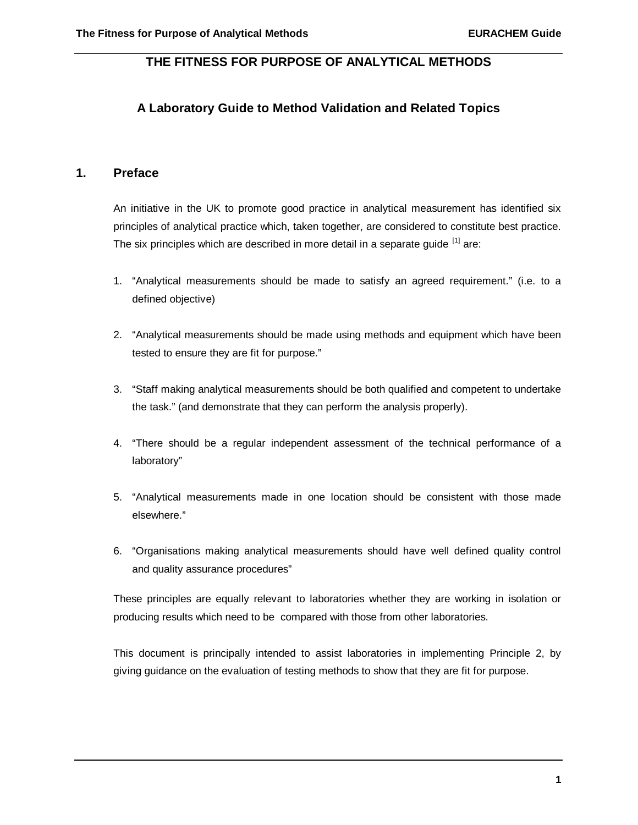## **THE FITNESS FOR PURPOSE OF ANALYTICAL METHODS**

## **A Laboratory Guide to Method Validation and Related Topics**

## **1. Preface**

An initiative in the UK to promote good practice in analytical measurement has identified six principles of analytical practice which, taken together, are considered to constitute best practice. The six principles which are described in more detail in a separate quide [1] are:

- 1. "Analytical measurements should be made to satisfy an agreed requirement." (i.e. to a defined objective)
- 2. "Analytical measurements should be made using methods and equipment which have been tested to ensure they are fit for purpose."
- 3. "Staff making analytical measurements should be both qualified and competent to undertake the task." (and demonstrate that they can perform the analysis properly).
- 4. "There should be a regular independent assessment of the technical performance of a laboratory"
- 5. "Analytical measurements made in one location should be consistent with those made elsewhere."
- 6. "Organisations making analytical measurements should have well defined quality control and quality assurance procedures"

These principles are equally relevant to laboratories whether they are working in isolation or producing results which need to be compared with those from other laboratories.

This document is principally intended to assist laboratories in implementing Principle 2, by giving guidance on the evaluation of testing methods to show that they are fit for purpose.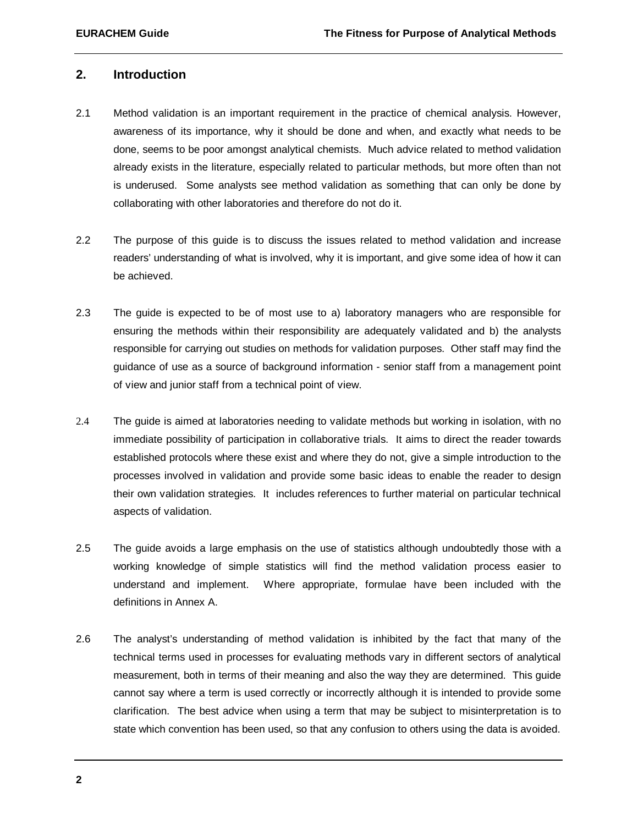#### **2. Introduction**

- 2.1 Method validation is an important requirement in the practice of chemical analysis. However, awareness of its importance, why it should be done and when, and exactly what needs to be done, seems to be poor amongst analytical chemists. Much advice related to method validation already exists in the literature, especially related to particular methods, but more often than not is underused. Some analysts see method validation as something that can only be done by collaborating with other laboratories and therefore do not do it.
- 2.2 The purpose of this guide is to discuss the issues related to method validation and increase readers' understanding of what is involved, why it is important, and give some idea of how it can be achieved.
- 2.3 The guide is expected to be of most use to a) laboratory managers who are responsible for ensuring the methods within their responsibility are adequately validated and b) the analysts responsible for carrying out studies on methods for validation purposes. Other staff may find the guidance of use as a source of background information - senior staff from a management point of view and junior staff from a technical point of view.
- 2.4 The guide is aimed at laboratories needing to validate methods but working in isolation, with no immediate possibility of participation in collaborative trials. It aims to direct the reader towards established protocols where these exist and where they do not, give a simple introduction to the processes involved in validation and provide some basic ideas to enable the reader to design their own validation strategies. It includes references to further material on particular technical aspects of validation.
- 2.5 The guide avoids a large emphasis on the use of statistics although undoubtedly those with a working knowledge of simple statistics will find the method validation process easier to understand and implement. Where appropriate, formulae have been included with the definitions in Annex A.
- 2.6 The analyst's understanding of method validation is inhibited by the fact that many of the technical terms used in processes for evaluating methods vary in different sectors of analytical measurement, both in terms of their meaning and also the way they are determined. This guide cannot say where a term is used correctly or incorrectly although it is intended to provide some clarification. The best advice when using a term that may be subject to misinterpretation is to state which convention has been used, so that any confusion to others using the data is avoided.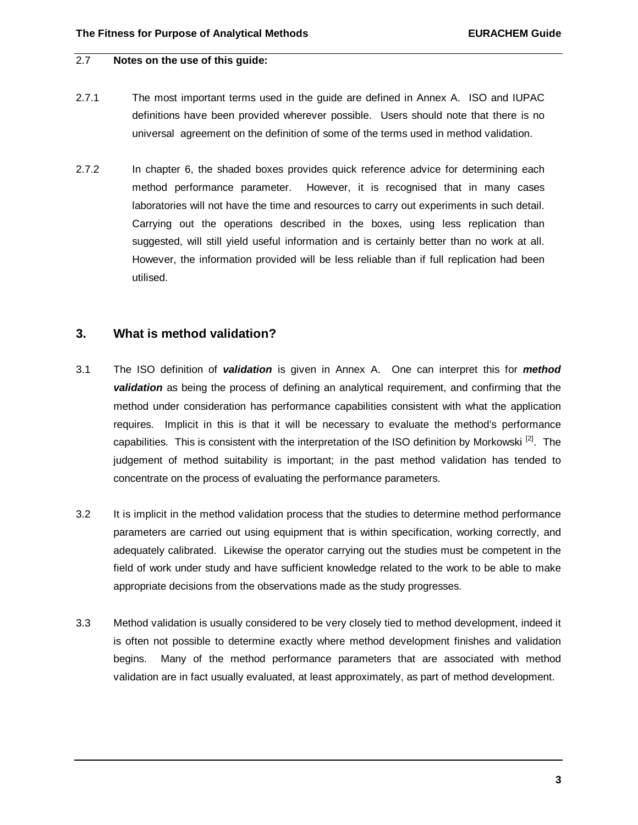## 2.7 **Notes on the use of this guide:**

- 2.7.1 The most important terms used in the guide are defined in Annex A. ISO and IUPAC definitions have been provided wherever possible. Users should note that there is no universal agreement on the definition of some of the terms used in method validation.
- 2.7.2 In chapter 6, the shaded boxes provides quick reference advice for determining each method performance parameter. However, it is recognised that in many cases laboratories will not have the time and resources to carry out experiments in such detail. Carrying out the operations described in the boxes, using less replication than suggested, will still yield useful information and is certainly better than no work at all. However, the information provided will be less reliable than if full replication had been utilised.

## **3. What is method validation?**

- 3.1 The ISO definition of *validation* is given in Annex A. One can interpret this for *method validation* as being the process of defining an analytical requirement, and confirming that the method under consideration has performance capabilities consistent with what the application requires. Implicit in this is that it will be necessary to evaluate the method's performance capabilities. This is consistent with the interpretation of the ISO definition by Morkowski  $\frac{z}{z}$ . The judgement of method suitability is important; in the past method validation has tended to concentrate on the process of evaluating the performance parameters.
- 3.2 It is implicit in the method validation process that the studies to determine method performance parameters are carried out using equipment that is within specification, working correctly, and adequately calibrated. Likewise the operator carrying out the studies must be competent in the field of work under study and have sufficient knowledge related to the work to be able to make appropriate decisions from the observations made as the study progresses.
- 3.3 Method validation is usually considered to be very closely tied to method development, indeed it is often not possible to determine exactly where method development finishes and validation begins. Many of the method performance parameters that are associated with method validation are in fact usually evaluated, at least approximately, as part of method development.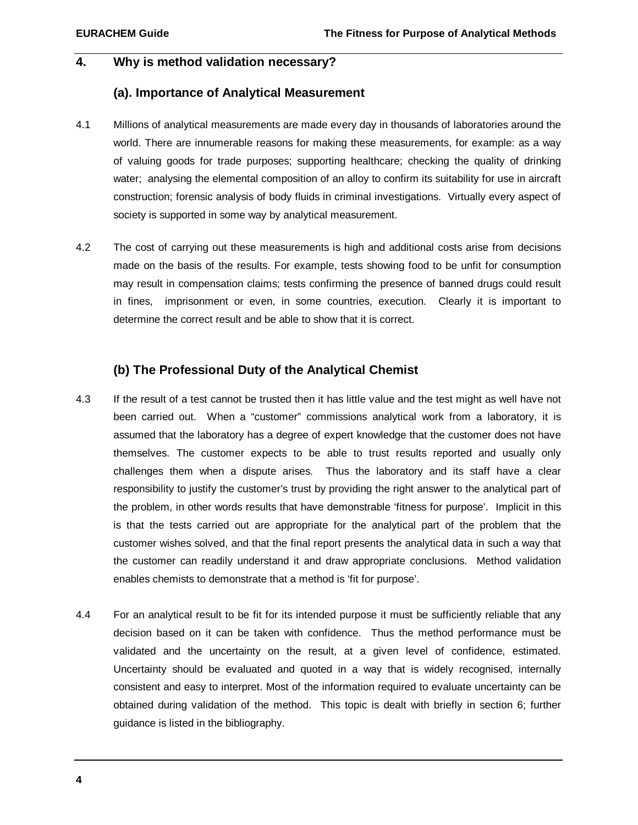### **4. Why is method validation necessary?**

## **(a). Importance of Analytical Measurement**

- 4.1 Millions of analytical measurements are made every day in thousands of laboratories around the world. There are innumerable reasons for making these measurements, for example: as a way of valuing goods for trade purposes; supporting healthcare; checking the quality of drinking water; analysing the elemental composition of an alloy to confirm its suitability for use in aircraft construction; forensic analysis of body fluids in criminal investigations. Virtually every aspect of society is supported in some way by analytical measurement.
- 4.2 The cost of carrying out these measurements is high and additional costs arise from decisions made on the basis of the results. For example, tests showing food to be unfit for consumption may result in compensation claims; tests confirming the presence of banned drugs could result in fines, imprisonment or even, in some countries, execution. Clearly it is important to determine the correct result and be able to show that it is correct.

## **(b) The Professional Duty of the Analytical Chemist**

- 4.3 If the result of a test cannot be trusted then it has little value and the test might as well have not been carried out. When a "customer" commissions analytical work from a laboratory, it is assumed that the laboratory has a degree of expert knowledge that the customer does not have themselves. The customer expects to be able to trust results reported and usually only challenges them when a dispute arises. Thus the laboratory and its staff have a clear responsibility to justify the customer's trust by providing the right answer to the analytical part of the problem, in other words results that have demonstrable 'fitness for purpose'. Implicit in this is that the tests carried out are appropriate for the analytical part of the problem that the customer wishes solved, and that the final report presents the analytical data in such a way that the customer can readily understand it and draw appropriate conclusions. Method validation enables chemists to demonstrate that a method is 'fit for purpose'.
- 4.4 For an analytical result to be fit for its intended purpose it must be sufficiently reliable that any decision based on it can be taken with confidence. Thus the method performance must be validated and the uncertainty on the result, at a given level of confidence, estimated. Uncertainty should be evaluated and quoted in a way that is widely recognised, internally consistent and easy to interpret. Most of the information required to evaluate uncertainty can be obtained during validation of the method. This topic is dealt with briefly in section 6; further guidance is listed in the bibliography.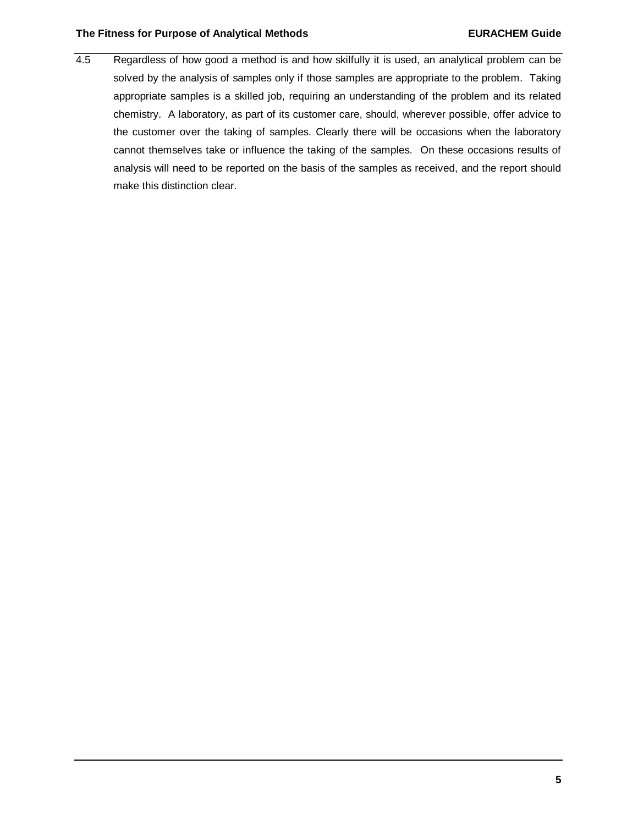#### **The Fitness for Purpose of Analytical Methods EURACHEM Guide**

4.5 Regardless of how good a method is and how skilfully it is used, an analytical problem can be solved by the analysis of samples only if those samples are appropriate to the problem. Taking appropriate samples is a skilled job, requiring an understanding of the problem and its related chemistry. A laboratory, as part of its customer care, should, wherever possible, offer advice to the customer over the taking of samples. Clearly there will be occasions when the laboratory cannot themselves take or influence the taking of the samples. On these occasions results of analysis will need to be reported on the basis of the samples as received, and the report should make this distinction clear.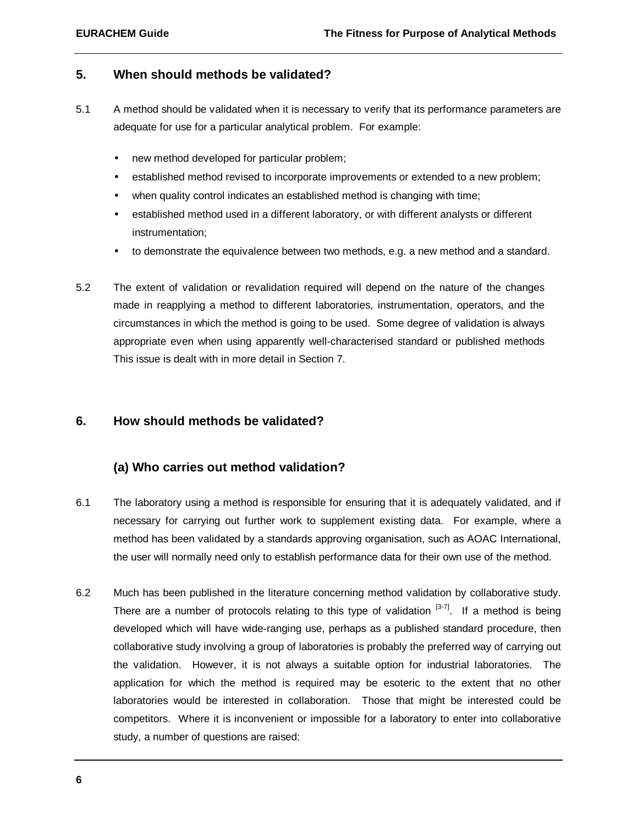## **5. When should methods be validated?**

- 5.1 A method should be validated when it is necessary to verify that its performance parameters are adequate for use for a particular analytical problem. For example:
	- new method developed for particular problem;
	- established method revised to incorporate improvements or extended to a new problem;
	- when quality control indicates an established method is changing with time;
	- established method used in a different laboratory, or with different analysts or different instrumentation;
	- to demonstrate the equivalence between two methods, e.g. a new method and a standard.
- 5.2 The extent of validation or revalidation required will depend on the nature of the changes made in reapplying a method to different laboratories, instrumentation, operators, and the circumstances in which the method is going to be used. Some degree of validation is always appropriate even when using apparently well-characterised standard or published methods This issue is dealt with in more detail in Section 7.

## **6. How should methods be validated?**

## **(a) Who carries out method validation?**

- 6.1 The laboratory using a method is responsible for ensuring that it is adequately validated, and if necessary for carrying out further work to supplement existing data. For example, where a method has been validated by a standards approving organisation, such as AOAC International, the user will normally need only to establish performance data for their own use of the method.
- 6.2 Much has been published in the literature concerning method validation by collaborative study. There are a number of protocols relating to this type of validation  $[3-7]$ . If a method is being developed which will have wide-ranging use, perhaps as a published standard procedure, then collaborative study involving a group of laboratories is probably the preferred way of carrying out the validation. However, it is not always a suitable option for industrial laboratories. The application for which the method is required may be esoteric to the extent that no other laboratories would be interested in collaboration. Those that might be interested could be competitors. Where it is inconvenient or impossible for a laboratory to enter into collaborative study, a number of questions are raised: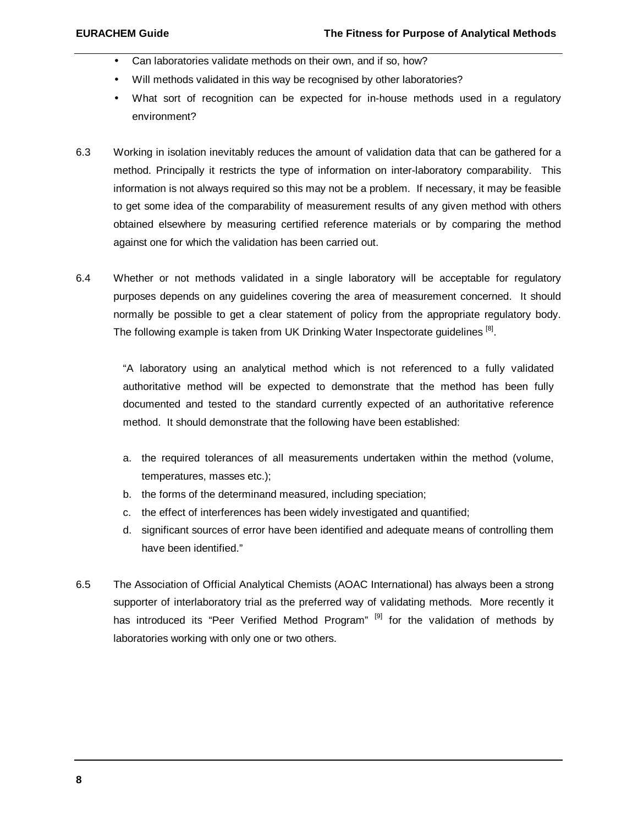- Can laboratories validate methods on their own, and if so, how?
- Will methods validated in this way be recognised by other laboratories?
- What sort of recognition can be expected for in-house methods used in a regulatory environment?
- 6.3 Working in isolation inevitably reduces the amount of validation data that can be gathered for a method. Principally it restricts the type of information on inter-laboratory comparability. This information is not always required so this may not be a problem. If necessary, it may be feasible to get some idea of the comparability of measurement results of any given method with others obtained elsewhere by measuring certified reference materials or by comparing the method against one for which the validation has been carried out.
- 6.4 Whether or not methods validated in a single laboratory will be acceptable for regulatory purposes depends on any guidelines covering the area of measurement concerned. It should normally be possible to get a clear statement of policy from the appropriate regulatory body. The following example is taken from UK Drinking Water Inspectorate guidelines <sup>[8]</sup>.

"A laboratory using an analytical method which is not referenced to a fully validated authoritative method will be expected to demonstrate that the method has been fully documented and tested to the standard currently expected of an authoritative reference method. It should demonstrate that the following have been established:

- a. the required tolerances of all measurements undertaken within the method (volume, temperatures, masses etc.);
- b. the forms of the determinand measured, including speciation;
- c. the effect of interferences has been widely investigated and quantified;
- d. significant sources of error have been identified and adequate means of controlling them have been identified."
- 6.5 The Association of Official Analytical Chemists (AOAC International) has always been a strong supporter of interlaboratory trial as the preferred way of validating methods. More recently it has introduced its "Peer Verified Method Program" [9] for the validation of methods by laboratories working with only one or two others.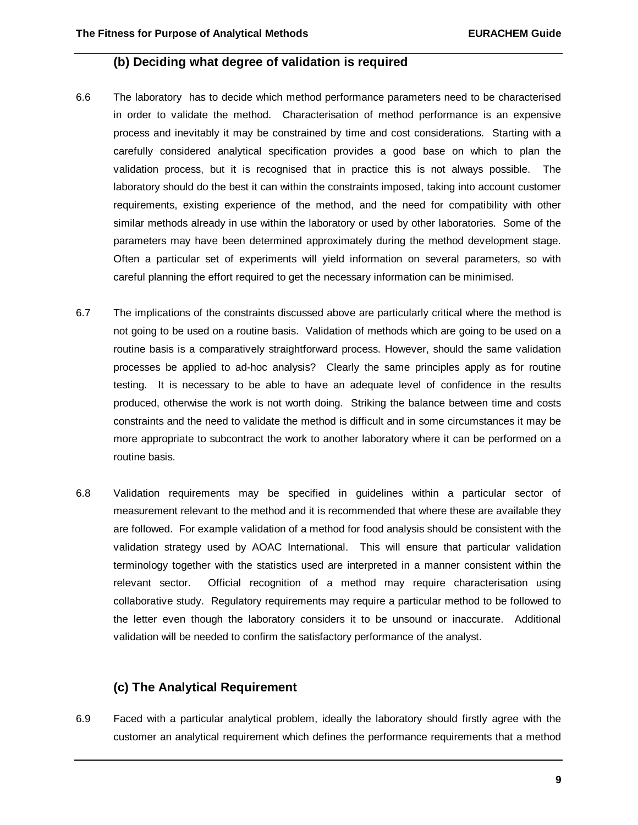### **(b) Deciding what degree of validation is required**

- 6.6 The laboratory has to decide which method performance parameters need to be characterised in order to validate the method. Characterisation of method performance is an expensive process and inevitably it may be constrained by time and cost considerations. Starting with a carefully considered analytical specification provides a good base on which to plan the validation process, but it is recognised that in practice this is not always possible. The laboratory should do the best it can within the constraints imposed, taking into account customer requirements, existing experience of the method, and the need for compatibility with other similar methods already in use within the laboratory or used by other laboratories. Some of the parameters may have been determined approximately during the method development stage. Often a particular set of experiments will yield information on several parameters, so with careful planning the effort required to get the necessary information can be minimised.
- 6.7 The implications of the constraints discussed above are particularly critical where the method is not going to be used on a routine basis. Validation of methods which are going to be used on a routine basis is a comparatively straightforward process. However, should the same validation processes be applied to ad-hoc analysis? Clearly the same principles apply as for routine testing. It is necessary to be able to have an adequate level of confidence in the results produced, otherwise the work is not worth doing. Striking the balance between time and costs constraints and the need to validate the method is difficult and in some circumstances it may be more appropriate to subcontract the work to another laboratory where it can be performed on a routine basis.
- 6.8 Validation requirements may be specified in guidelines within a particular sector of measurement relevant to the method and it is recommended that where these are available they are followed. For example validation of a method for food analysis should be consistent with the validation strategy used by AOAC International. This will ensure that particular validation terminology together with the statistics used are interpreted in a manner consistent within the relevant sector. Official recognition of a method may require characterisation using collaborative study. Regulatory requirements may require a particular method to be followed to the letter even though the laboratory considers it to be unsound or inaccurate. Additional validation will be needed to confirm the satisfactory performance of the analyst.

## **(c) The Analytical Requirement**

6.9 Faced with a particular analytical problem, ideally the laboratory should firstly agree with the customer an analytical requirement which defines the performance requirements that a method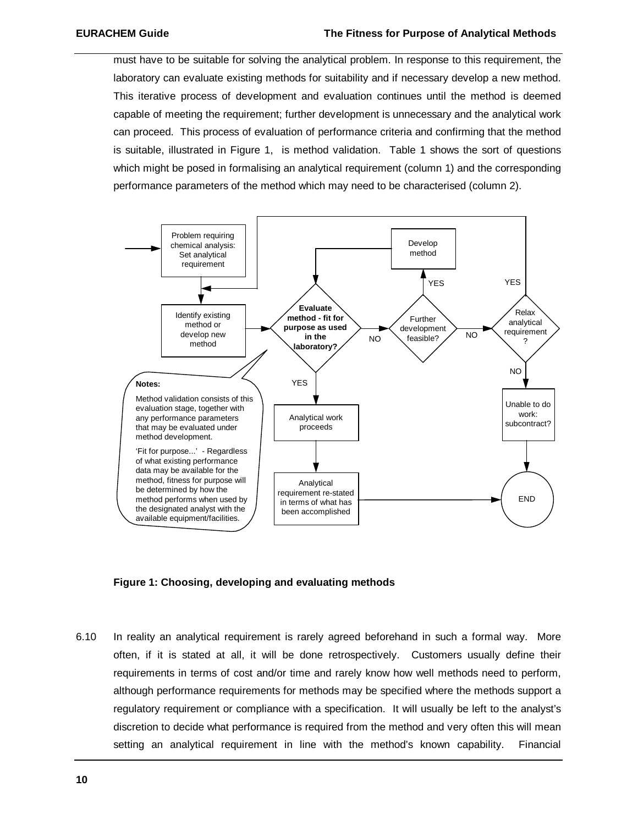must have to be suitable for solving the analytical problem. In response to this requirement, the laboratory can evaluate existing methods for suitability and if necessary develop a new method. This iterative process of development and evaluation continues until the method is deemed capable of meeting the requirement; further development is unnecessary and the analytical work can proceed. This process of evaluation of performance criteria and confirming that the method is suitable, illustrated in Figure 1, is method validation. Table 1 shows the sort of questions which might be posed in formalising an analytical requirement (column 1) and the corresponding performance parameters of the method which may need to be characterised (column 2).



#### **Figure 1: Choosing, developing and evaluating methods**

6.10 In reality an analytical requirement is rarely agreed beforehand in such a formal way. More often, if it is stated at all, it will be done retrospectively. Customers usually define their requirements in terms of cost and/or time and rarely know how well methods need to perform, although performance requirements for methods may be specified where the methods support a regulatory requirement or compliance with a specification. It will usually be left to the analyst's discretion to decide what performance is required from the method and very often this will mean setting an analytical requirement in line with the method's known capability. Financial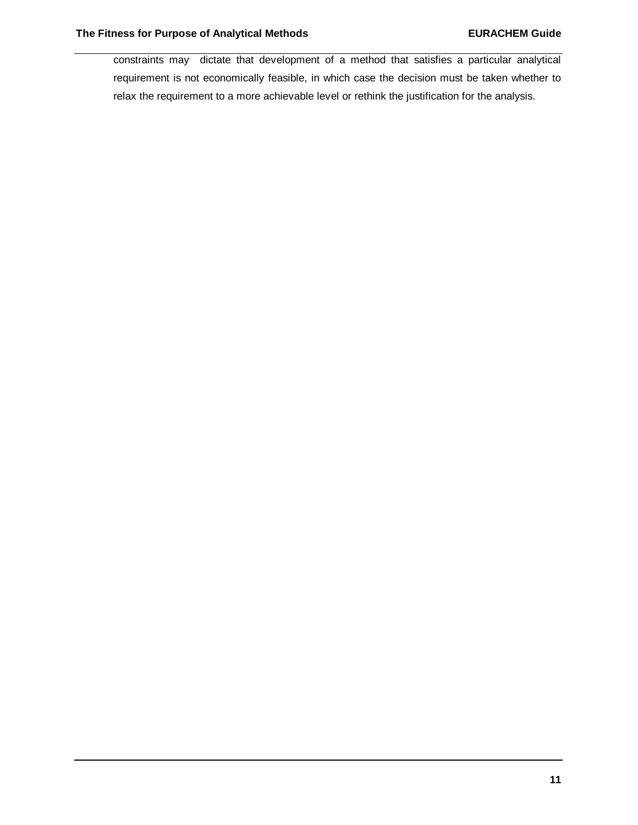constraints may dictate that development of a method that satisfies a particular analytical requirement is not economically feasible, in which case the decision must be taken whether to relax the requirement to a more achievable level or rethink the justification for the analysis.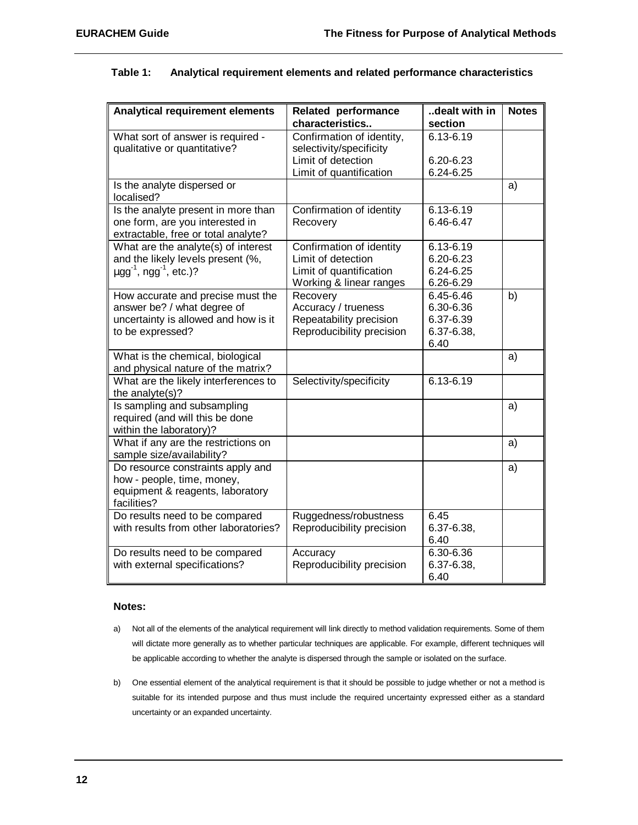| Table 1: |  | Analytical requirement elements and related performance characteristics |  |  |  |
|----------|--|-------------------------------------------------------------------------|--|--|--|
|----------|--|-------------------------------------------------------------------------|--|--|--|

| <b>Analytical requirement elements</b>              | <b>Related performance</b>                    | dealt with in        | <b>Notes</b> |
|-----------------------------------------------------|-----------------------------------------------|----------------------|--------------|
|                                                     | characteristics                               | section<br>6.13-6.19 |              |
| What sort of answer is required -                   | Confirmation of identity,                     |                      |              |
| qualitative or quantitative?                        | selectivity/specificity<br>Limit of detection | 6.20-6.23            |              |
|                                                     | Limit of quantification                       | 6.24-6.25            |              |
| Is the analyte dispersed or                         |                                               |                      | a)           |
| localised?                                          |                                               |                      |              |
| Is the analyte present in more than                 | Confirmation of identity                      | 6.13-6.19            |              |
| one form, are you interested in                     | Recovery                                      | 6.46-6.47            |              |
| extractable, free or total analyte?                 |                                               |                      |              |
| What are the analyte(s) of interest                 | Confirmation of identity                      | 6.13-6.19            |              |
| and the likely levels present (%,                   | Limit of detection                            | 6.20-6.23            |              |
| $\mu$ gg <sup>-1</sup> , ngg <sup>-1</sup> , etc.)? | Limit of quantification                       | 6.24-6.25            |              |
|                                                     | Working & linear ranges                       | 6.26-6.29            |              |
| How accurate and precise must the                   | Recovery                                      | 6.45-6.46            | b)           |
| answer be? / what degree of                         | Accuracy / trueness                           | 6.30-6.36            |              |
| uncertainty is allowed and how is it                | Repeatability precision                       | 6.37-6.39            |              |
| to be expressed?                                    | Reproducibility precision                     | $6.37 - 6.38$        |              |
|                                                     |                                               | 6.40                 |              |
| What is the chemical, biological                    |                                               |                      | a)           |
| and physical nature of the matrix?                  |                                               |                      |              |
| What are the likely interferences to                | Selectivity/specificity                       | 6.13-6.19            |              |
| the analyte(s)?                                     |                                               |                      |              |
| Is sampling and subsampling                         |                                               |                      | a)           |
| required (and will this be done                     |                                               |                      |              |
| within the laboratory)?                             |                                               |                      |              |
| What if any are the restrictions on                 |                                               |                      | a)           |
| sample size/availability?                           |                                               |                      |              |
| Do resource constraints apply and                   |                                               |                      | a)           |
| how - people, time, money,                          |                                               |                      |              |
| equipment & reagents, laboratory                    |                                               |                      |              |
| facilities?                                         |                                               |                      |              |
| Do results need to be compared                      | Ruggedness/robustness                         | 6.45                 |              |
| with results from other laboratories?               | Reproducibility precision                     | 6.37-6.38,           |              |
|                                                     |                                               | 6.40                 |              |
| Do results need to be compared                      | Accuracy                                      | 6.30-6.36            |              |
| with external specifications?                       | Reproducibility precision                     | 6.37-6.38,           |              |
|                                                     |                                               | 6.40                 |              |

#### **Notes:**

- a) Not all of the elements of the analytical requirement will link directly to method validation requirements. Some of them will dictate more generally as to whether particular techniques are applicable. For example, different techniques will be applicable according to whether the analyte is dispersed through the sample or isolated on the surface.
- b) One essential element of the analytical requirement is that it should be possible to judge whether or not a method is suitable for its intended purpose and thus must include the required uncertainty expressed either as a standard uncertainty or an expanded uncertainty.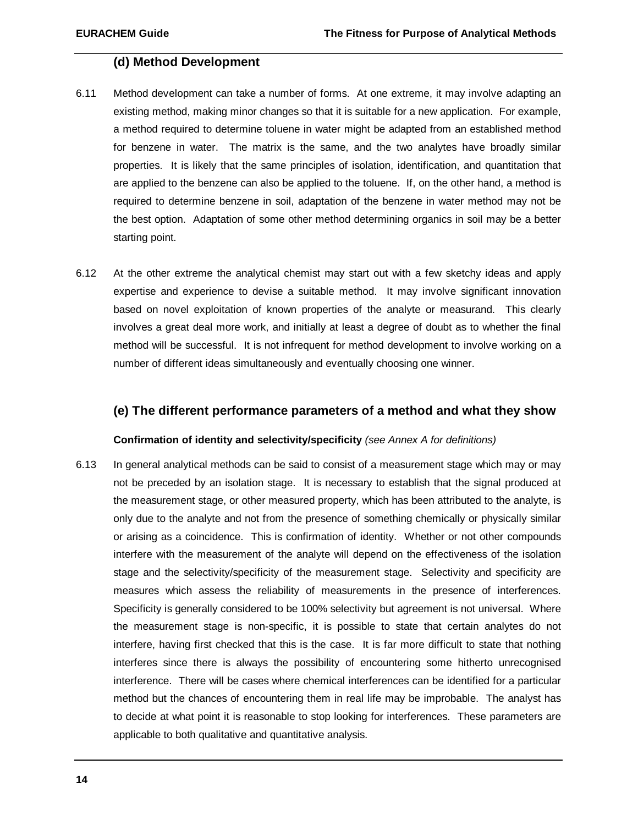#### **(d) Method Development**

- 6.11 Method development can take a number of forms. At one extreme, it may involve adapting an existing method, making minor changes so that it is suitable for a new application. For example, a method required to determine toluene in water might be adapted from an established method for benzene in water. The matrix is the same, and the two analytes have broadly similar properties. It is likely that the same principles of isolation, identification, and quantitation that are applied to the benzene can also be applied to the toluene. If, on the other hand, a method is required to determine benzene in soil, adaptation of the benzene in water method may not be the best option. Adaptation of some other method determining organics in soil may be a better starting point.
- 6.12 At the other extreme the analytical chemist may start out with a few sketchy ideas and apply expertise and experience to devise a suitable method. It may involve significant innovation based on novel exploitation of known properties of the analyte or measurand. This clearly involves a great deal more work, and initially at least a degree of doubt as to whether the final method will be successful. It is not infrequent for method development to involve working on a number of different ideas simultaneously and eventually choosing one winner.

#### **(e) The different performance parameters of a method and what they show**

#### **Confirmation of identity and selectivity/specificity** *(see Annex A for definitions)*

6.13 In general analytical methods can be said to consist of a measurement stage which may or may not be preceded by an isolation stage. It is necessary to establish that the signal produced at the measurement stage, or other measured property, which has been attributed to the analyte, is only due to the analyte and not from the presence of something chemically or physically similar or arising as a coincidence. This is confirmation of identity. Whether or not other compounds interfere with the measurement of the analyte will depend on the effectiveness of the isolation stage and the selectivity/specificity of the measurement stage. Selectivity and specificity are measures which assess the reliability of measurements in the presence of interferences. Specificity is generally considered to be 100% selectivity but agreement is not universal. Where the measurement stage is non-specific, it is possible to state that certain analytes do not interfere, having first checked that this is the case. It is far more difficult to state that nothing interferes since there is always the possibility of encountering some hitherto unrecognised interference. There will be cases where chemical interferences can be identified for a particular method but the chances of encountering them in real life may be improbable. The analyst has to decide at what point it is reasonable to stop looking for interferences. These parameters are applicable to both qualitative and quantitative analysis.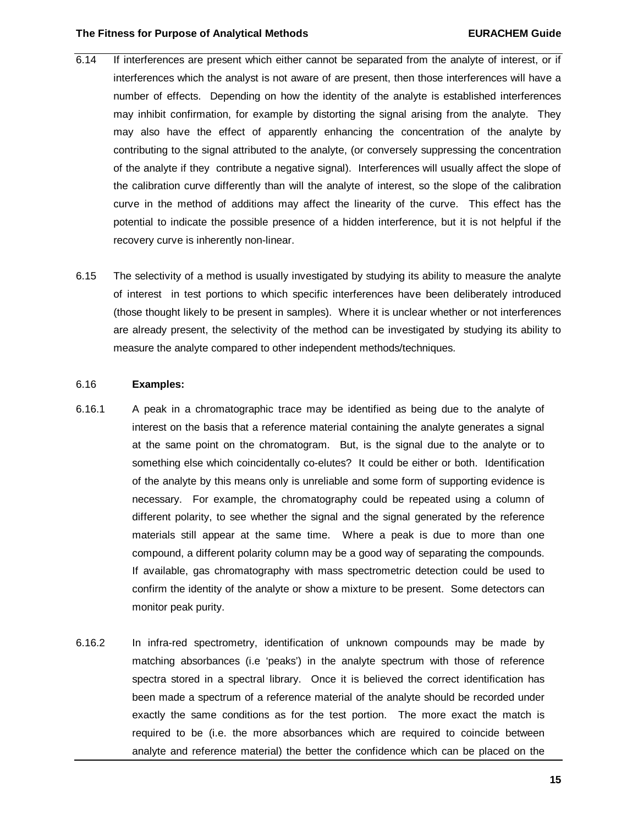#### **The Fitness for Purpose of Analytical Methods EURACHEM Guide**

- 6.14 If interferences are present which either cannot be separated from the analyte of interest, or if interferences which the analyst is not aware of are present, then those interferences will have a number of effects. Depending on how the identity of the analyte is established interferences may inhibit confirmation, for example by distorting the signal arising from the analyte. They may also have the effect of apparently enhancing the concentration of the analyte by contributing to the signal attributed to the analyte, (or conversely suppressing the concentration of the analyte if they contribute a negative signal). Interferences will usually affect the slope of the calibration curve differently than will the analyte of interest, so the slope of the calibration curve in the method of additions may affect the linearity of the curve. This effect has the potential to indicate the possible presence of a hidden interference, but it is not helpful if the recovery curve is inherently non-linear.
- 6.15 The selectivity of a method is usually investigated by studying its ability to measure the analyte of interest in test portions to which specific interferences have been deliberately introduced (those thought likely to be present in samples). Where it is unclear whether or not interferences are already present, the selectivity of the method can be investigated by studying its ability to measure the analyte compared to other independent methods/techniques.

#### 6.16 **Examples:**

- 6.16.1 A peak in a chromatographic trace may be identified as being due to the analyte of interest on the basis that a reference material containing the analyte generates a signal at the same point on the chromatogram. But, is the signal due to the analyte or to something else which coincidentally co-elutes? It could be either or both. Identification of the analyte by this means only is unreliable and some form of supporting evidence is necessary. For example, the chromatography could be repeated using a column of different polarity, to see whether the signal and the signal generated by the reference materials still appear at the same time. Where a peak is due to more than one compound, a different polarity column may be a good way of separating the compounds. If available, gas chromatography with mass spectrometric detection could be used to confirm the identity of the analyte or show a mixture to be present. Some detectors can monitor peak purity.
- 6.16.2 In infra-red spectrometry, identification of unknown compounds may be made by matching absorbances (i.e 'peaks') in the analyte spectrum with those of reference spectra stored in a spectral library. Once it is believed the correct identification has been made a spectrum of a reference material of the analyte should be recorded under exactly the same conditions as for the test portion. The more exact the match is required to be (i.e. the more absorbances which are required to coincide between analyte and reference material) the better the confidence which can be placed on the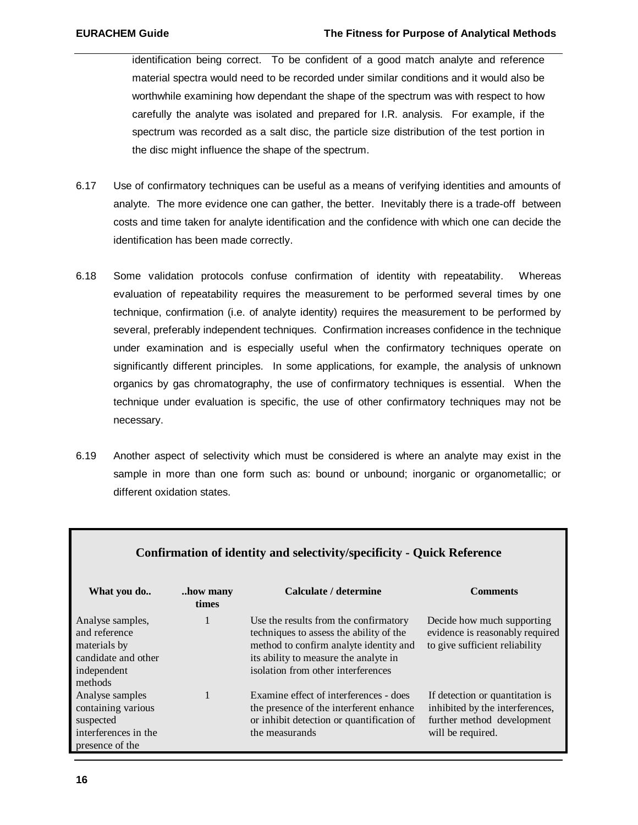identification being correct. To be confident of a good match analyte and reference material spectra would need to be recorded under similar conditions and it would also be worthwhile examining how dependant the shape of the spectrum was with respect to how carefully the analyte was isolated and prepared for I.R. analysis. For example, if the spectrum was recorded as a salt disc, the particle size distribution of the test portion in the disc might influence the shape of the spectrum.

- 6.17 Use of confirmatory techniques can be useful as a means of verifying identities and amounts of analyte. The more evidence one can gather, the better. Inevitably there is a trade-off between costs and time taken for analyte identification and the confidence with which one can decide the identification has been made correctly.
- 6.18 Some validation protocols confuse confirmation of identity with repeatability. Whereas evaluation of repeatability requires the measurement to be performed several times by one technique, confirmation (i.e. of analyte identity) requires the measurement to be performed by several, preferably independent techniques. Confirmation increases confidence in the technique under examination and is especially useful when the confirmatory techniques operate on significantly different principles. In some applications, for example, the analysis of unknown organics by gas chromatography, the use of confirmatory techniques is essential. When the technique under evaluation is specific, the use of other confirmatory techniques may not be necessary.
- 6.19 Another aspect of selectivity which must be considered is where an analyte may exist in the sample in more than one form such as: bound or unbound; inorganic or organometallic; or different oxidation states.

| Confirmation of identity and selectivity/specificity - Quick Reference                             |                   |                                                                                                                                                                                                           |                                                                                                                       |
|----------------------------------------------------------------------------------------------------|-------------------|-----------------------------------------------------------------------------------------------------------------------------------------------------------------------------------------------------------|-----------------------------------------------------------------------------------------------------------------------|
| What you do                                                                                        | how many<br>times | Calculate / determine                                                                                                                                                                                     | <b>Comments</b>                                                                                                       |
| Analyse samples,<br>and reference<br>materials by<br>candidate and other<br>independent<br>methods | 1                 | Use the results from the confirmatory<br>techniques to assess the ability of the<br>method to confirm analyte identity and<br>its ability to measure the analyte in<br>isolation from other interferences | Decide how much supporting<br>evidence is reasonably required<br>to give sufficient reliability                       |
| Analyse samples<br>containing various<br>suspected<br>interferences in the<br>presence of the      |                   | Examine effect of interferences - does<br>the presence of the interferent enhance<br>or inhibit detection or quantification of<br>the measurands                                                          | If detection or quantitation is<br>inhibited by the interferences,<br>further method development<br>will be required. |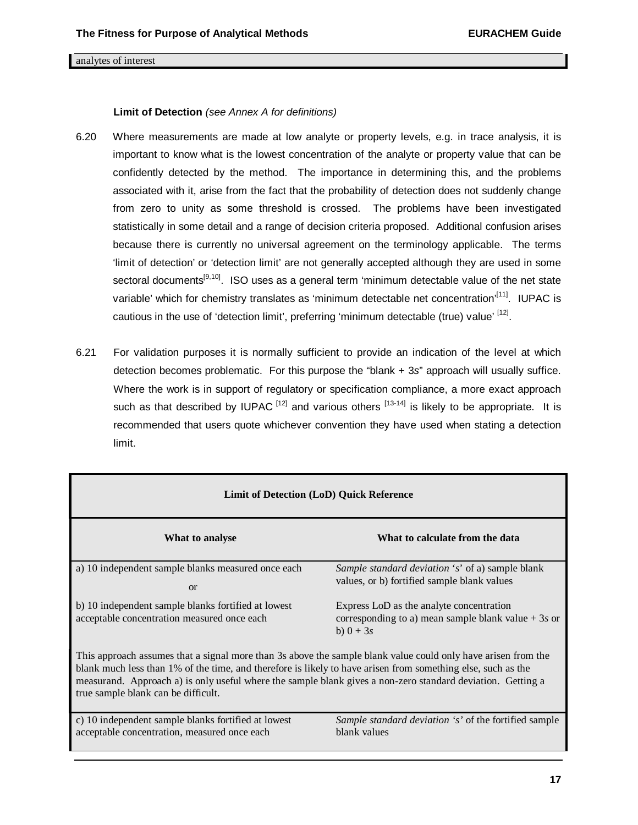#### analytes of interest

#### **Limit of Detection** *(see Annex A for definitions)*

- 6.20 Where measurements are made at low analyte or property levels, e.g. in trace analysis, it is important to know what is the lowest concentration of the analyte or property value that can be confidently detected by the method. The importance in determining this, and the problems associated with it, arise from the fact that the probability of detection does not suddenly change from zero to unity as some threshold is crossed. The problems have been investigated statistically in some detail and a range of decision criteria proposed. Additional confusion arises because there is currently no universal agreement on the terminology applicable. The terms 'limit of detection' or 'detection limit' are not generally accepted although they are used in some sectoral documents<sup>[9,10]</sup>. ISO uses as a general term 'minimum detectable value of the net state variable' which for chemistry translates as 'minimum detectable net concentration'<sup>[11]</sup>. IUPAC is cautious in the use of 'detection limit', preferring 'minimum detectable (true) value' <sup>[12]</sup>.
- 6.21 For validation purposes it is normally sufficient to provide an indication of the level at which detection becomes problematic. For this purpose the "blank + 3*s*" approach will usually suffice. Where the work is in support of regulatory or specification compliance, a more exact approach such as that described by IUPAC  $^{[12]}$  and various others  $^{[13-14]}$  is likely to be appropriate. It is recommended that users quote whichever convention they have used when stating a detection limit.

| <b>Limit of Detection (LoD) Quick Reference</b>                                                                                                                                                                                                                                                                                                                                     |                                                                                                                 |  |  |
|-------------------------------------------------------------------------------------------------------------------------------------------------------------------------------------------------------------------------------------------------------------------------------------------------------------------------------------------------------------------------------------|-----------------------------------------------------------------------------------------------------------------|--|--|
| What to analyse                                                                                                                                                                                                                                                                                                                                                                     | What to calculate from the data                                                                                 |  |  |
| a) 10 independent sample blanks measured once each<br>$\alpha$                                                                                                                                                                                                                                                                                                                      | <i>Sample standard deviation 's'</i> of a) sample blank<br>values, or b) fortified sample blank values          |  |  |
| b) 10 independent sample blanks fortified at lowest<br>acceptable concentration measured once each                                                                                                                                                                                                                                                                                  | Express LoD as the analyte concentration<br>corresponding to a) mean sample blank value $+3s$ or<br>b) $0 + 3s$ |  |  |
| This approach assumes that a signal more than 3s above the sample blank value could only have arisen from the<br>blank much less than 1% of the time, and therefore is likely to have arisen from something else, such as the<br>measurand. Approach a) is only useful where the sample blank gives a non-zero standard deviation. Getting a<br>true sample blank can be difficult. |                                                                                                                 |  |  |
| c) 10 independent sample blanks for tified at lowest<br>acceptable concentration, measured once each                                                                                                                                                                                                                                                                                | <i>Sample standard deviation 's'</i> of the fortified sample<br>blank values                                    |  |  |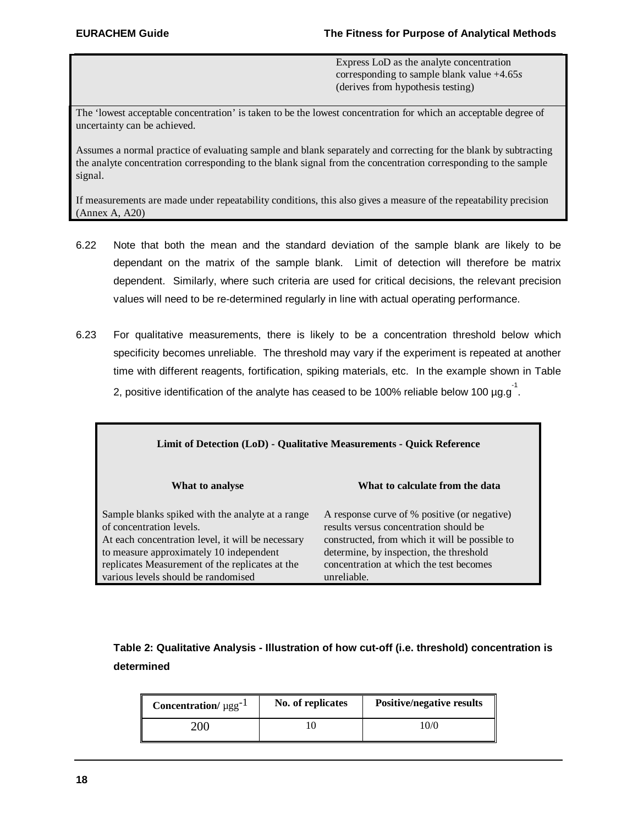Express LoD as the analyte concentration corresponding to sample blank value +4.65*s* (derives from hypothesis testing)

The 'lowest acceptable concentration' is taken to be the lowest concentration for which an acceptable degree of uncertainty can be achieved.

Assumes a normal practice of evaluating sample and blank separately and correcting for the blank by subtracting the analyte concentration corresponding to the blank signal from the concentration corresponding to the sample signal.

If measurements are made under repeatability conditions, this also gives a measure of the repeatability precision (Annex A, A20)

- 6.22 Note that both the mean and the standard deviation of the sample blank are likely to be dependant on the matrix of the sample blank. Limit of detection will therefore be matrix dependent. Similarly, where such criteria are used for critical decisions, the relevant precision values will need to be re-determined regularly in line with actual operating performance.
- 6.23 For qualitative measurements, there is likely to be a concentration threshold below which specificity becomes unreliable. The threshold may vary if the experiment is repeated at another time with different reagents, fortification, spiking materials, etc. In the example shown in Table 2, positive identification of the analyte has ceased to be 100% reliable below 100  $\mu$ g.g<sup>-1</sup>.

| Limit of Detection (LoD) - Qualitative Measurements - Quick Reference                                                                                                                                                                                                  |                                                                                                                                                                                                                                               |  |  |
|------------------------------------------------------------------------------------------------------------------------------------------------------------------------------------------------------------------------------------------------------------------------|-----------------------------------------------------------------------------------------------------------------------------------------------------------------------------------------------------------------------------------------------|--|--|
| What to analyse                                                                                                                                                                                                                                                        | What to calculate from the data                                                                                                                                                                                                               |  |  |
| Sample blanks spiked with the analyte at a range<br>of concentration levels.<br>At each concentration level, it will be necessary<br>to measure approximately 10 independent<br>replicates Measurement of the replicates at the<br>various levels should be randomised | A response curve of % positive (or negative)<br>results versus concentration should be<br>constructed, from which it will be possible to<br>determine, by inspection, the threshold<br>concentration at which the test becomes<br>unreliable. |  |  |

## **Table 2: Qualitative Analysis - Illustration of how cut-off (i.e. threshold) concentration is determined**

| <b>Concentration</b> / $\mu$ gg <sup>-1</sup> | No. of replicates | <b>Positive/negative results</b> |
|-----------------------------------------------|-------------------|----------------------------------|
| 200                                           |                   | 10/0                             |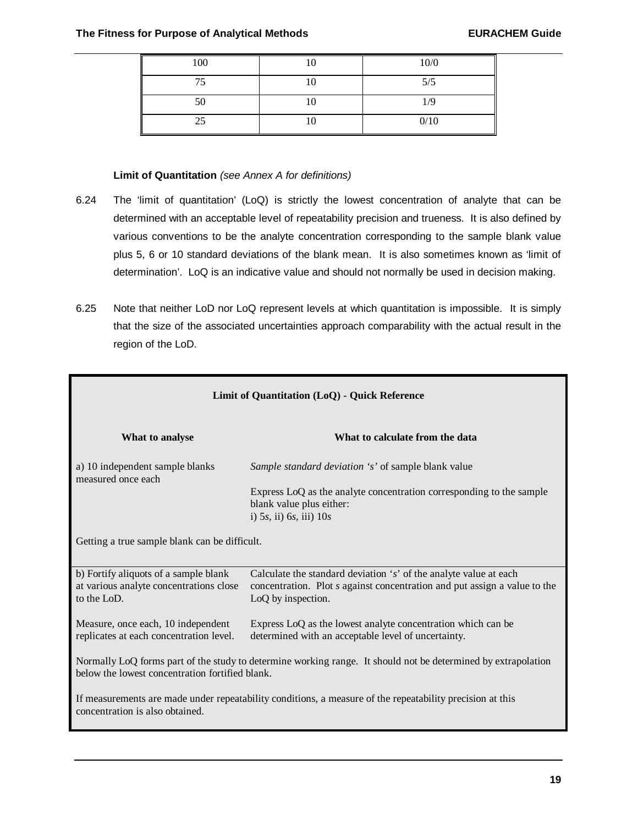Е

| 100 | 10 | 10/0 |
|-----|----|------|
| 75  | 10 | 5/5  |
| 50  | 10 | 1/9  |
| 25  | 10 | 0/10 |

## **Limit of Quantitation** *(see Annex A for definitions)*

- 6.24 The 'limit of quantitation' (LoQ) is strictly the lowest concentration of analyte that can be determined with an acceptable level of repeatability precision and trueness. It is also defined by various conventions to be the analyte concentration corresponding to the sample blank value plus 5, 6 or 10 standard deviations of the blank mean. It is also sometimes known as 'limit of determination'. LoQ is an indicative value and should not normally be used in decision making.
- 6.25 Note that neither LoD nor LoQ represent levels at which quantitation is impossible. It is simply that the size of the associated uncertainties approach comparability with the actual result in the region of the LoD.

| Limit of Quantitation (LoQ) - Quick Reference                                                                                                                    |                                                                                                                                                                      |  |  |  |  |
|------------------------------------------------------------------------------------------------------------------------------------------------------------------|----------------------------------------------------------------------------------------------------------------------------------------------------------------------|--|--|--|--|
| What to analyse                                                                                                                                                  | What to calculate from the data                                                                                                                                      |  |  |  |  |
| a) 10 independent sample blanks<br>measured once each                                                                                                            | Sample standard deviation 's' of sample blank value                                                                                                                  |  |  |  |  |
|                                                                                                                                                                  | Express LoQ as the analyte concentration corresponding to the sample<br>blank value plus either:<br>i) $5s$ , ii) $6s$ , iii) $10s$                                  |  |  |  |  |
| Getting a true sample blank can be difficult.                                                                                                                    |                                                                                                                                                                      |  |  |  |  |
| b) Fortify aliquots of a sample blank<br>at various analyte concentrations close<br>to the LoD.                                                                  | Calculate the standard deviation 's' of the analyte value at each<br>concentration. Plot s against concentration and put assign a value to the<br>LoQ by inspection. |  |  |  |  |
| Measure, once each, 10 independent<br>replicates at each concentration level.                                                                                    | Express LoQ as the lowest analyte concentration which can be<br>determined with an acceptable level of uncertainty.                                                  |  |  |  |  |
| Normally LoQ forms part of the study to determine working range. It should not be determined by extrapolation<br>below the lowest concentration fortified blank. |                                                                                                                                                                      |  |  |  |  |
| If measurements are made under repeatability conditions, a measure of the repeatability precision at this<br>concentration is also obtained.                     |                                                                                                                                                                      |  |  |  |  |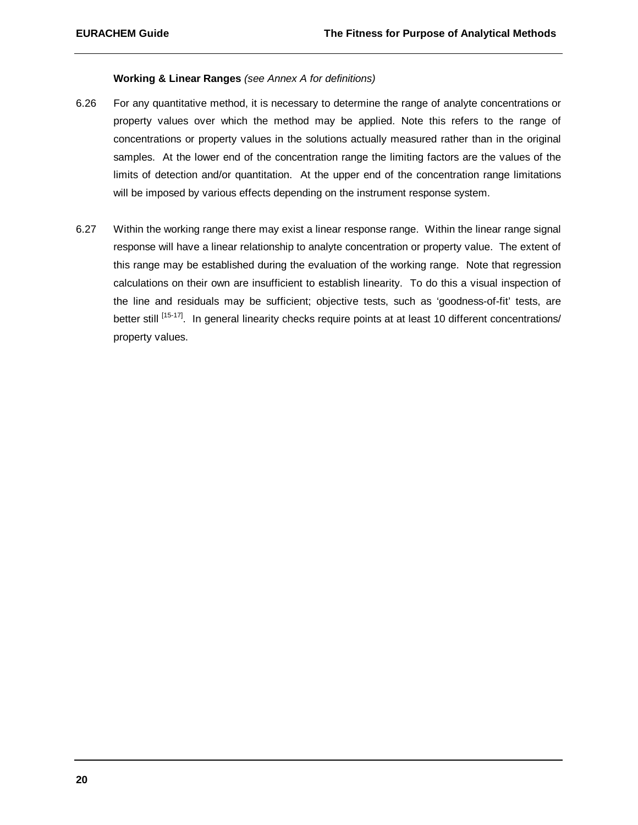#### **Working & Linear Ranges** *(see Annex A for definitions)*

- 6.26 For any quantitative method, it is necessary to determine the range of analyte concentrations or property values over which the method may be applied. Note this refers to the range of concentrations or property values in the solutions actually measured rather than in the original samples. At the lower end of the concentration range the limiting factors are the values of the limits of detection and/or quantitation. At the upper end of the concentration range limitations will be imposed by various effects depending on the instrument response system.
- 6.27 Within the working range there may exist a linear response range. Within the linear range signal response will have a linear relationship to analyte concentration or property value. The extent of this range may be established during the evaluation of the working range. Note that regression calculations on their own are insufficient to establish linearity. To do this a visual inspection of the line and residuals may be sufficient; objective tests, such as 'goodness-of-fit' tests, are better still [15-17]. In general linearity checks require points at at least 10 different concentrations/ property values.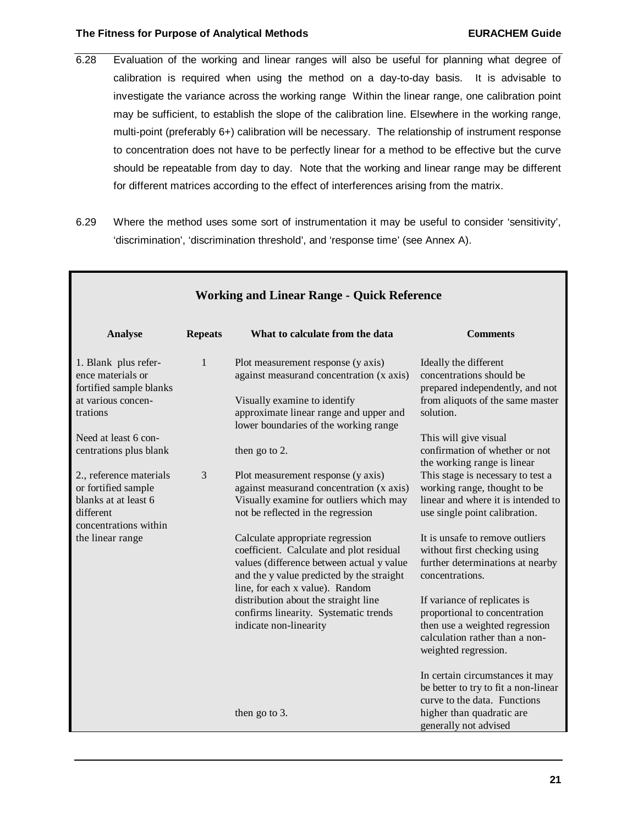#### **The Fitness for Purpose of Analytical Methods EURACHEM Guide**

Г

- 6.28 Evaluation of the working and linear ranges will also be useful for planning what degree of calibration is required when using the method on a day-to-day basis. It is advisable to investigate the variance across the working range Within the linear range, one calibration point may be sufficient, to establish the slope of the calibration line. Elsewhere in the working range, multi-point (preferably 6+) calibration will be necessary. The relationship of instrument response to concentration does not have to be perfectly linear for a method to be effective but the curve should be repeatable from day to day. Note that the working and linear range may be different for different matrices according to the effect of interferences arising from the matrix.
- 6.29 Where the method uses some sort of instrumentation it may be useful to consider 'sensitivity', 'discrimination', 'discrimination threshold', and 'response time' (see Annex A).

| What to calculate from the data                                                                                                                                                                                                                                                                                                                 | <b>Comments</b>                                                                                                                                                                                                                                                                                                                                                                                                             |
|-------------------------------------------------------------------------------------------------------------------------------------------------------------------------------------------------------------------------------------------------------------------------------------------------------------------------------------------------|-----------------------------------------------------------------------------------------------------------------------------------------------------------------------------------------------------------------------------------------------------------------------------------------------------------------------------------------------------------------------------------------------------------------------------|
|                                                                                                                                                                                                                                                                                                                                                 |                                                                                                                                                                                                                                                                                                                                                                                                                             |
| Plot measurement response (y axis)<br>against measurand concentration (x axis)<br>Visually examine to identify<br>approximate linear range and upper and<br>lower boundaries of the working range<br>then go to 2.<br>Plot measurement response (y axis)<br>against measurand concentration (x axis)<br>Visually examine for outliers which may | Ideally the different<br>concentrations should be<br>prepared independently, and not<br>from aliquots of the same master<br>solution.<br>This will give visual<br>confirmation of whether or not<br>the working range is linear<br>This stage is necessary to test a<br>working range, thought to be<br>linear and where it is intended to<br>use single point calibration.                                                 |
| Calculate appropriate regression<br>coefficient. Calculate and plot residual<br>values (difference between actual y value<br>and the y value predicted by the straight<br>line, for each x value). Random<br>distribution about the straight line<br>confirms linearity. Systematic trends<br>indicate non-linearity                            | It is unsafe to remove outliers<br>without first checking using<br>further determinations at nearby<br>concentrations.<br>If variance of replicates is<br>proportional to concentration<br>then use a weighted regression<br>calculation rather than a non-<br>weighted regression.<br>In certain circumstances it may<br>be better to try to fit a non-linear<br>curve to the data. Functions<br>higher than quadratic are |
|                                                                                                                                                                                                                                                                                                                                                 | not be reflected in the regression<br>then go to 3.                                                                                                                                                                                                                                                                                                                                                                         |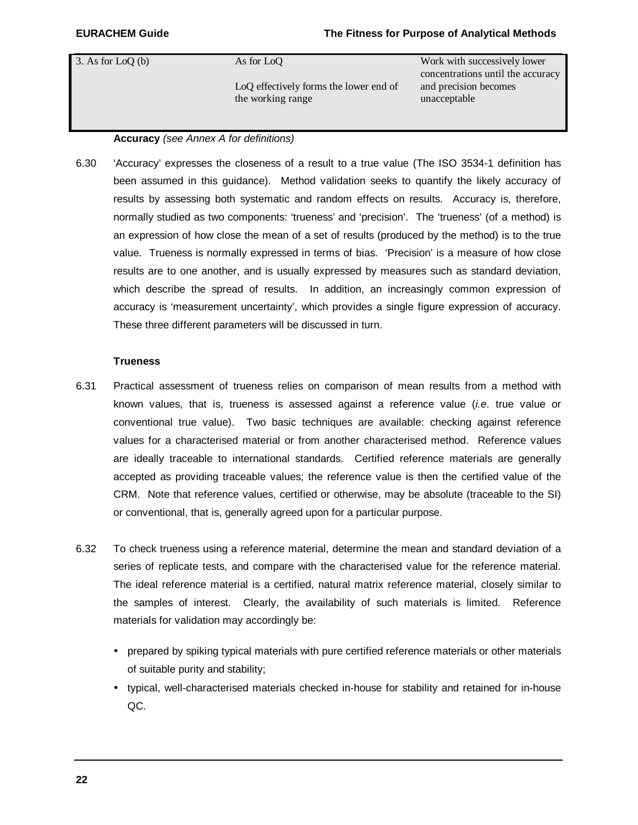3. As for  $LoQ$  (b) As for  $LoQ$ LoQ effectively forms the lower end of the working range Work with successively lower concentrations until the accuracy and precision becomes unacceptable

#### **Accuracy** *(see Annex A for definitions)*

6.30 'Accuracy' expresses the closeness of a result to a true value (The ISO 3534-1 definition has been assumed in this guidance). Method validation seeks to quantify the likely accuracy of results by assessing both systematic and random effects on results. Accuracy is, therefore, normally studied as two components: 'trueness' and 'precision'. The 'trueness' (of a method) is an expression of how close the mean of a set of results (produced by the method) is to the true value. Trueness is normally expressed in terms of bias. 'Precision'is a measure of how close results are to one another, and is usually expressed by measures such as standard deviation, which describe the spread of results. In addition, an increasingly common expression of accuracy is 'measurement uncertainty', which provides a single figure expression of accuracy. These three different parameters will be discussed in turn.

#### **Trueness**

- 6.31 Practical assessment of trueness relies on comparison of mean results from a method with known values, that is, trueness is assessed against a reference value (*i.e*. true value or conventional true value). Two basic techniques are available: checking against reference values for a characterised material or from another characterised method. Reference values are ideally traceable to international standards. Certified reference materials are generally accepted as providing traceable values; the reference value is then the certified value of the CRM. Note that reference values, certified or otherwise, may be absolute (traceable to the SI) or conventional, that is, generally agreed upon for a particular purpose.
- 6.32 To check trueness using a reference material, determine the mean and standard deviation of a series of replicate tests, and compare with the characterised value for the reference material. The ideal reference material is a certified, natural matrix reference material, closely similar to the samples of interest. Clearly, the availability of such materials is limited. Reference materials for validation may accordingly be:
	- prepared by spiking typical materials with pure certified reference materials or other materials of suitable purity and stability;
	- typical, well-characterised materials checked in-house for stability and retained for in-house QC.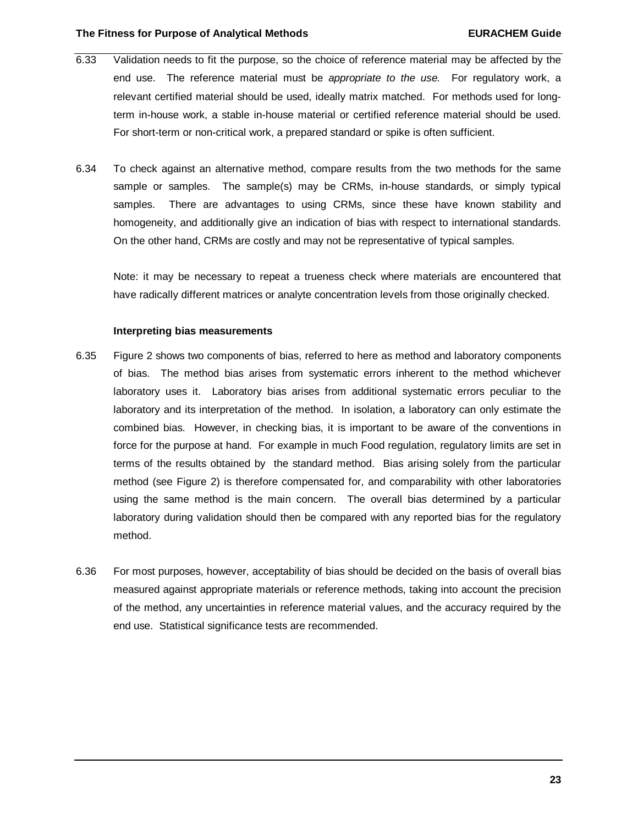- 6.33 Validation needs to fit the purpose, so the choice of reference material may be affected by the end use. The reference material must be *appropriate to the use.* For regulatory work, a relevant certified material should be used, ideally matrix matched. For methods used for longterm in-house work, a stable in-house material or certified reference material should be used. For short-term or non-critical work, a prepared standard or spike is often sufficient.
- 6.34 To check against an alternative method, compare results from the two methods for the same sample or samples. The sample(s) may be CRMs, in-house standards, or simply typical samples. There are advantages to using CRMs, since these have known stability and homogeneity, and additionally give an indication of bias with respect to international standards. On the other hand, CRMs are costly and may not be representative of typical samples.

Note: it may be necessary to repeat a trueness check where materials are encountered that have radically different matrices or analyte concentration levels from those originally checked.

#### **Interpreting bias measurements**

- 6.35 Figure 2 shows two components of bias, referred to here as method and laboratory components of bias. The method bias arises from systematic errors inherent to the method whichever laboratory uses it. Laboratory bias arises from additional systematic errors peculiar to the laboratory and its interpretation of the method. In isolation, a laboratory can only estimate the combined bias. However, in checking bias, it is important to be aware of the conventions in force for the purpose at hand. For example in much Food regulation, regulatory limits are set in terms of the results obtained by the standard method. Bias arising solely from the particular method (see Figure 2) is therefore compensated for, and comparability with other laboratories using the same method is the main concern. The overall bias determined by a particular laboratory during validation should then be compared with any reported bias for the regulatory method.
- 6.36 For most purposes, however, acceptability of bias should be decided on the basis of overall bias measured against appropriate materials or reference methods, taking into account the precision of the method, any uncertainties in reference material values, and the accuracy required by the end use. Statistical significance tests are recommended.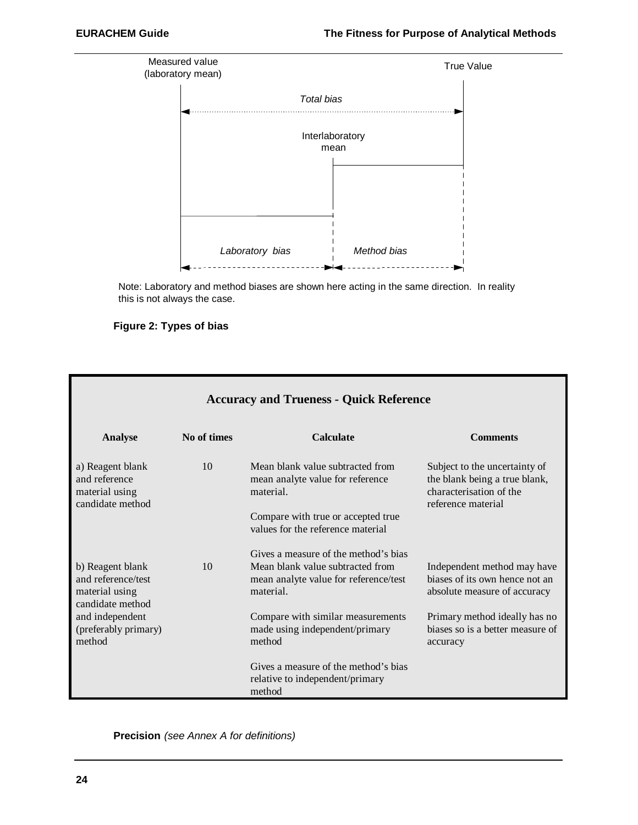

Note: Laboratory and method biases are shown here acting in the same direction. In reality this is not always the case.

#### **Figure 2: Types of bias**

| <b>Accuracy and Trueness - Quick Reference</b>                                                                                    |             |                                                                                                                                                                                                                 |                                                                                                                                                                                |
|-----------------------------------------------------------------------------------------------------------------------------------|-------------|-----------------------------------------------------------------------------------------------------------------------------------------------------------------------------------------------------------------|--------------------------------------------------------------------------------------------------------------------------------------------------------------------------------|
| <b>Analyse</b>                                                                                                                    | No of times | <b>Calculate</b>                                                                                                                                                                                                | <b>Comments</b>                                                                                                                                                                |
| a) Reagent blank<br>and reference<br>material using<br>candidate method                                                           | 10          | Mean blank value subtracted from<br>mean analyte value for reference<br>material.<br>Compare with true or accepted true<br>values for the reference material                                                    | Subject to the uncertainty of<br>the blank being a true blank,<br>characterisation of the<br>reference material                                                                |
| b) Reagent blank<br>and reference/test<br>material using<br>candidate method<br>and independent<br>(preferably primary)<br>method | 10          | Gives a measure of the method's bias<br>Mean blank value subtracted from<br>mean analyte value for reference/test<br>material.<br>Compare with similar measurements<br>made using independent/primary<br>method | Independent method may have<br>biases of its own hence not an<br>absolute measure of accuracy<br>Primary method ideally has no<br>biases so is a better measure of<br>accuracy |
|                                                                                                                                   |             | Gives a measure of the method's bias<br>relative to independent/primary<br>method                                                                                                                               |                                                                                                                                                                                |

#### **Precision** *(see Annex A for definitions)*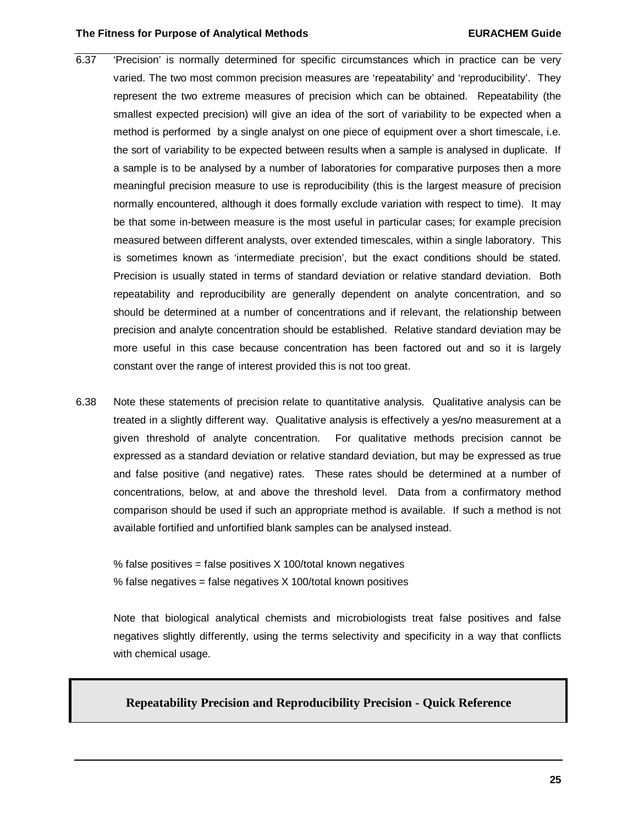#### **The Fitness for Purpose of Analytical Methods EURACHEM Guide**

- 6.37 'Precision' is normally determined for specific circumstances which in practice can be very varied. The two most common precision measures are 'repeatability' and 'reproducibility'. They represent the two extreme measures of precision which can be obtained. Repeatability (the smallest expected precision) will give an idea of the sort of variability to be expected when a method is performed by a single analyst on one piece of equipment over a short timescale, i.e. the sort of variability to be expected between results when a sample is analysed in duplicate. If a sample is to be analysed by a number of laboratories for comparative purposes then a more meaningful precision measure to use is reproducibility (this is the largest measure of precision normally encountered, although it does formally exclude variation with respect to time). It may be that some in-between measure is the most useful in particular cases; for example precision measured between different analysts, over extended timescales, within a single laboratory. This is sometimes known as 'intermediate precision', but the exact conditions should be stated. Precision is usually stated in terms of standard deviation or relative standard deviation. Both repeatability and reproducibility are generally dependent on analyte concentration, and so should be determined at a number of concentrations and if relevant, the relationship between precision and analyte concentration should be established. Relative standard deviation may be more useful in this case because concentration has been factored out and so it is largely constant over the range of interest provided this is not too great.
- 6.38 Note these statements of precision relate to quantitative analysis. Qualitative analysis can be treated in a slightly different way. Qualitative analysis is effectively a yes/no measurement at a given threshold of analyte concentration. For qualitative methods precision cannot be expressed as a standard deviation or relative standard deviation, but may be expressed as true and false positive (and negative) rates. These rates should be determined at a number of concentrations, below, at and above the threshold level. Data from a confirmatory method comparison should be used if such an appropriate method is available. If such a method is not available fortified and unfortified blank samples can be analysed instead.

% false positives = false positives  $X$  100/total known negatives % false negatives = false negatives  $X$  100/total known positives

Note that biological analytical chemists and microbiologists treat false positives and false negatives slightly differently, using the terms selectivity and specificity in a way that conflicts with chemical usage.

#### **Repeatability Precision and Reproducibility Precision - Quick Reference**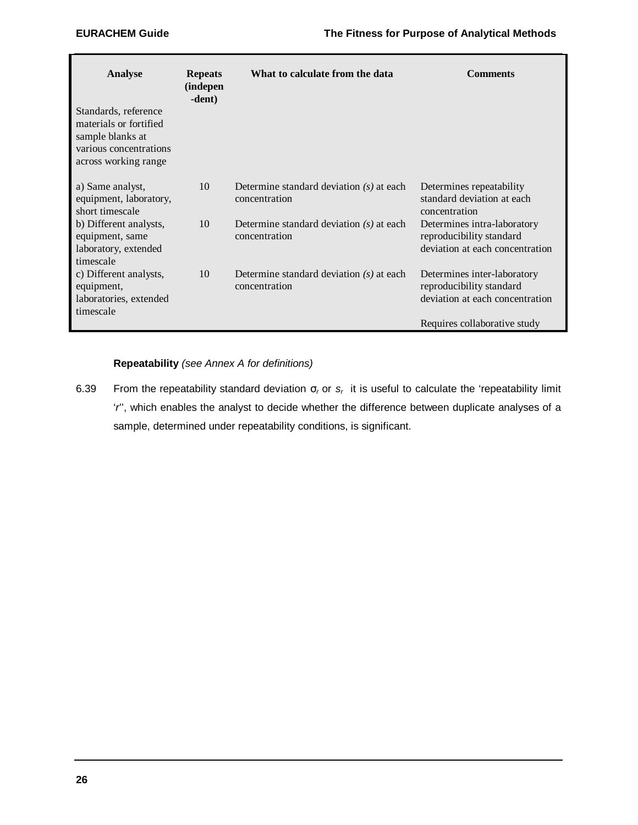| Analyse                                                                                                              | <b>Repeats</b><br>(indepen<br>-dent) | What to calculate from the data                             | <b>Comments</b>                                                                            |
|----------------------------------------------------------------------------------------------------------------------|--------------------------------------|-------------------------------------------------------------|--------------------------------------------------------------------------------------------|
| Standards, reference<br>materials or fortified<br>sample blanks at<br>various concentrations<br>across working range |                                      |                                                             |                                                                                            |
| a) Same analyst,<br>equipment, laboratory,<br>short timescale                                                        | 10                                   | Determine standard deviation $(s)$ at each<br>concentration | Determines repeatability<br>standard deviation at each<br>concentration                    |
| b) Different analysts,<br>equipment, same<br>laboratory, extended<br>timescale                                       | 10                                   | Determine standard deviation $(s)$ at each<br>concentration | Determines intra-laboratory<br>reproducibility standard<br>deviation at each concentration |
| c) Different analysts,<br>equipment,<br>laboratories, extended<br>timescale                                          | 10                                   | Determine standard deviation $(s)$ at each<br>concentration | Determines inter-laboratory<br>reproducibility standard<br>deviation at each concentration |
|                                                                                                                      |                                      |                                                             | Requires collaborative study                                                               |

#### **Repeatability** *(see Annex A for definitions)*

6.39 From the repeatability standard deviation σ<sub>r</sub> or s<sub>r</sub> it is useful to calculate the 'repeatability limit '*r*'', which enables the analyst to decide whether the difference between duplicate analyses of a sample, determined under repeatability conditions, is significant.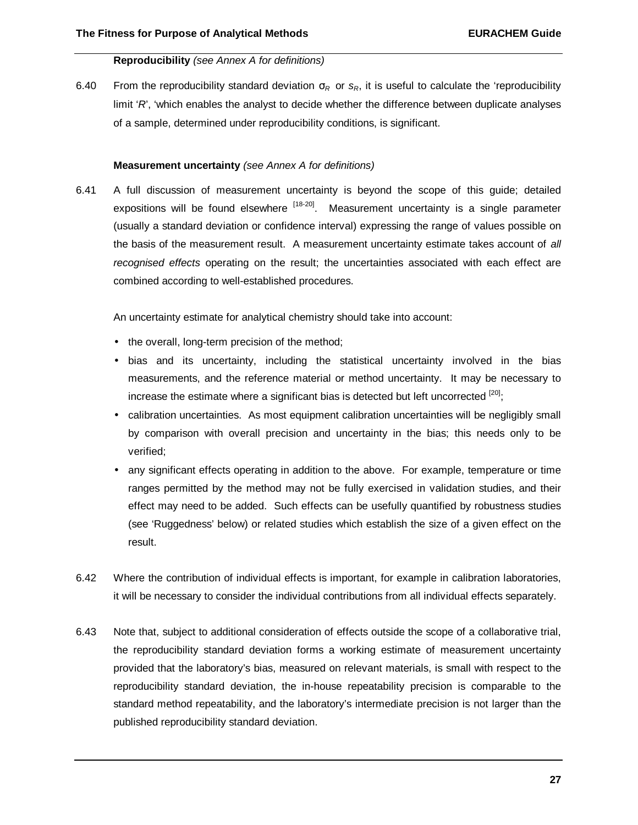#### **Reproducibility** *(see Annex A for definitions)*

6.40 From the reproducibility standard deviation σ*<sup>R</sup>* or *sR*, it is useful to calculate the 'reproducibility limit '*R*', 'which enables the analyst to decide whether the difference between duplicate analyses of a sample, determined under reproducibility conditions, is significant.

#### **Measurement uncertainty** *(see Annex A for definitions)*

6.41 A full discussion of measurement uncertainty is beyond the scope of this guide; detailed expositions will be found elsewhere  $[18-20]$ . Measurement uncertainty is a single parameter (usually a standard deviation or confidence interval) expressing the range of values possible on the basis of the measurement result. A measurement uncertainty estimate takes account of *all recognised effects* operating on the result; the uncertainties associated with each effect are combined according to well-established procedures.

An uncertainty estimate for analytical chemistry should take into account:

- the overall, long-term precision of the method;
- bias and its uncertainty, including the statistical uncertainty involved in the bias measurements, and the reference material or method uncertainty. It may be necessary to increase the estimate where a significant bias is detected but left uncorrected  $^{[20]}$ ;
- calibration uncertainties. As most equipment calibration uncertainties will be negligibly small by comparison with overall precision and uncertainty in the bias; this needs only to be verified;
- any significant effects operating in addition to the above. For example, temperature or time ranges permitted by the method may not be fully exercised in validation studies, and their effect may need to be added. Such effects can be usefully quantified by robustness studies (see 'Ruggedness' below) or related studies which establish the size of a given effect on the result.
- 6.42 Where the contribution of individual effects is important, for example in calibration laboratories, it will be necessary to consider the individual contributions from all individual effects separately.
- 6.43 Note that, subject to additional consideration of effects outside the scope of a collaborative trial, the reproducibility standard deviation forms a working estimate of measurement uncertainty provided that the laboratory's bias, measured on relevant materials, is small with respect to the reproducibility standard deviation, the in-house repeatability precision is comparable to the standard method repeatability, and the laboratory's intermediate precision is not larger than the published reproducibility standard deviation.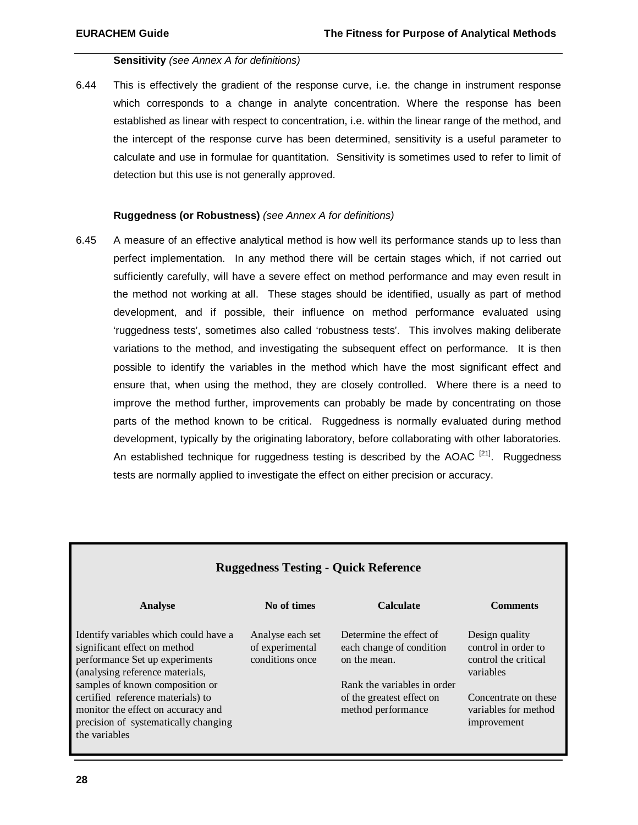#### **Sensitivity** *(see Annex A for definitions)*

6.44 This is effectively the gradient of the response curve, i.e. the change in instrument response which corresponds to a change in analyte concentration. Where the response has been established as linear with respect to concentration, i.e. within the linear range of the method, and the intercept of the response curve has been determined, sensitivity is a useful parameter to calculate and use in formulae for quantitation. Sensitivity is sometimes used to refer to limit of detection but this use is not generally approved.

#### **Ruggedness (or Robustness)** *(see Annex A for definitions)*

6.45 A measure of an effective analytical method is how well its performance stands up to less than perfect implementation. In any method there will be certain stages which, if not carried out sufficiently carefully, will have a severe effect on method performance and may even result in the method not working at all. These stages should be identified, usually as part of method development, and if possible, their influence on method performance evaluated using 'ruggedness tests', sometimes also called 'robustness tests'. This involves making deliberate variations to the method, and investigating the subsequent effect on performance. It is then possible to identify the variables in the method which have the most significant effect and ensure that, when using the method, they are closely controlled. Where there is a need to improve the method further, improvements can probably be made by concentrating on those parts of the method known to be critical. Ruggedness is normally evaluated during method development, typically by the originating laboratory, before collaborating with other laboratories. An established technique for ruggedness testing is described by the AOAC  $[21]$ . Ruggedness tests are normally applied to investigate the effect on either precision or accuracy.

| <b>Ruggedness Testing - Quick Reference</b>                                                                                                                                   |                                                        |                                                                                                    |                                                                            |  |  |  |
|-------------------------------------------------------------------------------------------------------------------------------------------------------------------------------|--------------------------------------------------------|----------------------------------------------------------------------------------------------------|----------------------------------------------------------------------------|--|--|--|
| <b>Analyse</b>                                                                                                                                                                | No of times                                            | <b>Calculate</b>                                                                                   | <b>Comments</b>                                                            |  |  |  |
| Identify variables which could have a<br>significant effect on method<br>performance Set up experiments<br>(analysing reference materials,<br>samples of known composition or | Analyse each set<br>of experimental<br>conditions once | Determine the effect of<br>each change of condition<br>on the mean.<br>Rank the variables in order | Design quality<br>control in order to<br>control the critical<br>variables |  |  |  |
| certified reference materials) to<br>monitor the effect on accuracy and<br>precision of systematically changing<br>the variables                                              |                                                        | of the greatest effect on<br>method performance                                                    | Concentrate on these<br>variables for method<br>improvement                |  |  |  |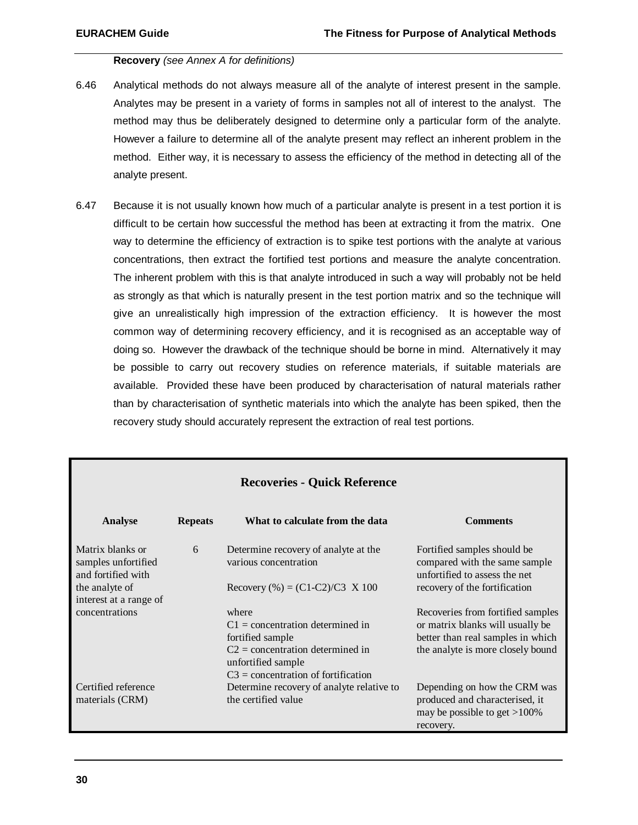#### **Recovery** *(see Annex A for definitions)*

- 6.46 Analytical methods do not always measure all of the analyte of interest present in the sample. Analytes may be present in a variety of forms in samples not all of interest to the analyst. The method may thus be deliberately designed to determine only a particular form of the analyte. However a failure to determine all of the analyte present may reflect an inherent problem in the method. Either way, it is necessary to assess the efficiency of the method in detecting all of the analyte present.
- 6.47 Because it is not usually known how much of a particular analyte is present in a test portion it is difficult to be certain how successful the method has been at extracting it from the matrix. One way to determine the efficiency of extraction is to spike test portions with the analyte at various concentrations, then extract the fortified test portions and measure the analyte concentration. The inherent problem with this is that analyte introduced in such a way will probably not be held as strongly as that which is naturally present in the test portion matrix and so the technique will give an unrealistically high impression of the extraction efficiency. It is however the most common way of determining recovery efficiency, and it is recognised as an acceptable way of doing so. However the drawback of the technique should be borne in mind. Alternatively it may be possible to carry out recovery studies on reference materials, if suitable materials are available. Provided these have been produced by characterisation of natural materials rather than by characterisation of synthetic materials into which the analyte has been spiked, then the recovery study should accurately represent the extraction of real test portions.

| <b>Recoveries - Quick Reference</b>                           |                |                                                                                                                                                                      |                                                                                                                                                 |  |  |  |  |
|---------------------------------------------------------------|----------------|----------------------------------------------------------------------------------------------------------------------------------------------------------------------|-------------------------------------------------------------------------------------------------------------------------------------------------|--|--|--|--|
| Analyse                                                       | <b>Repeats</b> | What to calculate from the data                                                                                                                                      | <b>Comments</b>                                                                                                                                 |  |  |  |  |
| Matrix blanks or<br>samples unfortified<br>and fortified with | 6              | Determine recovery of analyte at the<br>various concentration                                                                                                        | Fortified samples should be<br>compared with the same sample<br>unfortified to assess the net                                                   |  |  |  |  |
| the analyte of<br>interest at a range of                      |                | Recovery $% = (C1-C2)/C3$ X 100                                                                                                                                      | recovery of the fortification                                                                                                                   |  |  |  |  |
| concentrations                                                |                | where<br>$C1$ = concentration determined in<br>fortified sample<br>$C2$ = concentration determined in<br>unfortified sample<br>$C3$ = concentration of fortification | Recoveries from fortified samples<br>or matrix blanks will usually be<br>better than real samples in which<br>the analyte is more closely bound |  |  |  |  |
| Certified reference<br>materials (CRM)                        |                | Determine recovery of analyte relative to<br>the certified value                                                                                                     | Depending on how the CRM was<br>produced and characterised, it<br>may be possible to get $>100\%$<br>recovery.                                  |  |  |  |  |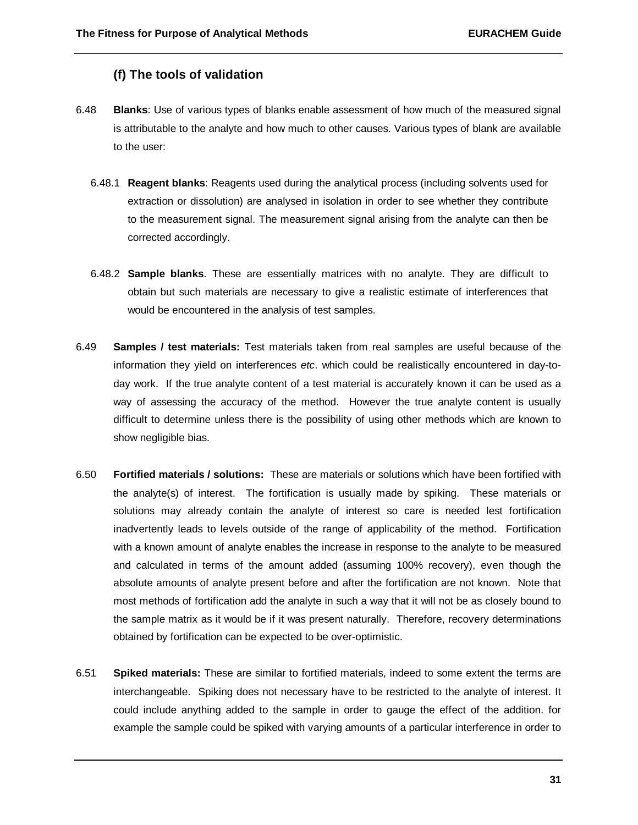# **(f) The tools of validation**

- 6.48 **Blanks**: Use of various types of blanks enable assessment of how much of the measured signal is attributable to the analyte and how much to other causes. Various types of blank are available to the user:
	- 6.48.1 **Reagent blanks**: Reagents used during the analytical process (including solvents used for extraction or dissolution) are analysed in isolation in order to see whether they contribute to the measurement signal. The measurement signal arising from the analyte can then be corrected accordingly.
	- 6.48.2 **Sample blanks**. These are essentially matrices with no analyte. They are difficult to obtain but such materials are necessary to give a realistic estimate of interferences that would be encountered in the analysis of test samples.
- 6.49 **Samples / test materials:** Test materials taken from real samples are useful because of the information they yield on interferences *etc*. which could be realistically encountered in day-today work. If the true analyte content of a test material is accurately known it can be used as a way of assessing the accuracy of the method. However the true analyte content is usually difficult to determine unless there is the possibility of using other methods which are known to show negligible bias.
- 6.50 **Fortified materials / solutions:** These are materials or solutions which have been fortified with the analyte(s) of interest. The fortification is usually made by spiking. These materials or solutions may already contain the analyte of interest so care is needed lest fortification inadvertently leads to levels outside of the range of applicability of the method. Fortification with a known amount of analyte enables the increase in response to the analyte to be measured and calculated in terms of the amount added (assuming 100% recovery), even though the absolute amounts of analyte present before and after the fortification are not known. Note that most methods of fortification add the analyte in such a way that it will not be as closely bound to the sample matrix as it would be if it was present naturally. Therefore, recovery determinations obtained by fortification can be expected to be over-optimistic.
- 6.51 **Spiked materials:** These are similar to fortified materials, indeed to some extent the terms are interchangeable. Spiking does not necessary have to be restricted to the analyte of interest. It could include anything added to the sample in order to gauge the effect of the addition. for example the sample could be spiked with varying amounts of a particular interference in order to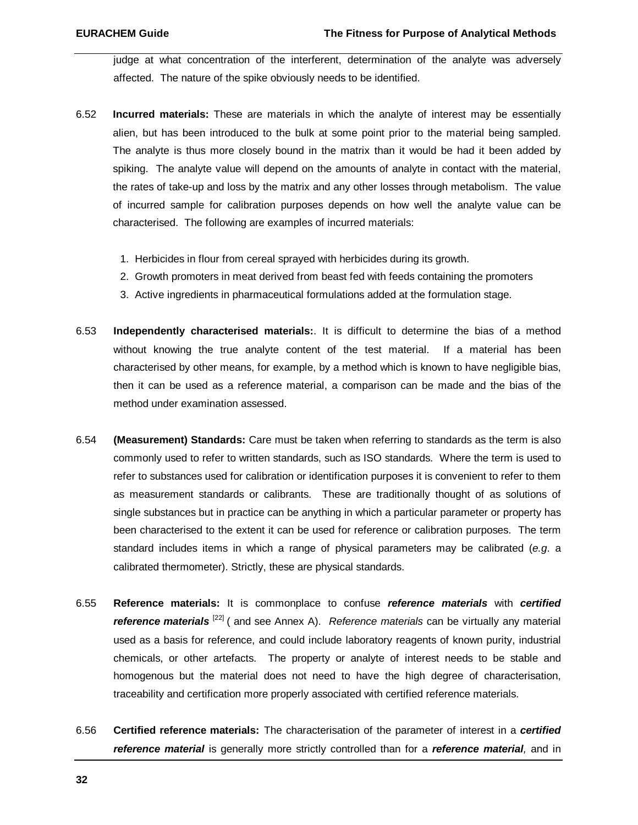judge at what concentration of the interferent, determination of the analyte was adversely affected. The nature of the spike obviously needs to be identified.

- 6.52 **Incurred materials:** These are materials in which the analyte of interest may be essentially alien, but has been introduced to the bulk at some point prior to the material being sampled. The analyte is thus more closely bound in the matrix than it would be had it been added by spiking. The analyte value will depend on the amounts of analyte in contact with the material, the rates of take-up and loss by the matrix and any other losses through metabolism. The value of incurred sample for calibration purposes depends on how well the analyte value can be characterised. The following are examples of incurred materials:
	- 1. Herbicides in flour from cereal sprayed with herbicides during its growth.
	- 2. Growth promoters in meat derived from beast fed with feeds containing the promoters
	- 3. Active ingredients in pharmaceutical formulations added at the formulation stage.
- 6.53 **Independently characterised materials:**. It is difficult to determine the bias of a method without knowing the true analyte content of the test material. If a material has been characterised by other means, for example, by a method which is known to have negligible bias, then it can be used as a reference material, a comparison can be made and the bias of the method under examination assessed.
- 6.54 **(Measurement) Standards:** Care must be taken when referring to standards as the term is also commonly used to refer to written standards, such as ISO standards. Where the term is used to refer to substances used for calibration or identification purposes it is convenient to refer to them as measurement standards or calibrants. These are traditionally thought of as solutions of single substances but in practice can be anything in which a particular parameter or property has been characterised to the extent it can be used for reference or calibration purposes. The term standard includes items in which a range of physical parameters may be calibrated (*e.g*. a calibrated thermometer). Strictly, these are physical standards.
- 6.55 **Reference materials:** It is commonplace to confuse *reference materials* with *certified reference materials* [22] ( and see Annex A). *Reference materials* can be virtually any material used as a basis for reference, and could include laboratory reagents of known purity, industrial chemicals, or other artefacts. The property or analyte of interest needs to be stable and homogenous but the material does not need to have the high degree of characterisation, traceability and certification more properly associated with certified reference materials.
- 6.56 **Certified reference materials:** The characterisation of the parameter of interest in a *certified reference material* is generally more strictly controlled than for a *reference material,* and in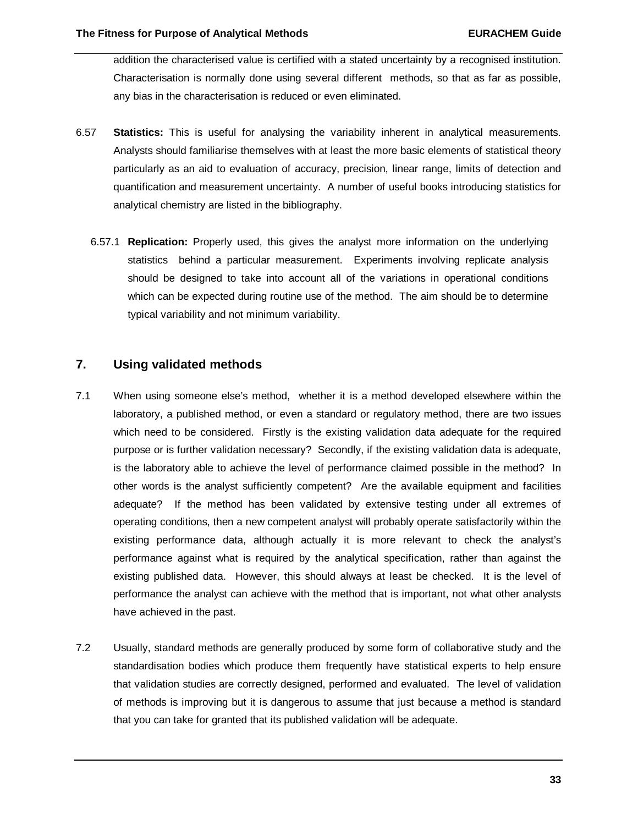addition the characterised value is certified with a stated uncertainty by a recognised institution. Characterisation is normally done using several different methods, so that as far as possible, any bias in the characterisation is reduced or even eliminated.

- 6.57 **Statistics:** This is useful for analysing the variability inherent in analytical measurements. Analysts should familiarise themselves with at least the more basic elements of statistical theory particularly as an aid to evaluation of accuracy, precision, linear range, limits of detection and quantification and measurement uncertainty. A number of useful books introducing statistics for analytical chemistry are listed in the bibliography.
	- 6.57.1 **Replication:** Properly used, this gives the analyst more information on the underlying statistics behind a particular measurement. Experiments involving replicate analysis should be designed to take into account all of the variations in operational conditions which can be expected during routine use of the method. The aim should be to determine typical variability and not minimum variability.

# **7. Using validated methods**

- 7.1 When using someone else's method, whether it is a method developed elsewhere within the laboratory, a published method, or even a standard or regulatory method, there are two issues which need to be considered. Firstly is the existing validation data adequate for the required purpose or is further validation necessary? Secondly, if the existing validation data is adequate, is the laboratory able to achieve the level of performance claimed possible in the method? In other words is the analyst sufficiently competent? Are the available equipment and facilities adequate? If the method has been validated by extensive testing under all extremes of operating conditions, then a new competent analyst will probably operate satisfactorily within the existing performance data, although actually it is more relevant to check the analyst's performance against what is required by the analytical specification, rather than against the existing published data. However, this should always at least be checked. It is the level of performance the analyst can achieve with the method that is important, not what other analysts have achieved in the past.
- 7.2 Usually, standard methods are generally produced by some form of collaborative study and the standardisation bodies which produce them frequently have statistical experts to help ensure that validation studies are correctly designed, performed and evaluated. The level of validation of methods is improving but it is dangerous to assume that just because a method is standard that you can take for granted that its published validation will be adequate.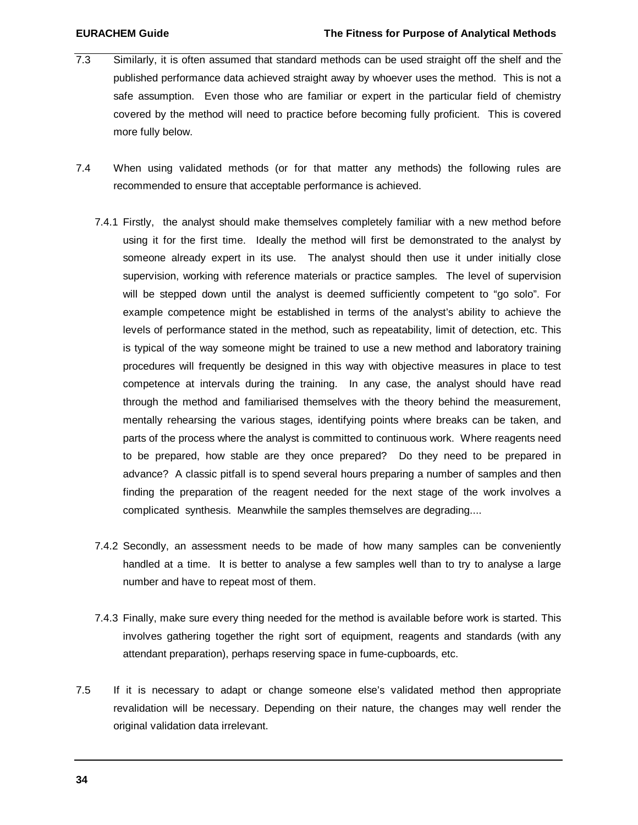- 7.3 Similarly, it is often assumed that standard methods can be used straight off the shelf and the published performance data achieved straight away by whoever uses the method. This is not a safe assumption. Even those who are familiar or expert in the particular field of chemistry covered by the method will need to practice before becoming fully proficient. This is covered more fully below.
- 7.4 When using validated methods (or for that matter any methods) the following rules are recommended to ensure that acceptable performance is achieved.
	- 7.4.1 Firstly, the analyst should make themselves completely familiar with a new method before using it for the first time. Ideally the method will first be demonstrated to the analyst by someone already expert in its use. The analyst should then use it under initially close supervision, working with reference materials or practice samples. The level of supervision will be stepped down until the analyst is deemed sufficiently competent to "go solo". For example competence might be established in terms of the analyst's ability to achieve the levels of performance stated in the method, such as repeatability, limit of detection, etc. This is typical of the way someone might be trained to use a new method and laboratory training procedures will frequently be designed in this way with objective measures in place to test competence at intervals during the training. In any case, the analyst should have read through the method and familiarised themselves with the theory behind the measurement, mentally rehearsing the various stages, identifying points where breaks can be taken, and parts of the process where the analyst is committed to continuous work. Where reagents need to be prepared, how stable are they once prepared? Do they need to be prepared in advance? A classic pitfall is to spend several hours preparing a number of samples and then finding the preparation of the reagent needed for the next stage of the work involves a complicated synthesis. Meanwhile the samples themselves are degrading....
	- 7.4.2 Secondly, an assessment needs to be made of how many samples can be conveniently handled at a time. It is better to analyse a few samples well than to try to analyse a large number and have to repeat most of them.
	- 7.4.3 Finally, make sure every thing needed for the method is available before work is started. This involves gathering together the right sort of equipment, reagents and standards (with any attendant preparation), perhaps reserving space in fume-cupboards, etc.
- 7.5 If it is necessary to adapt or change someone else's validated method then appropriate revalidation will be necessary. Depending on their nature, the changes may well render the original validation data irrelevant.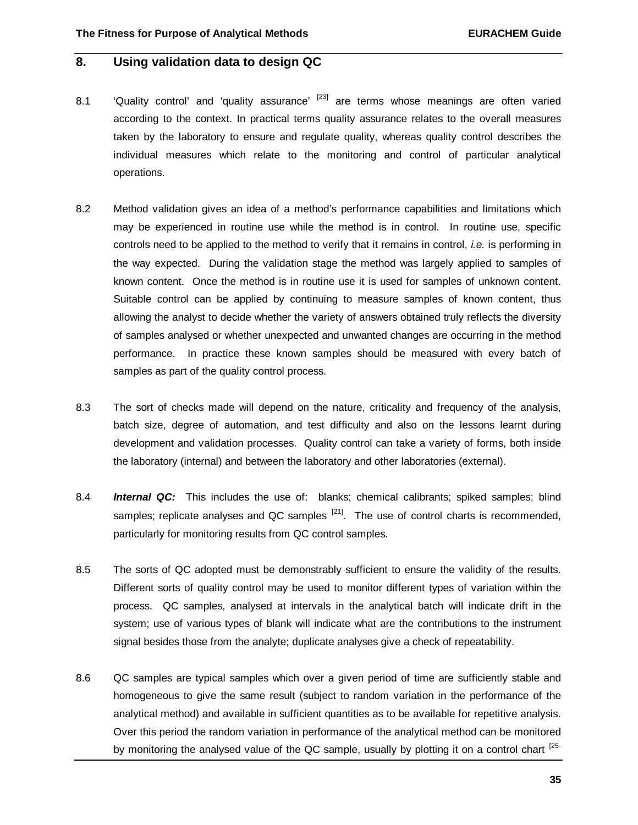# **8. Using validation data to design QC**

- 8.1  $\cdot$  'Quality control' and 'quality assurance'  $^{[23]}$  are terms whose meanings are often varied according to the context. In practical terms quality assurance relates to the overall measures taken by the laboratory to ensure and regulate quality, whereas quality control describes the individual measures which relate to the monitoring and control of particular analytical operations.
- 8.2 Method validation gives an idea of a method's performance capabilities and limitations which may be experienced in routine use while the method is in control. In routine use, specific controls need to be applied to the method to verify that it remains in control, *i.e.* is performing in the way expected. During the validation stage the method was largely applied to samples of known content. Once the method is in routine use it is used for samples of unknown content. Suitable control can be applied by continuing to measure samples of known content, thus allowing the analyst to decide whether the variety of answers obtained truly reflects the diversity of samples analysed or whether unexpected and unwanted changes are occurring in the method performance. In practice these known samples should be measured with every batch of samples as part of the quality control process.
- 8.3 The sort of checks made will depend on the nature, criticality and frequency of the analysis, batch size, degree of automation, and test difficulty and also on the lessons learnt during development and validation processes. Quality control can take a variety of forms, both inside the laboratory (internal) and between the laboratory and other laboratories (external).
- 8.4 *Internal QC:* This includes the use of: blanks; chemical calibrants; spiked samples; blind samples; replicate analyses and QC samples  $^{[21]}$ . The use of control charts is recommended, particularly for monitoring results from QC control samples.
- 8.5 The sorts of QC adopted must be demonstrably sufficient to ensure the validity of the results. Different sorts of quality control may be used to monitor different types of variation within the process. QC samples, analysed at intervals in the analytical batch will indicate drift in the system; use of various types of blank will indicate what are the contributions to the instrument signal besides those from the analyte; duplicate analyses give a check of repeatability.
- 8.6 QC samples are typical samples which over a given period of time are sufficiently stable and homogeneous to give the same result (subject to random variation in the performance of the analytical method) and available in sufficient quantities as to be available for repetitive analysis. Over this period the random variation in performance of the analytical method can be monitored by monitoring the analysed value of the QC sample, usually by plotting it on a control chart  $25$ -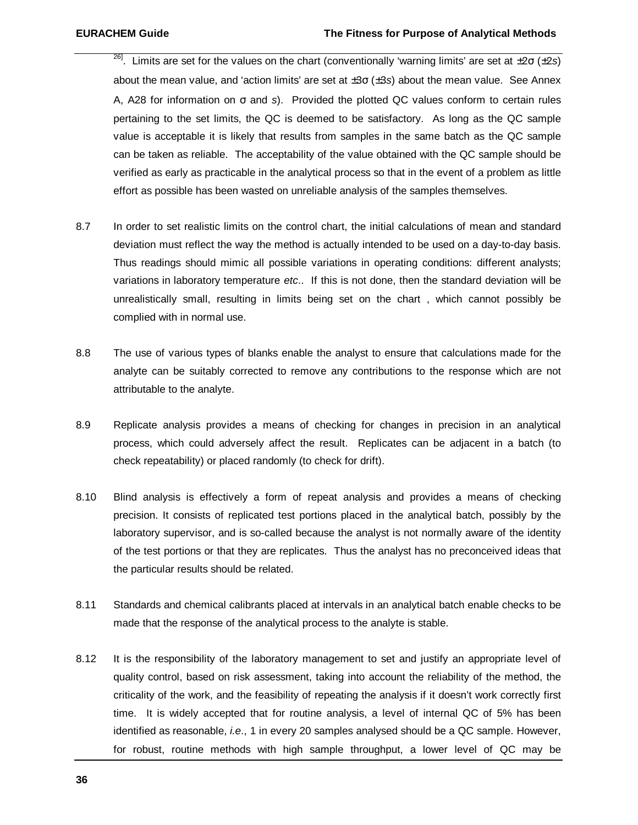- <sup>26]</sup>. Limits are set for the values on the chart (conventionally 'warning limits' are set at ±2σ (±2*s*) about the mean value, and 'action limits' are set at ±3σ (±3*s*) about the mean value. See Annex A, A28 for information on σ and *s*). Provided the plotted QC values conform to certain rules pertaining to the set limits, the QC is deemed to be satisfactory. As long as the QC sample value is acceptable it is likely that results from samples in the same batch as the QC sample can be taken as reliable. The acceptability of the value obtained with the QC sample should be verified as early as practicable in the analytical process so that in the event of a problem as little effort as possible has been wasted on unreliable analysis of the samples themselves.
- 8.7 In order to set realistic limits on the control chart, the initial calculations of mean and standard deviation must reflect the way the method is actually intended to be used on a day-to-day basis. Thus readings should mimic all possible variations in operating conditions: different analysts; variations in laboratory temperature *etc*.. If this is not done, then the standard deviation will be unrealistically small, resulting in limits being set on the chart , which cannot possibly be complied with in normal use.
- 8.8 The use of various types of blanks enable the analyst to ensure that calculations made for the analyte can be suitably corrected to remove any contributions to the response which are not attributable to the analyte.
- 8.9 Replicate analysis provides a means of checking for changes in precision in an analytical process, which could adversely affect the result. Replicates can be adjacent in a batch (to check repeatability) or placed randomly (to check for drift).
- 8.10 Blind analysis is effectively a form of repeat analysis and provides a means of checking precision. It consists of replicated test portions placed in the analytical batch, possibly by the laboratory supervisor, and is so-called because the analyst is not normally aware of the identity of the test portions or that they are replicates. Thus the analyst has no preconceived ideas that the particular results should be related.
- 8.11 Standards and chemical calibrants placed at intervals in an analytical batch enable checks to be made that the response of the analytical process to the analyte is stable.
- 8.12 It is the responsibility of the laboratory management to set and justify an appropriate level of quality control, based on risk assessment, taking into account the reliability of the method, the criticality of the work, and the feasibility of repeating the analysis if it doesn't work correctly first time. It is widely accepted that for routine analysis, a level of internal QC of 5% has been identified as reasonable, *i.e*., 1 in every 20 samples analysed should be a QC sample. However, for robust, routine methods with high sample throughput, a lower level of QC may be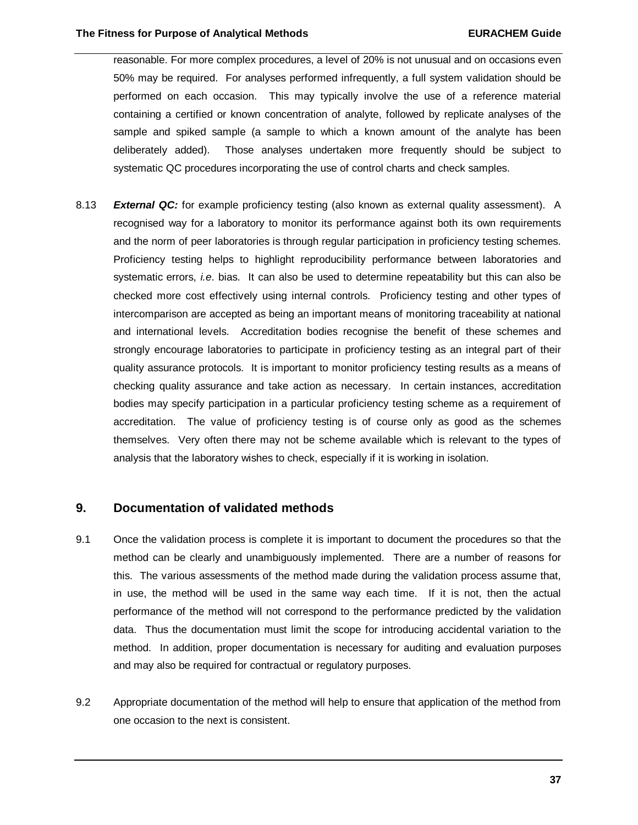reasonable. For more complex procedures, a level of 20% is not unusual and on occasions even 50% may be required. For analyses performed infrequently, a full system validation should be performed on each occasion. This may typically involve the use of a reference material containing a certified or known concentration of analyte, followed by replicate analyses of the sample and spiked sample (a sample to which a known amount of the analyte has been deliberately added). Those analyses undertaken more frequently should be subject to systematic QC procedures incorporating the use of control charts and check samples.

8.13 *External QC:* for example proficiency testing (also known as external quality assessment). A recognised way for a laboratory to monitor its performance against both its own requirements and the norm of peer laboratories is through regular participation in proficiency testing schemes. Proficiency testing helps to highlight reproducibility performance between laboratories and systematic errors, *i.e*. bias. It can also be used to determine repeatability but this can also be checked more cost effectively using internal controls. Proficiency testing and other types of intercomparison are accepted as being an important means of monitoring traceability at national and international levels. Accreditation bodies recognise the benefit of these schemes and strongly encourage laboratories to participate in proficiency testing as an integral part of their quality assurance protocols. It is important to monitor proficiency testing results as a means of checking quality assurance and take action as necessary. In certain instances, accreditation bodies may specify participation in a particular proficiency testing scheme as a requirement of accreditation. The value of proficiency testing is of course only as good as the schemes themselves. Very often there may not be scheme available which is relevant to the types of analysis that the laboratory wishes to check, especially if it is working in isolation.

# **9. Documentation of validated methods**

- 9.1 Once the validation process is complete it is important to document the procedures so that the method can be clearly and unambiguously implemented. There are a number of reasons for this. The various assessments of the method made during the validation process assume that, in use, the method will be used in the same way each time. If it is not, then the actual performance of the method will not correspond to the performance predicted by the validation data. Thus the documentation must limit the scope for introducing accidental variation to the method. In addition, proper documentation is necessary for auditing and evaluation purposes and may also be required for contractual or regulatory purposes.
- 9.2 Appropriate documentation of the method will help to ensure that application of the method from one occasion to the next is consistent.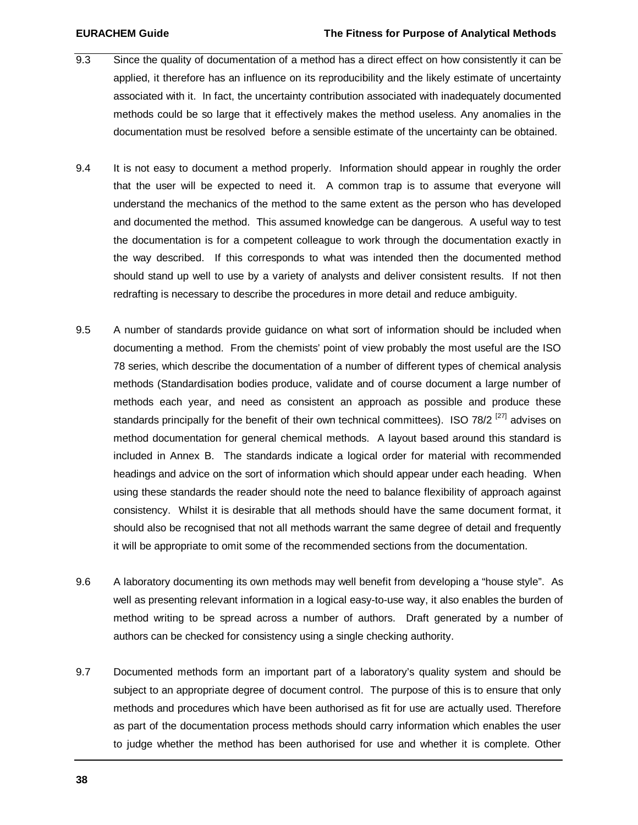- 9.3 Since the quality of documentation of a method has a direct effect on how consistently it can be applied, it therefore has an influence on its reproducibility and the likely estimate of uncertainty associated with it. In fact, the uncertainty contribution associated with inadequately documented methods could be so large that it effectively makes the method useless. Any anomalies in the documentation must be resolved before a sensible estimate of the uncertainty can be obtained.
- 9.4 It is not easy to document a method properly. Information should appear in roughly the order that the user will be expected to need it. A common trap is to assume that everyone will understand the mechanics of the method to the same extent as the person who has developed and documented the method. This assumed knowledge can be dangerous. A useful way to test the documentation is for a competent colleague to work through the documentation exactly in the way described. If this corresponds to what was intended then the documented method should stand up well to use by a variety of analysts and deliver consistent results. If not then redrafting is necessary to describe the procedures in more detail and reduce ambiguity.
- 9.5 A number of standards provide guidance on what sort of information should be included when documenting a method. From the chemists' point of view probably the most useful are the ISO 78 series, which describe the documentation of a number of different types of chemical analysis methods (Standardisation bodies produce, validate and of course document a large number of methods each year, and need as consistent an approach as possible and produce these standards principally for the benefit of their own technical committees). ISO 78/2<sup>[27]</sup> advises on method documentation for general chemical methods. A layout based around this standard is included in Annex B. The standards indicate a logical order for material with recommended headings and advice on the sort of information which should appear under each heading. When using these standards the reader should note the need to balance flexibility of approach against consistency. Whilst it is desirable that all methods should have the same document format, it should also be recognised that not all methods warrant the same degree of detail and frequently it will be appropriate to omit some of the recommended sections from the documentation.
- 9.6 A laboratory documenting its own methods may well benefit from developing a "house style". As well as presenting relevant information in a logical easy-to-use way, it also enables the burden of method writing to be spread across a number of authors. Draft generated by a number of authors can be checked for consistency using a single checking authority.
- 9.7 Documented methods form an important part of a laboratory's quality system and should be subject to an appropriate degree of document control. The purpose of this is to ensure that only methods and procedures which have been authorised as fit for use are actually used. Therefore as part of the documentation process methods should carry information which enables the user to judge whether the method has been authorised for use and whether it is complete. Other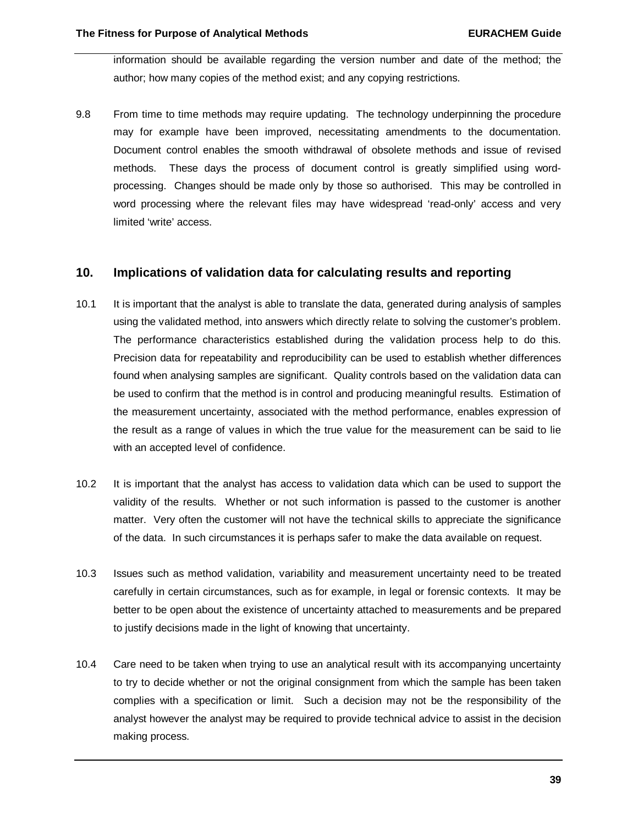information should be available regarding the version number and date of the method; the author; how many copies of the method exist; and any copying restrictions.

9.8 From time to time methods may require updating. The technology underpinning the procedure may for example have been improved, necessitating amendments to the documentation. Document control enables the smooth withdrawal of obsolete methods and issue of revised methods. These days the process of document control is greatly simplified using wordprocessing. Changes should be made only by those so authorised. This may be controlled in word processing where the relevant files may have widespread 'read-only' access and very limited 'write' access.

# **10. Implications of validation data for calculating results and reporting**

- 10.1 It is important that the analyst is able to translate the data, generated during analysis of samples using the validated method, into answers which directly relate to solving the customer's problem. The performance characteristics established during the validation process help to do this. Precision data for repeatability and reproducibility can be used to establish whether differences found when analysing samples are significant. Quality controls based on the validation data can be used to confirm that the method is in control and producing meaningful results. Estimation of the measurement uncertainty, associated with the method performance, enables expression of the result as a range of values in which the true value for the measurement can be said to lie with an accepted level of confidence.
- 10.2 It is important that the analyst has access to validation data which can be used to support the validity of the results. Whether or not such information is passed to the customer is another matter. Very often the customer will not have the technical skills to appreciate the significance of the data. In such circumstances it is perhaps safer to make the data available on request.
- 10.3 Issues such as method validation, variability and measurement uncertainty need to be treated carefully in certain circumstances, such as for example, in legal or forensic contexts. It may be better to be open about the existence of uncertainty attached to measurements and be prepared to justify decisions made in the light of knowing that uncertainty.
- 10.4 Care need to be taken when trying to use an analytical result with its accompanying uncertainty to try to decide whether or not the original consignment from which the sample has been taken complies with a specification or limit. Such a decision may not be the responsibility of the analyst however the analyst may be required to provide technical advice to assist in the decision making process.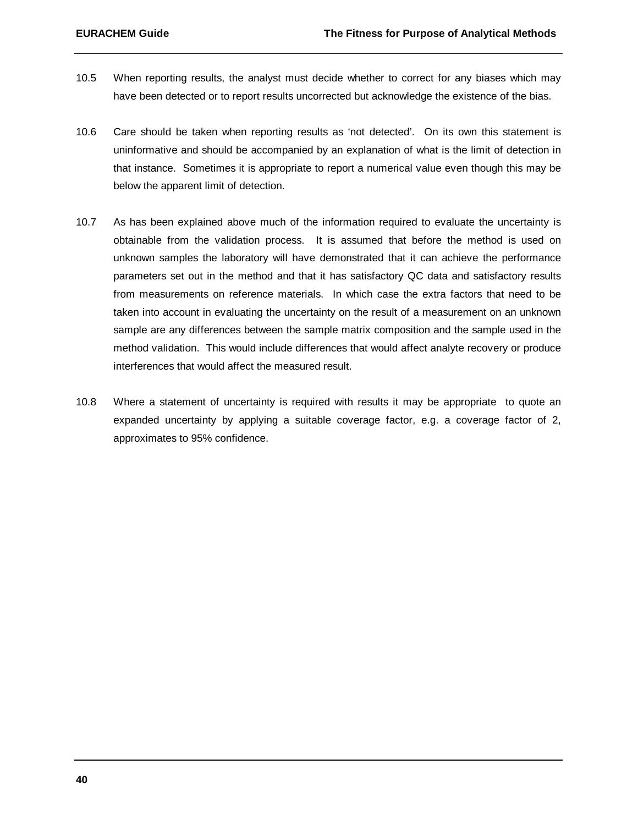- 10.5 When reporting results, the analyst must decide whether to correct for any biases which may have been detected or to report results uncorrected but acknowledge the existence of the bias.
- 10.6 Care should be taken when reporting results as 'not detected'. On its own this statement is uninformative and should be accompanied by an explanation of what is the limit of detection in that instance. Sometimes it is appropriate to report a numerical value even though this may be below the apparent limit of detection.
- 10.7 As has been explained above much of the information required to evaluate the uncertainty is obtainable from the validation process. It is assumed that before the method is used on unknown samples the laboratory will have demonstrated that it can achieve the performance parameters set out in the method and that it has satisfactory QC data and satisfactory results from measurements on reference materials. In which case the extra factors that need to be taken into account in evaluating the uncertainty on the result of a measurement on an unknown sample are any differences between the sample matrix composition and the sample used in the method validation. This would include differences that would affect analyte recovery or produce interferences that would affect the measured result.
- 10.8 Where a statement of uncertainty is required with results it may be appropriate to quote an expanded uncertainty by applying a suitable coverage factor, e.g. a coverage factor of 2, approximates to 95% confidence.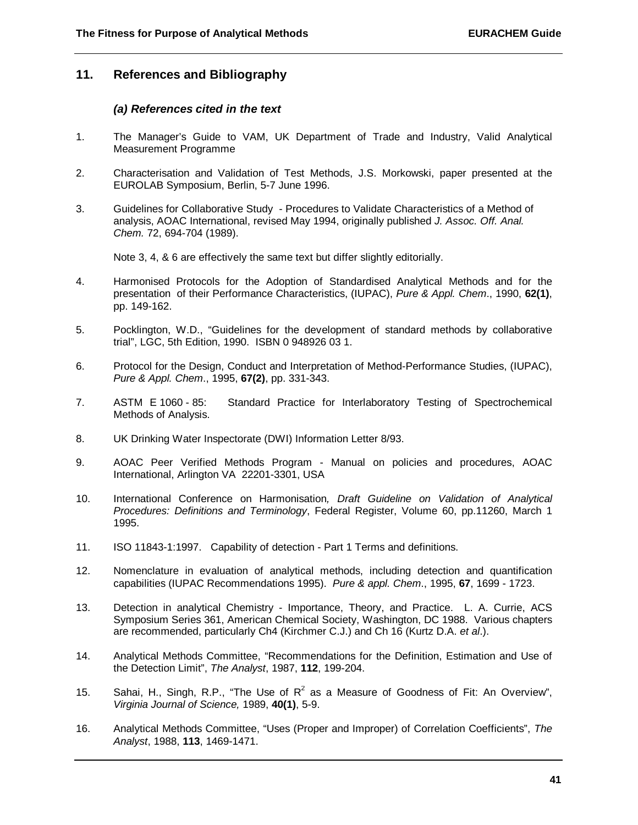# **11. References and Bibliography**

#### *(a) References cited in the text*

- 1. The Manager's Guide to VAM, UK Department of Trade and Industry, Valid Analytical Measurement Programme
- 2. Characterisation and Validation of Test Methods, J.S. Morkowski, paper presented at the EUROLAB Symposium, Berlin, 5-7 June 1996.
- 3. Guidelines for Collaborative Study Procedures to Validate Characteristics of a Method of analysis, AOAC International, revised May 1994, originally published *J. Assoc. Off. Anal. Chem.* 72, 694-704 (1989).

Note 3, 4, & 6 are effectively the same text but differ slightly editorially.

- 4. Harmonised Protocols for the Adoption of Standardised Analytical Methods and for the presentation of their Performance Characteristics, (IUPAC), *Pure & Appl. Chem*., 1990, **62(1)**, pp. 149-162.
- 5. Pocklington, W.D., "Guidelines for the development of standard methods by collaborative trial", LGC, 5th Edition, 1990. ISBN 0 948926 03 1.
- 6. Protocol for the Design, Conduct and Interpretation of Method-Performance Studies, (IUPAC), *Pure & Appl. Chem*., 1995, **67(2)**, pp. 331-343.
- 7. ASTM E 1060 85: Standard Practice for Interlaboratory Testing of Spectrochemical Methods of Analysis.
- 8. UK Drinking Water Inspectorate (DWI) Information Letter 8/93.
- 9. AOAC Peer Verified Methods Program Manual on policies and procedures, AOAC International, Arlington VA 22201-3301, USA
- 10. International Conference on Harmonisation*, Draft Guideline on Validation of Analytical Procedures: Definitions and Terminology*, Federal Register, Volume 60, pp.11260, March 1 1995.
- 11. ISO 11843-1:1997. Capability of detection Part 1 Terms and definitions.
- 12. Nomenclature in evaluation of analytical methods, including detection and quantification capabilities (IUPAC Recommendations 1995). *Pure & appl. Chem*., 1995, **67**, 1699 - 1723.
- 13. Detection in analytical Chemistry Importance, Theory, and Practice. L. A. Currie, ACS Symposium Series 361, American Chemical Society, Washington, DC 1988. Various chapters are recommended, particularly Ch4 (Kirchmer C.J.) and Ch 16 (Kurtz D.A. *et al*.).
- 14. Analytical Methods Committee, "Recommendations for the Definition, Estimation and Use of the Detection Limit", *The Analyst*, 1987, **112**, 199-204.
- 15. Sahai, H., Singh, R.P., "The Use of  $R^2$  as a Measure of Goodness of Fit: An Overview", *Virginia Journal of Science,* 1989, **40(1)**, 5-9.
- 16. Analytical Methods Committee, "Uses (Proper and Improper) of Correlation Coefficients", *The Analyst*, 1988, **113**, 1469-1471.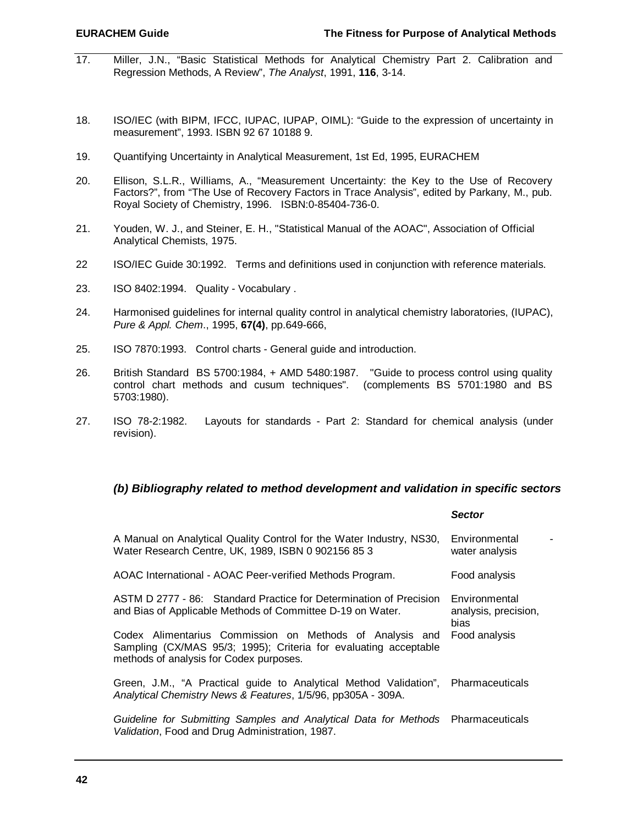- 17. Miller, J.N., "Basic Statistical Methods for Analytical Chemistry Part 2. Calibration and Regression Methods, A Review", *The Analyst*, 1991, **116**, 3-14.
- 18. ISO/IEC (with BIPM, IFCC, IUPAC, IUPAP, OIML): "Guide to the expression of uncertainty in measurement", 1993. ISBN 92 67 10188 9.
- 19. Quantifying Uncertainty in Analytical Measurement, 1st Ed, 1995, EURACHEM
- 20. Ellison, S.L.R., Williams, A., "Measurement Uncertainty: the Key to the Use of Recovery Factors?", from "The Use of Recovery Factors in Trace Analysis", edited by Parkany, M., pub. Royal Society of Chemistry, 1996. ISBN:0-85404-736-0.
- 21. Youden, W. J., and Steiner, E. H., "Statistical Manual of the AOAC", Association of Official Analytical Chemists, 1975.
- 22 ISO/IEC Guide 30:1992. Terms and definitions used in conjunction with reference materials.
- 23. ISO 8402:1994. Quality Vocabulary .
- 24. Harmonised guidelines for internal quality control in analytical chemistry laboratories, (IUPAC), *Pure & Appl. Chem*., 1995, **67(4)**, pp.649-666,
- 25. ISO 7870:1993. Control charts General guide and introduction.
- 26. British Standard BS 5700:1984, + AMD 5480:1987. "Guide to process control using quality control chart methods and cusum techniques". (complements BS 5701:1980 and BS 5703:1980).
- 27. ISO 78-2:1982. Layouts for standards Part 2: Standard for chemical analysis (under revision).

# *(b) Bibliography related to method development and validation in specific sectors*

|                                                                                                                                                                         | <b>Sector</b>                                 |  |
|-------------------------------------------------------------------------------------------------------------------------------------------------------------------------|-----------------------------------------------|--|
| A Manual on Analytical Quality Control for the Water Industry, NS30,<br>Water Research Centre, UK, 1989, ISBN 0 902156 85 3                                             | Environmental<br>water analysis               |  |
| AOAC International - AOAC Peer-verified Methods Program.                                                                                                                | Food analysis                                 |  |
| ASTM D 2777 - 86: Standard Practice for Determination of Precision<br>and Bias of Applicable Methods of Committee D-19 on Water.                                        | Environmental<br>analysis, precision,<br>bias |  |
| Codex Alimentarius Commission on Methods of Analysis and<br>Sampling (CX/MAS 95/3; 1995); Criteria for evaluating acceptable<br>methods of analysis for Codex purposes. | Food analysis                                 |  |
| Green, J.M., "A Practical guide to Analytical Method Validation", Pharmaceuticals<br>Analytical Chemistry News & Features, 1/5/96, pp305A - 309A.                       |                                               |  |
| Guideline for Submitting Samples and Analytical Data for Methods Pharmaceuticals<br>Validation, Food and Drug Administration, 1987.                                     |                                               |  |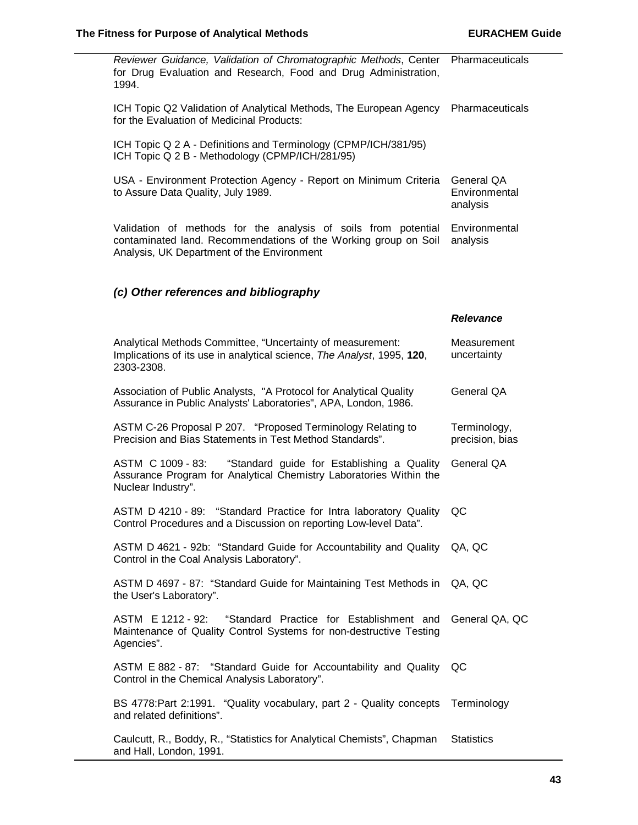| Reviewer Guidance, Validation of Chromatographic Methods, Center<br>for Drug Evaluation and Research, Food and Drug Administration,<br>1994.                                    | Pharmaceuticals                         |
|---------------------------------------------------------------------------------------------------------------------------------------------------------------------------------|-----------------------------------------|
| ICH Topic Q2 Validation of Analytical Methods, The European Agency<br>for the Evaluation of Medicinal Products:                                                                 | Pharmaceuticals                         |
| ICH Topic Q 2 A - Definitions and Terminology (CPMP/ICH/381/95)<br>ICH Topic Q 2 B - Methodology (CPMP/ICH/281/95)                                                              |                                         |
| USA - Environment Protection Agency - Report on Minimum Criteria<br>to Assure Data Quality, July 1989.                                                                          | General QA<br>Environmental<br>analysis |
| Validation of methods for the analysis of soils from potential<br>contaminated land. Recommendations of the Working group on Soil<br>Analysis, UK Department of the Environment | Environmental<br>analysis               |
| (c) Other references and bibliography                                                                                                                                           |                                         |
|                                                                                                                                                                                 | <b>Relevance</b>                        |
| Analytical Methods Committee, "Uncertainty of measurement:<br>Implications of its use in analytical science, The Analyst, 1995, 120,<br>2303-2308.                              | Measurement<br>uncertainty              |
| Association of Public Analysts, "A Protocol for Analytical Quality<br>Assurance in Public Analysts' Laboratories", APA, London, 1986.                                           | General QA                              |
| ASTM C-26 Proposal P 207. "Proposed Terminology Relating to<br>Precision and Bias Statements in Test Method Standards".                                                         | Terminology,<br>precision, bias         |
| "Standard guide for Establishing a Quality<br>ASTM C 1009 - 83:<br>Assurance Program for Analytical Chemistry Laboratories Within the<br>Nuclear Industry".                     | General QA                              |
| ASTM D 4210 - 89:<br>"Standard Practice for Intra laboratory Quality<br>Control Procedures and a Discussion on reporting Low-level Data".                                       | QC                                      |
| ASTM D 4621 - 92b: "Standard Guide for Accountability and Quality QA, QC<br>Control in the Coal Analysis Laboratory".                                                           |                                         |
| ASTM D 4697 - 87: "Standard Guide for Maintaining Test Methods in<br>the User's Laboratory".                                                                                    | QA, QC                                  |
| ASTM E 1212 - 92: "Standard Practice for Establishment and<br>Maintenance of Quality Control Systems for non-destructive Testing<br>Agencies".                                  | General QA, QC                          |
| ASTM E 882 - 87: "Standard Guide for Accountability and Quality<br>Control in the Chemical Analysis Laboratory".                                                                | QC                                      |
| BS 4778: Part 2:1991. "Quality vocabulary, part 2 - Quality concepts<br>and related definitions".                                                                               | Terminology                             |
| Caulcutt, R., Boddy, R., "Statistics for Analytical Chemists", Chapman<br>and Hall, London, 1991.                                                                               | <b>Statistics</b>                       |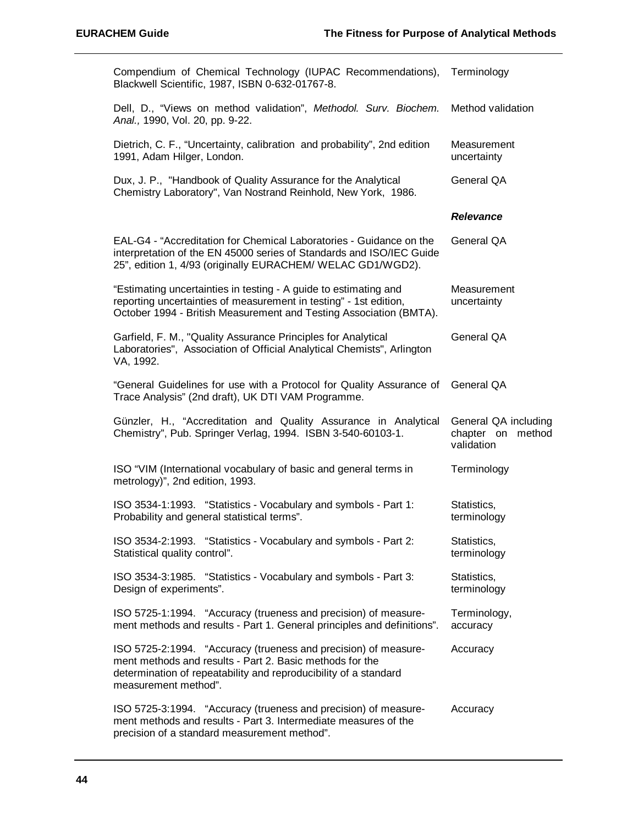| Compendium of Chemical Technology (IUPAC Recommendations), Terminology<br>Blackwell Scientific, 1987, ISBN 0-632-01767-8.                                                                                               |                                                         |
|-------------------------------------------------------------------------------------------------------------------------------------------------------------------------------------------------------------------------|---------------------------------------------------------|
| Dell, D., "Views on method validation", Methodol. Surv. Biochem.<br>Anal., 1990, Vol. 20, pp. 9-22.                                                                                                                     | Method validation                                       |
| Dietrich, C. F., "Uncertainty, calibration and probability", 2nd edition<br>1991, Adam Hilger, London.                                                                                                                  | Measurement<br>uncertainty                              |
| Dux, J. P., "Handbook of Quality Assurance for the Analytical<br>Chemistry Laboratory", Van Nostrand Reinhold, New York, 1986.                                                                                          | General QA                                              |
|                                                                                                                                                                                                                         | <b>Relevance</b>                                        |
| EAL-G4 - "Accreditation for Chemical Laboratories - Guidance on the<br>interpretation of the EN 45000 series of Standards and ISO/IEC Guide<br>25", edition 1, 4/93 (originally EURACHEM/ WELAC GD1/WGD2).              | General QA                                              |
| "Estimating uncertainties in testing - A guide to estimating and<br>reporting uncertainties of measurement in testing" - 1st edition,<br>October 1994 - British Measurement and Testing Association (BMTA).             | Measurement<br>uncertainty                              |
| Garfield, F. M., "Quality Assurance Principles for Analytical<br>Laboratories", Association of Official Analytical Chemists", Arlington<br>VA, 1992.                                                                    | General QA                                              |
| "General Guidelines for use with a Protocol for Quality Assurance of<br>Trace Analysis" (2nd draft), UK DTI VAM Programme.                                                                                              | General QA                                              |
| Günzler, H., "Accreditation and Quality Assurance in Analytical<br>Chemistry", Pub. Springer Verlag, 1994. ISBN 3-540-60103-1.                                                                                          | General QA including<br>chapter on method<br>validation |
| ISO "VIM (International vocabulary of basic and general terms in<br>metrology)", 2nd edition, 1993.                                                                                                                     | Terminology                                             |
| ISO 3534-1:1993. "Statistics - Vocabulary and symbols - Part 1:<br>Probability and general statistical terms".                                                                                                          | Statistics,<br>terminology                              |
| ISO 3534-2:1993. "Statistics - Vocabulary and symbols - Part 2:<br>Statistical quality control".                                                                                                                        | Statistics,<br>terminology                              |
| ISO 3534-3:1985. "Statistics - Vocabulary and symbols - Part 3:<br>Design of experiments".                                                                                                                              | Statistics,<br>terminology                              |
| ISO 5725-1:1994. "Accuracy (trueness and precision) of measure-<br>ment methods and results - Part 1. General principles and definitions".                                                                              | Terminology,<br>accuracy                                |
| ISO 5725-2:1994. "Accuracy (trueness and precision) of measure-<br>ment methods and results - Part 2. Basic methods for the<br>determination of repeatability and reproducibility of a standard<br>measurement method". | Accuracy                                                |
| ISO 5725-3:1994. "Accuracy (trueness and precision) of measure-<br>ment methods and results - Part 3. Intermediate measures of the<br>precision of a standard measurement method".                                      | Accuracy                                                |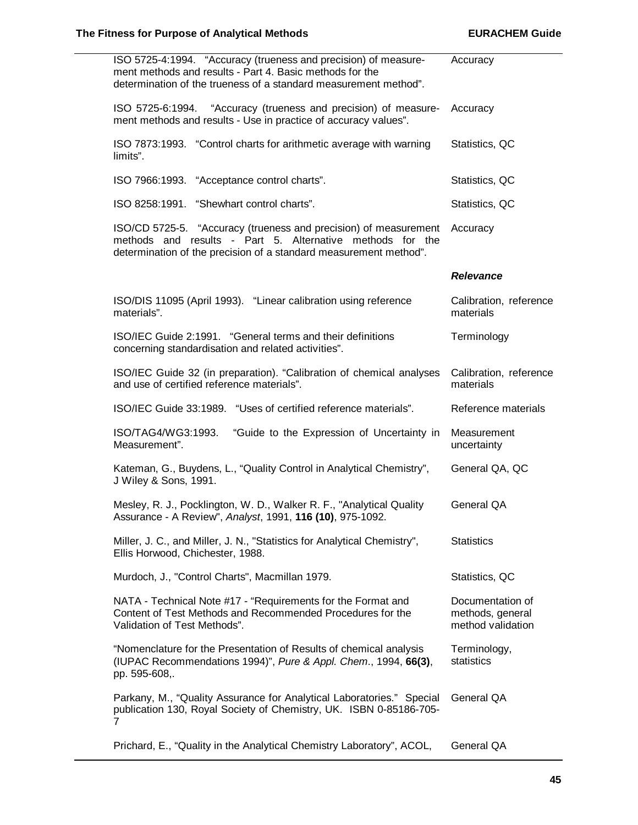| ISO 5725-4:1994. "Accuracy (trueness and precision) of measure-<br>ment methods and results - Part 4. Basic methods for the<br>determination of the trueness of a standard measurement method".    | Accuracy                                                  |
|----------------------------------------------------------------------------------------------------------------------------------------------------------------------------------------------------|-----------------------------------------------------------|
| ISO 5725-6:1994. "Accuracy (trueness and precision) of measure-<br>ment methods and results - Use in practice of accuracy values".                                                                 | Accuracy                                                  |
| ISO 7873:1993. "Control charts for arithmetic average with warning<br>limits".                                                                                                                     | Statistics, QC                                            |
| ISO 7966:1993. "Acceptance control charts".                                                                                                                                                        | Statistics, QC                                            |
| ISO 8258:1991. "Shewhart control charts".                                                                                                                                                          | Statistics, QC                                            |
| ISO/CD 5725-5. "Accuracy (trueness and precision) of measurement<br>methods and results - Part 5. Alternative methods for the<br>determination of the precision of a standard measurement method". | Accuracy                                                  |
|                                                                                                                                                                                                    | <b>Relevance</b>                                          |
| ISO/DIS 11095 (April 1993). "Linear calibration using reference<br>materials".                                                                                                                     | Calibration, reference<br>materials                       |
| ISO/IEC Guide 2:1991. "General terms and their definitions<br>concerning standardisation and related activities".                                                                                  | Terminology                                               |
| ISO/IEC Guide 32 (in preparation). "Calibration of chemical analyses<br>and use of certified reference materials".                                                                                 | Calibration, reference<br>materials                       |
| ISO/IEC Guide 33:1989. "Uses of certified reference materials".                                                                                                                                    | Reference materials                                       |
| ISO/TAG4/WG3:1993.<br>"Guide to the Expression of Uncertainty in<br>Measurement".                                                                                                                  | Measurement<br>uncertainty                                |
| Kateman, G., Buydens, L., "Quality Control in Analytical Chemistry",<br>J Wiley & Sons, 1991.                                                                                                      | General QA, QC                                            |
| Mesley, R. J., Pocklington, W. D., Walker R. F., "Analytical Quality<br>Assurance - A Review", Analyst, 1991, 116 (10), 975-1092.                                                                  | General QA                                                |
| Miller, J. C., and Miller, J. N., "Statistics for Analytical Chemistry",<br>Ellis Horwood, Chichester, 1988.                                                                                       | <b>Statistics</b>                                         |
|                                                                                                                                                                                                    |                                                           |
| Murdoch, J., "Control Charts", Macmillan 1979.                                                                                                                                                     | Statistics, QC                                            |
| NATA - Technical Note #17 - "Requirements for the Format and<br>Content of Test Methods and Recommended Procedures for the<br>Validation of Test Methods".                                         | Documentation of<br>methods, general<br>method validation |
| "Nomenclature for the Presentation of Results of chemical analysis<br>(IUPAC Recommendations 1994)", Pure & Appl. Chem., 1994, 66(3),<br>pp. 595-608,.                                             | Terminology,<br>statistics                                |
| Parkany, M., "Quality Assurance for Analytical Laboratories." Special<br>publication 130, Royal Society of Chemistry, UK. ISBN 0-85186-705-<br>7                                                   | General QA                                                |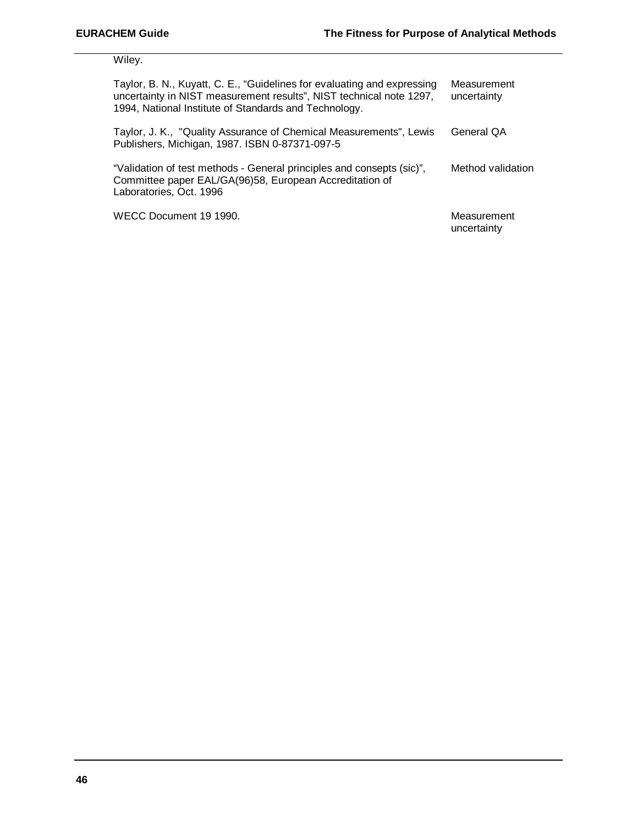Wiley.

| Taylor, B. N., Kuyatt, C. E., "Guidelines for evaluating and expressing<br>uncertainty in NIST measurement results", NIST technical note 1297,<br>1994, National Institute of Standards and Technology. | Measurement<br>uncertainty |
|---------------------------------------------------------------------------------------------------------------------------------------------------------------------------------------------------------|----------------------------|
| Taylor, J. K., "Quality Assurance of Chemical Measurements", Lewis<br>Publishers, Michigan, 1987. ISBN 0-87371-097-5                                                                                    | General QA                 |
| "Validation of test methods - General principles and consepts (sic)",<br>Committee paper EAL/GA(96)58, European Accreditation of<br>Laboratories, Oct. 1996                                             | Method validation          |
| WECC Document 19 1990.                                                                                                                                                                                  | Measurement<br>uncertainty |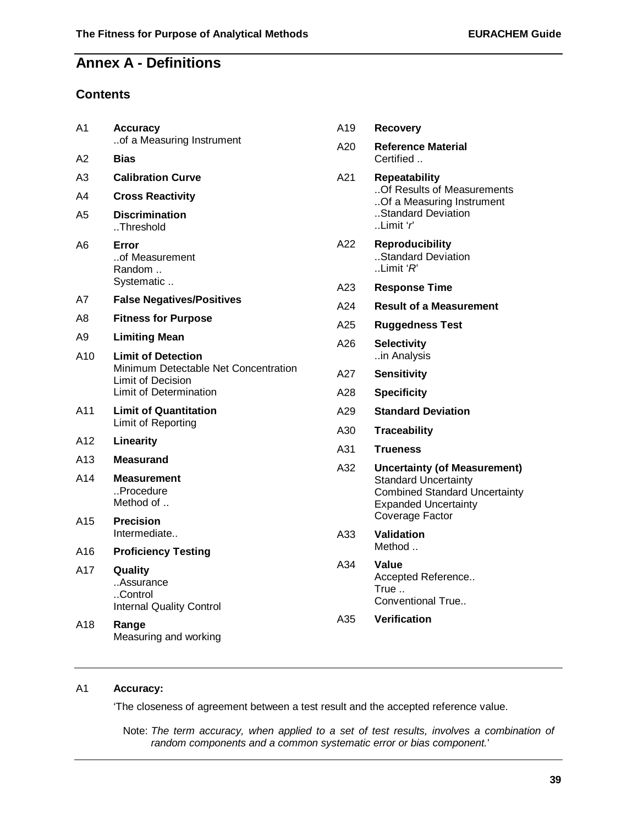# **Annex A - Definitions**

# **Contents**

| A <sub>1</sub>                | <b>Accuracy</b>                                                                      | A19 | <b>Recovery</b>                                                                                                                                              |
|-------------------------------|--------------------------------------------------------------------------------------|-----|--------------------------------------------------------------------------------------------------------------------------------------------------------------|
| A2                            | of a Measuring Instrument<br><b>Bias</b>                                             | A20 | <b>Reference Material</b><br>Certified                                                                                                                       |
| A3                            | <b>Calibration Curve</b>                                                             | A21 | <b>Repeatability</b>                                                                                                                                         |
| A4                            | <b>Cross Reactivity</b>                                                              |     | Of Results of Measurements                                                                                                                                   |
| A5                            | <b>Discrimination</b><br>Threshold                                                   |     | Of a Measuring Instrument<br>Standard Deviation<br>.Limit'                                                                                                   |
| A6                            | Error<br>of Measurement<br>Random                                                    | A22 | <b>Reproducibility</b><br>Standard Deviation<br>. Limit $R$                                                                                                  |
|                               | Systematic                                                                           | A23 | <b>Response Time</b>                                                                                                                                         |
| A7                            | <b>False Negatives/Positives</b>                                                     | A24 | <b>Result of a Measurement</b>                                                                                                                               |
| A8                            | <b>Fitness for Purpose</b>                                                           | A25 | <b>Ruggedness Test</b>                                                                                                                                       |
| A9<br>A10                     | <b>Limiting Mean</b><br><b>Limit of Detection</b>                                    | A26 | <b>Selectivity</b><br>in Analysis                                                                                                                            |
|                               | Minimum Detectable Net Concentration<br>Limit of Decision                            | A27 | <b>Sensitivity</b>                                                                                                                                           |
|                               | Limit of Determination                                                               | A28 | <b>Specificity</b>                                                                                                                                           |
| A11                           | <b>Limit of Quantitation</b>                                                         | A29 | <b>Standard Deviation</b>                                                                                                                                    |
|                               | Limit of Reporting                                                                   | A30 | <b>Traceability</b>                                                                                                                                          |
| A12                           | Linearity                                                                            | A31 | <b>Trueness</b>                                                                                                                                              |
| A13<br>A14<br>A <sub>15</sub> | <b>Measurand</b><br><b>Measurement</b><br>Procedure<br>Method of<br><b>Precision</b> | A32 | <b>Uncertainty (of Measurement)</b><br><b>Standard Uncertainty</b><br><b>Combined Standard Uncertainty</b><br><b>Expanded Uncertainty</b><br>Coverage Factor |
|                               | Intermediate                                                                         | A33 | <b>Validation</b>                                                                                                                                            |
| A16                           | <b>Proficiency Testing</b>                                                           |     | Method                                                                                                                                                       |
| A17                           | Quality<br>Assurance<br>Control<br><b>Internal Quality Control</b>                   | A34 | Value<br>Accepted Reference<br>True<br>Conventional True                                                                                                     |
| A18                           | Range<br>Measuring and working                                                       | A35 | <b>Verification</b>                                                                                                                                          |

# A1 **Accuracy:**

'The closeness of agreement between a test result and the accepted reference value.

Note: *The term accuracy, when applied to a set of test results, involves a combination of random components and a common systematic error or bias component.*'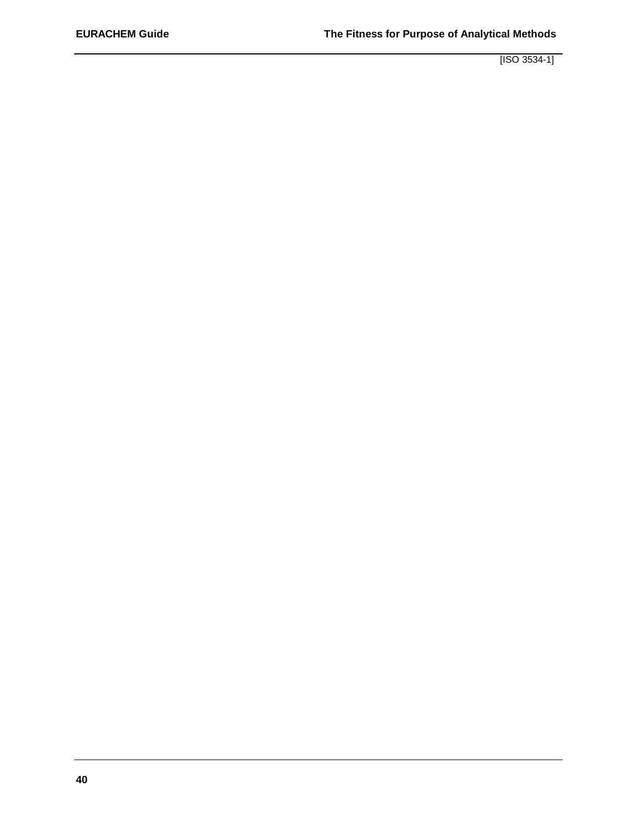[ISO 3534-1]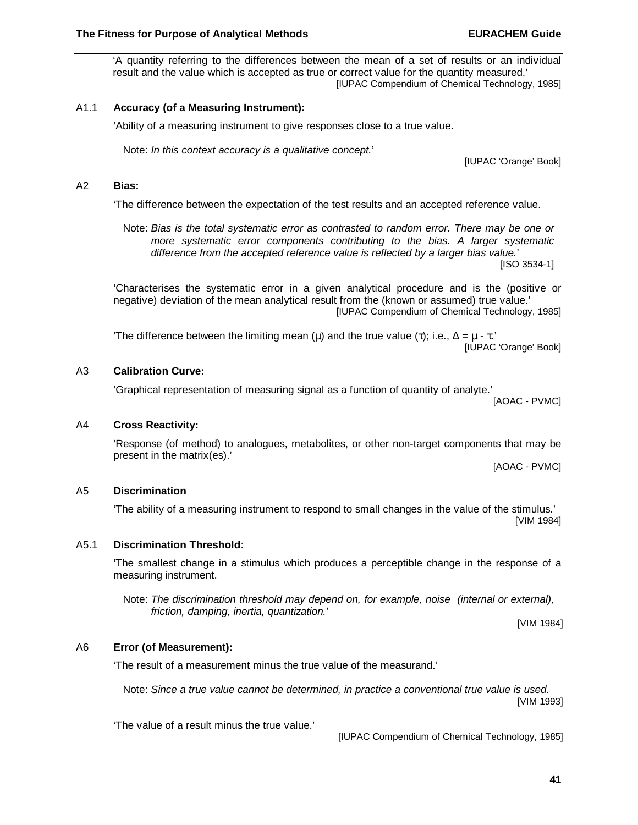'A quantity referring to the differences between the mean of a set of results or an individual result and the value which is accepted as true or correct value for the quantity measured.' [IUPAC Compendium of Chemical Technology, 1985]

## A1.1 **Accuracy (of a Measuring Instrument):**

'Ability of a measuring instrument to give responses close to a true value.

Note: *In this context accuracy is a qualitative concept.*'

## A2 **Bias:**

'The difference between the expectation of the test results and an accepted reference value.

Note: *Bias is the total systematic error as contrasted to random error. There may be one or more systematic error components contributing to the bias. A larger systematic difference from the accepted reference value is reflected by a larger bias value.*' [ISO 3534-1]

'Characterises the systematic error in a given analytical procedure and is the (positive or negative) deviation of the mean analytical result from the (known or assumed) true value.'

[IUPAC Compendium of Chemical Technology, 1985]

The difference between the limiting mean (μ) and the true value (τ); i.e.,  $\Delta = \mu - \tau$ . [IUPAC 'Orange' Book]

#### A3 **Calibration Curve:**

'Graphical representation of measuring signal as a function of quantity of analyte.'

[AOAC - PVMC]

#### A4 **Cross Reactivity:**

'Response (of method) to analogues, metabolites, or other non-target components that may be present in the matrix(es).'

[AOAC - PVMC]

#### A5 **Discrimination**

'The ability of a measuring instrument to respond to small changes in the value of the stimulus.' [VIM 1984]

#### A5.1 **Discrimination Threshold**:

'The smallest change in a stimulus which produces a perceptible change in the response of a measuring instrument.

Note: *The discrimination threshold may depend on, for example, noise (internal or external), friction, damping, inertia, quantization.*'

[VIM 1984]

#### A6 **Error (of Measurement):**

'The result of a measurement minus the true value of the measurand.'

Note: *Since a true value cannot be determined, in practice a conventional true value is used.* [VIM 1993]

'The value of a result minus the true value.'

[IUPAC Compendium of Chemical Technology, 1985]

[IUPAC 'Orange' Book]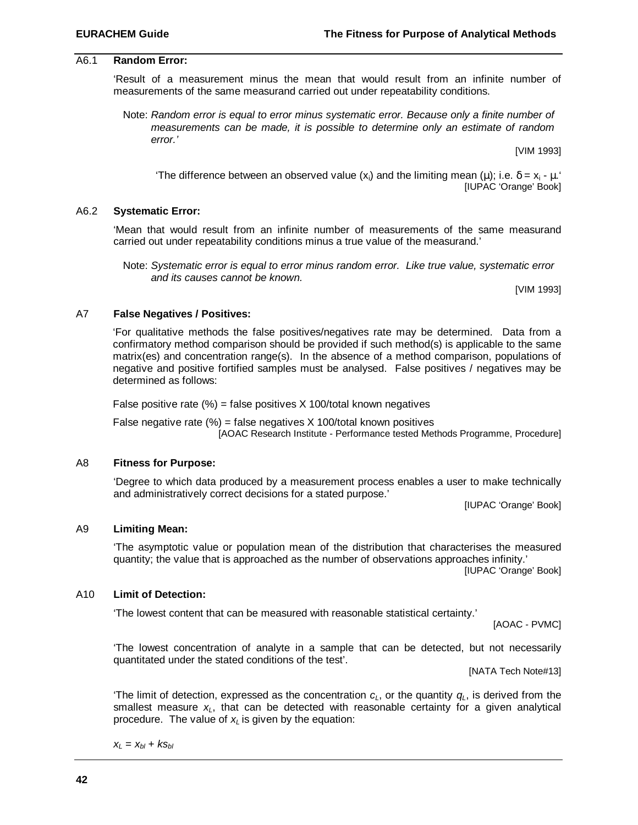#### A6.1 **Random Error:**

'Result of a measurement minus the mean that would result from an infinite number of measurements of the same measurand carried out under repeatability conditions.

Note: *Random error is equal to error minus systematic error. Because only a finite number of measurements can be made, it is possible to determine only an estimate of random error.'*

[VIM 1993]

The difference between an observed value (x<sub>i</sub>) and the limiting mean (μ); i.e.  $\delta = x_i - \mu$ . [IUPAC 'Orange' Book]

#### A6.2 **Systematic Error:**

'Mean that would result from an infinite number of measurements of the same measurand carried out under repeatability conditions minus a true value of the measurand.'

Note: *Systematic error is equal to error minus random error. Like true value, systematic error and its causes cannot be known.*

[VIM 1993]

#### A7 **False Negatives / Positives:**

'For qualitative methods the false positives/negatives rate may be determined. Data from a confirmatory method comparison should be provided if such method(s) is applicable to the same matrix(es) and concentration range(s). In the absence of a method comparison, populations of negative and positive fortified samples must be analysed. False positives / negatives may be determined as follows:

False positive rate  $\frac{9}{6}$  = false positives X 100/total known negatives

False negative rate  $\frac{9}{6}$  = false negatives X 100/total known positives [AOAC Research Institute - Performance tested Methods Programme, Procedure]

#### A8 **Fitness for Purpose:**

'Degree to which data produced by a measurement process enables a user to make technically and administratively correct decisions for a stated purpose.'

[IUPAC 'Orange' Book]

#### A9 **Limiting Mean:**

'The asymptotic value or population mean of the distribution that characterises the measured quantity; the value that is approached as the number of observations approaches infinity.'

[IUPAC 'Orange' Book]

#### A10 **Limit of Detection:**

'The lowest content that can be measured with reasonable statistical certainty.'

[AOAC - PVMC]

'The lowest concentration of analyte in a sample that can be detected, but not necessarily quantitated under the stated conditions of the test'.

[NATA Tech Note#13]

'The limit of detection, expressed as the concentration  $c<sub>L</sub>$ , or the quantity  $q<sub>L</sub>$ , is derived from the smallest measure *xL*, that can be detected with reasonable certainty for a given analytical procedure. The value of *x<sup>L</sup>* is given by the equation:

$$
x_L = x_{bl} + k s_{bl}
$$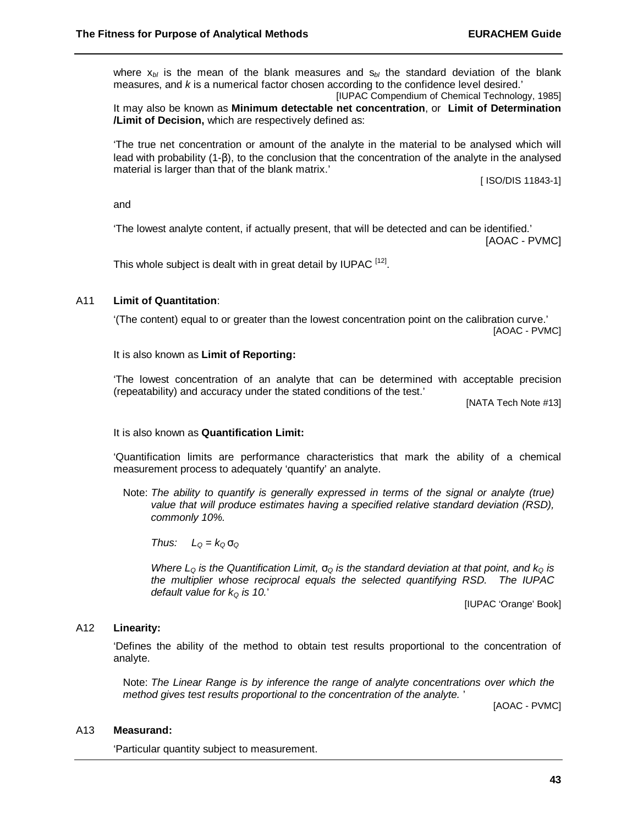where  $x_{b}$  is the mean of the blank measures and  $s_{b}$  the standard deviation of the blank measures, and *k* is a numerical factor chosen according to the confidence level desired.'

[IUPAC Compendium of Chemical Technology, 1985] It may also be known as **Minimum detectable net concentration**, or **Limit of Determination /Limit of Decision,** which are respectively defined as:

'The true net concentration or amount of the analyte in the material to be analysed which will lead with probability (1-β), to the conclusion that the concentration of the analyte in the analysed material is larger than that of the blank matrix.'

[ ISO/DIS 11843-1]

and

'The lowest analyte content, if actually present, that will be detected and can be identified.' [AOAC - PVMC]

This whole subject is dealt with in great detail by IUPAC  $^{[12]}$ .

#### A11 **Limit of Quantitation**:

'(The content) equal to or greater than the lowest concentration point on the calibration curve.' [AOAC - PVMC]

It is also known as **Limit of Reporting:**

'The lowest concentration of an analyte that can be determined with acceptable precision (repeatability) and accuracy under the stated conditions of the test.'

[NATA Tech Note #13]

#### It is also known as **Quantification Limit:**

'Quantification limits are performance characteristics that mark the ability of a chemical measurement process to adequately 'quantify' an analyte.

Note: *The ability to quantify is generally expressed in terms of the signal or analyte (true) value that will produce estimates having a specified relative standard deviation (RSD), commonly 10%.*

*Thus:*  $L_0 = k_0 s_0$ 

*Where L*<sup> $O$ </sup> *is the Quantification Limit,*  $S<sub>O</sub>$  *<i>is the standard deviation at that point, and k*<sup> $O$ </sup> *is the multiplier whose reciprocal equals the selected quantifying RSD. The IUPAC default value for kQ is 10.*'

[IUPAC 'Orange' Book]

#### A12 **Linearity:**

'Defines the ability of the method to obtain test results proportional to the concentration of analyte.

Note: *The Linear Range is by inference the range of analyte concentrations over which the method gives test results proportional to the concentration of the analyte.* '

[AOAC - PVMC]

#### A13 **Measurand:**

'Particular quantity subject to measurement.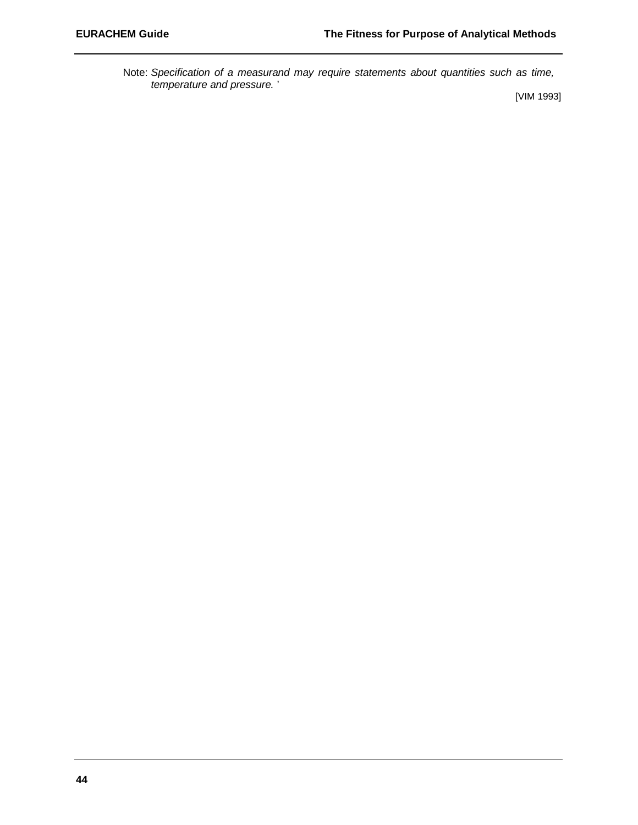Note: *Specification of a measurand may require statements about quantities such as time, temperature and pressure.* '

[VIM 1993]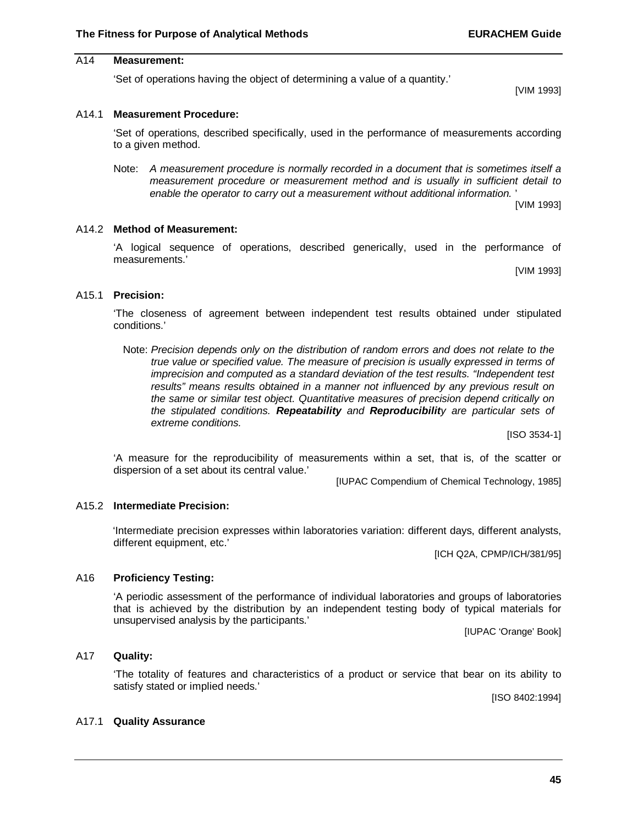# A14 **Measurement:**

'Set of operations having the object of determining a value of a quantity.'

[VIM 1993]

#### A14.1 **Measurement Procedure:**

'Set of operations, described specifically, used in the performance of measurements according to a given method.

Note: *A measurement procedure is normally recorded in a document that is sometimes itself a measurement procedure or measurement method and is usually in sufficient detail to enable the operator to carry out a measurement without additional information.* '

[VIM 1993]

#### A14.2 **Method of Measurement:**

'A logical sequence of operations, described generically, used in the performance of measurements.'

[VIM 1993]

#### A15.1 **Precision:**

'The closeness of agreement between independent test results obtained under stipulated conditions.'

Note: *Precision depends only on the distribution of random errors and does not relate to the true value or specified value. The measure of precision is usually expressed in terms of imprecision and computed as a standard deviation of the test results. "Independent test results" means results obtained in a manner not influenced by any previous result on the same or similar test object. Quantitative measures of precision depend critically on the stipulated conditions. Repeatability and Reproducibility are particular sets of extreme conditions.*

[ISO 3534-1]

'A measure for the reproducibility of measurements within a set, that is, of the scatter or dispersion of a set about its central value.'

[IUPAC Compendium of Chemical Technology, 1985]

#### A15.2 **Intermediate Precision:**

'Intermediate precision expresses within laboratories variation: different days, different analysts, different equipment, etc.'

[ICH Q2A, CPMP/ICH/381/95]

#### A16 **Proficiency Testing:**

'A periodic assessment of the performance of individual laboratories and groups of laboratories that is achieved by the distribution by an independent testing body of typical materials for unsupervised analysis by the participants.'

[IUPAC 'Orange' Book]

#### A17 **Quality:**

'The totality of features and characteristics of a product or service that bear on its ability to satisfy stated or implied needs.'

[ISO 8402:1994]

#### A17.1 **Quality Assurance**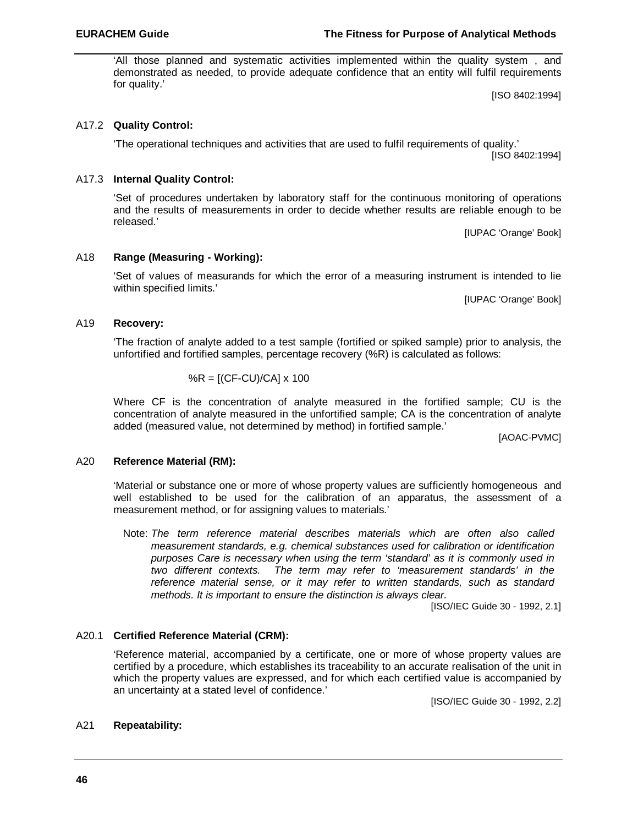'All those planned and systematic activities implemented within the quality system , and demonstrated as needed, to provide adequate confidence that an entity will fulfil requirements for quality.'

[ISO 8402:1994]

# A17.2 **Quality Control:**

'The operational techniques and activities that are used to fulfil requirements of quality.' [ISO 8402:1994]

# A17.3 **Internal Quality Control:**

'Set of procedures undertaken by laboratory staff for the continuous monitoring of operations and the results of measurements in order to decide whether results are reliable enough to be released.'

[IUPAC 'Orange' Book]

# A18 **Range (Measuring - Working):**

'Set of values of measurands for which the error of a measuring instrument is intended to lie within specified limits.'

[IUPAC 'Orange' Book]

# A19 **Recovery:**

'The fraction of analyte added to a test sample (fortified or spiked sample) prior to analysis, the unfortified and fortified samples, percentage recovery (%R) is calculated as follows:

$$
\%R = [(CF-CU)/CA] \times 100
$$

Where CF is the concentration of analyte measured in the fortified sample; CU is the concentration of analyte measured in the unfortified sample; CA is the concentration of analyte added (measured value, not determined by method) in fortified sample.'

[AOAC-PVMC]

# A20 **Reference Material (RM):**

'Material or substance one or more of whose property values are sufficiently homogeneous and well established to be used for the calibration of an apparatus, the assessment of a measurement method, or for assigning values to materials.'

Note: *The term reference material describes materials which are often also called measurement standards, e.g. chemical substances used for calibration or identification purposes Care is necessary when using the term 'standard' as it is commonly used in two different contexts. The term may refer to 'measurement standards' in the reference material sense, or it may refer to written standards, such as standard methods. It is important to ensure the distinction is always clear.*

[ISO/IEC Guide 30 - 1992, 2.1]

# A20.1 **Certified Reference Material (CRM):**

'Reference material, accompanied by a certificate, one or more of whose property values are certified by a procedure, which establishes its traceability to an accurate realisation of the unit in which the property values are expressed, and for which each certified value is accompanied by an uncertainty at a stated level of confidence.'

[ISO/IEC Guide 30 - 1992, 2.2]

# A21 **Repeatability:**

#### **EURACHEM Guide The Fitness for Purpose of Analytical Methods**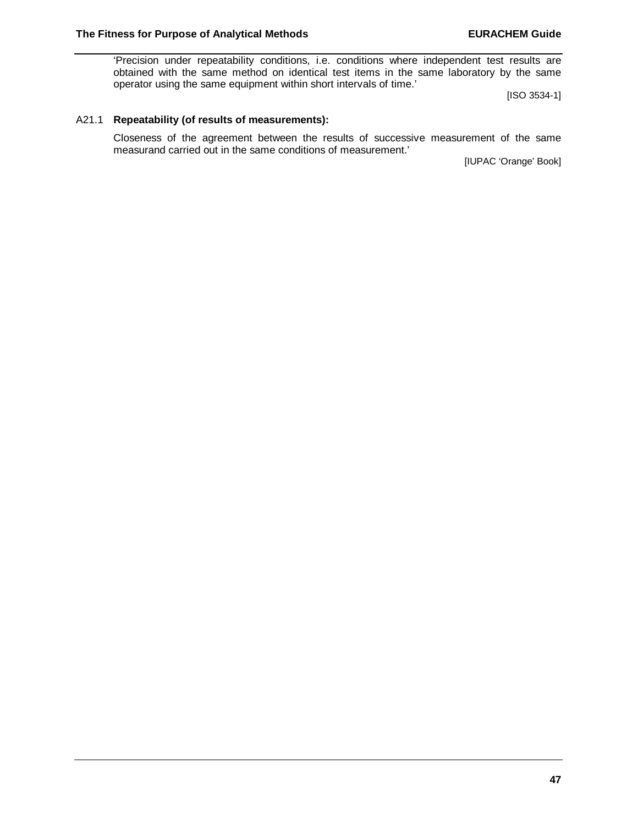'Precision under repeatability conditions, i.e. conditions where independent test results are obtained with the same method on identical test items in the same laboratory by the same operator using the same equipment within short intervals of time.'

[ISO 3534-1]

#### A21.1 **Repeatability (of results of measurements):**

Closeness of the agreement between the results of successive measurement of the same measurand carried out in the same conditions of measurement.'

[IUPAC 'Orange' Book]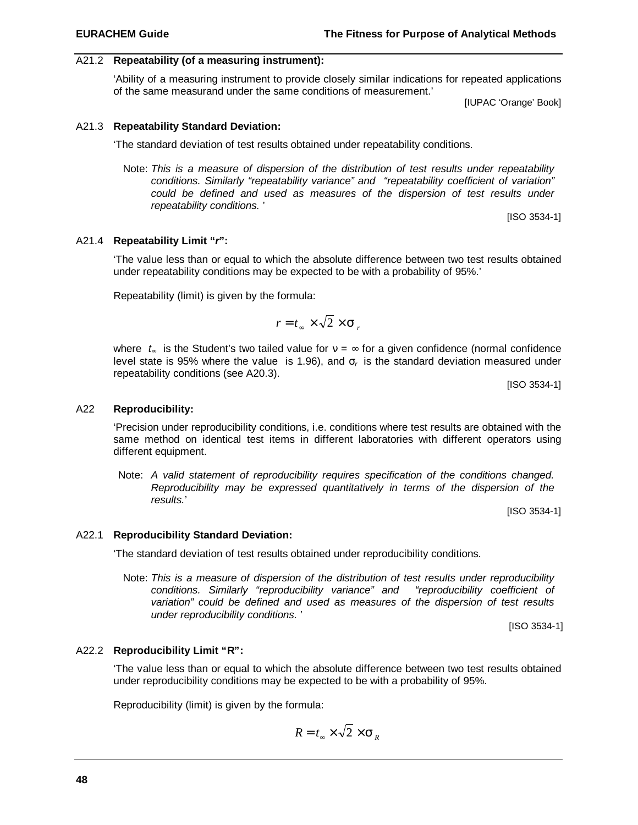#### A21.2 **Repeatability (of a measuring instrument):**

'Ability of a measuring instrument to provide closely similar indications for repeated applications of the same measurand under the same conditions of measurement.'

[IUPAC 'Orange' Book]

#### A21.3 **Repeatability Standard Deviation:**

'The standard deviation of test results obtained under repeatability conditions.

Note: *This is a measure of dispersion of the distribution of test results under repeatability conditions. Similarly "repeatability variance" and "repeatability coefficient of variation" could be defined and used as measures of the dispersion of test results under repeatability conditions.* '

[ISO 3534-1]

# A21.4 **Repeatability Limit "***r***":**

'The value less than or equal to which the absolute difference between two test results obtained under repeatability conditions may be expected to be with a probability of 95%.'

Repeatability (limit) is given by the formula:

$$
r = t_{\infty} \times \sqrt{2} \times \mathbf{s}_r
$$

where  $t_{\infty}$  is the Student's two tailed value for  $v = \infty$  for a given confidence (normal confidence level state is 95% where the value is 1.96), and *s<sup>r</sup>*  is the standard deviation measured under repeatability conditions (see A20.3).

[ISO 3534-1]

#### A22 **Reproducibility:**

'Precision under reproducibility conditions, i.e. conditions where test results are obtained with the same method on identical test items in different laboratories with different operators using different equipment.

Note: *A valid statement of reproducibility requires specification of the conditions changed. Reproducibility may be expressed quantitatively in terms of the dispersion of the results.*'

[ISO 3534-1]

#### A22.1 **Reproducibility Standard Deviation:**

'The standard deviation of test results obtained under reproducibility conditions.

Note: *This is a measure of dispersion of the distribution of test results under reproducibility conditions. Similarly "reproducibility variance" and "reproducibility coefficient of variation" could be defined and used as measures of the dispersion of test results under reproducibility conditions.* '

[ISO 3534-1]

#### A22.2 **Reproducibility Limit "R":**

'The value less than or equal to which the absolute difference between two test results obtained under reproducibility conditions may be expected to be with a probability of 95%.

Reproducibility (limit) is given by the formula:

$$
R = t_{\infty} \times \sqrt{2} \times \mathbf{S}_{R}
$$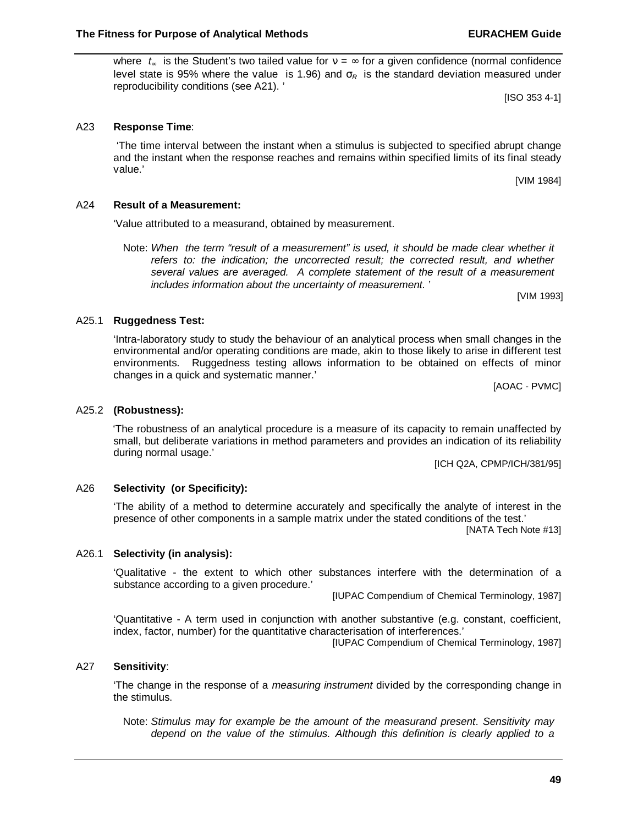where  $t_{\infty}$  is the Student's two tailed value for  $v = \infty$  for a given confidence (normal confidence level state is 95% where the value is 1.96) and *s<sup>R</sup>*  is the standard deviation measured under reproducibility conditions (see A21). '

'The time interval between the instant when a stimulus is subjected to specified abrupt change

[ISO 353 4-1]

and the instant when the response reaches and remains within specified limits of its final steady

'Value attributed to a measurand, obtained by measurement.

Note: *When the term "result of a measurement" is used, it should be made clear whether it refers to: the indication; the uncorrected result; the corrected result, and whether several values are averaged. A complete statement of the result of a measurement includes information about the uncertainty of measurement.* '

[VIM 1993]

# A25.1 **Ruggedness Test:**

A23 **Response Time**:

value.'

A24 **Result of a Measurement:**

'Intra-laboratory study to study the behaviour of an analytical process when small changes in the environmental and/or operating conditions are made, akin to those likely to arise in different test environments. Ruggedness testing allows information to be obtained on effects of minor changes in a quick and systematic manner.'

[AOAC - PVMC]

'The robustness of an analytical procedure is a measure of its capacity to remain unaffected by small, but deliberate variations in method parameters and provides an indication of its reliability during normal usage.'

[ICH Q2A, CPMP/ICH/381/95]

# A26 **Selectivity (or Specificity):**

'The ability of a method to determine accurately and specifically the analyte of interest in the presence of other components in a sample matrix under the stated conditions of the test.'

[NATA Tech Note #13]

#### A26.1 **Selectivity (in analysis):**

'Qualitative - the extent to which other substances interfere with the determination of a substance according to a given procedure.'

[IUPAC Compendium of Chemical Terminology, 1987]

'Quantitative - A term used in conjunction with another substantive (e.g. constant, coefficient, index, factor, number) for the quantitative characterisation of interferences.'

[IUPAC Compendium of Chemical Terminology, 1987]

#### A27 **Sensitivity**:

'The change in the response of a *measuring instrument* divided by the corresponding change in the stimulus.

Note: *Stimulus may for example be the amount of the measurand present*. *Sensitivity may depend on the value of the stimulus. Although this definition is clearly applied to a*

#### A25.2 **(Robustness):**

[VIM 1984]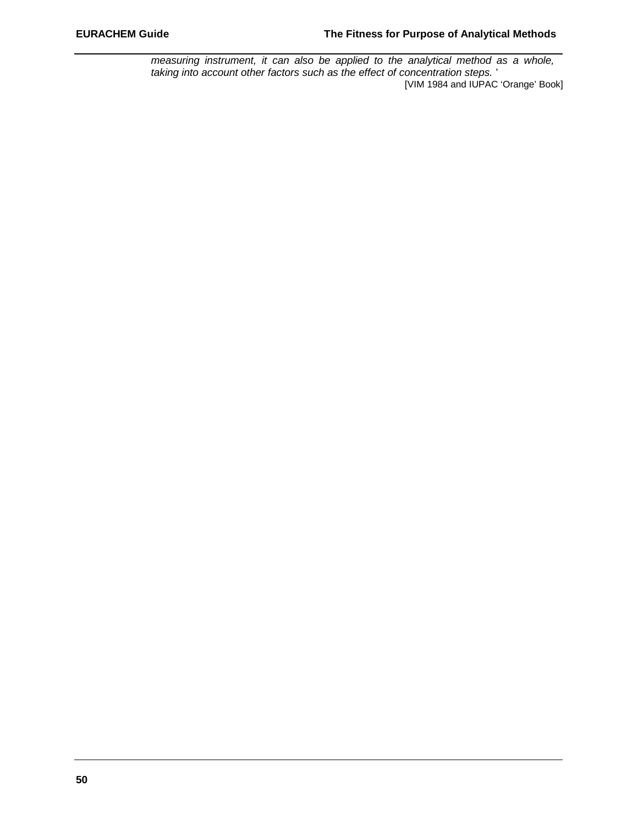*measuring instrument, it can also be applied to the analytical method as a whole, taking into account other factors such as the effect of concentration steps.* ' [VIM 1984 and IUPAC 'Orange' Book]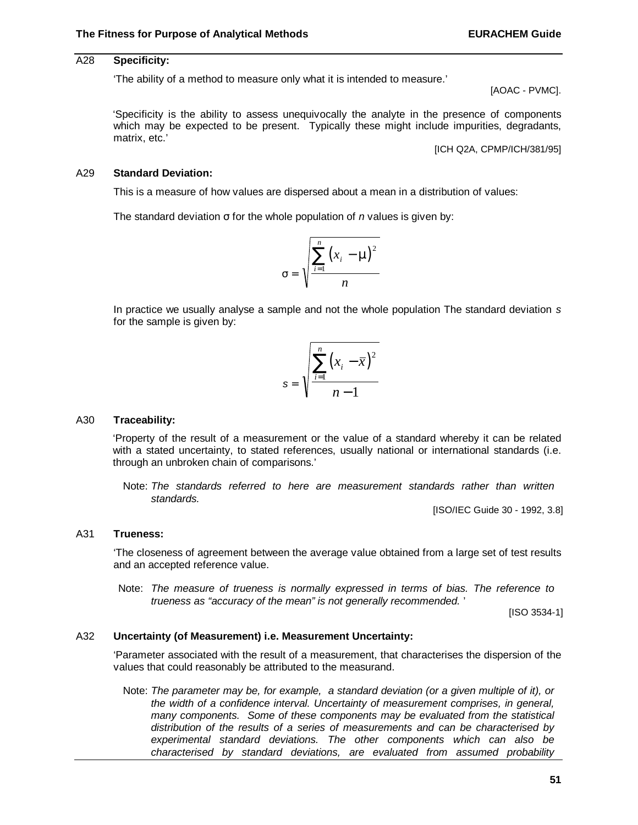# A28 **Specificity:**

'The ability of a method to measure only what it is intended to measure.'

[AOAC - PVMC].

'Specificity is the ability to assess unequivocally the analyte in the presence of components which may be expected to be present. Typically these might include impurities, degradants, matrix, etc.'

[ICH Q2A, CPMP/ICH/381/95]

#### A29 **Standard Deviation:**

This is a measure of how values are dispersed about a mean in a distribution of values:

The standard deviation σ for the whole population of *n* values is given by:



In practice we usually analyse a sample and not the whole population The standard deviation *s* for the sample is given by:

$$
s = \sqrt{\frac{\sum_{i=1}^{n} (x_i - \overline{x})^2}{n-1}}
$$

#### A30 **Traceability:**

'Property of the result of a measurement or the value of a standard whereby it can be related with a stated uncertainty, to stated references, usually national or international standards (i.e. through an unbroken chain of comparisons.'

Note: *The standards referred to here are measurement standards rather than written standards.*

[ISO/IEC Guide 30 - 1992, 3.8]

#### A31 **Trueness:**

'The closeness of agreement between the average value obtained from a large set of test results and an accepted reference value.

Note: *The measure of trueness is normally expressed in terms of bias. The reference to trueness as "accuracy of the mean" is not generally recommended.* '

[ISO 3534-1]

#### A32 **Uncertainty (of Measurement) i.e. Measurement Uncertainty:**

'Parameter associated with the result of a measurement, that characterises the dispersion of the values that could reasonably be attributed to the measurand.

Note: *The parameter may be, for example, a standard deviation (or a given multiple of it), or the width of a confidence interval. Uncertainty of measurement comprises, in general, many components. Some of these components may be evaluated from the statistical distribution of the results of a series of measurements and can be characterised by experimental standard deviations. The other components which can also be characterised by standard deviations, are evaluated from assumed probability*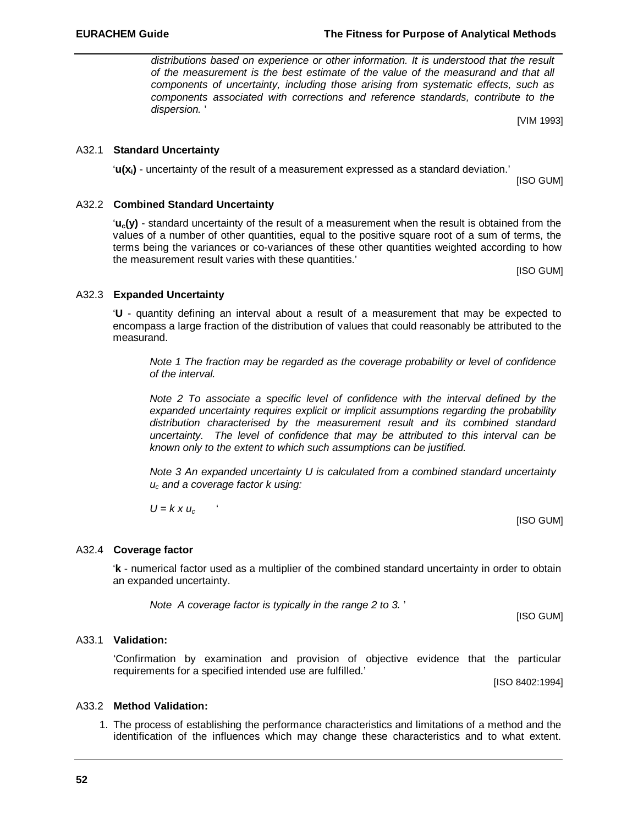*distributions based on experience or other information. It is understood that the result of the measurement is the best estimate of the value of the measurand and that all components of uncertainty, including those arising from systematic effects, such as components associated with corrections and reference standards, contribute to the dispersion.* '

[VIM 1993]

#### A32.1 **Standard Uncertainty**

'**u(xi)** - uncertainty of the result of a measurement expressed as a standard deviation.'

[ISO GUM]

### A32.2 **Combined Standard Uncertainty**

'**uc(y)** - standard uncertainty of the result of a measurement when the result is obtained from the values of a number of other quantities, equal to the positive square root of a sum of terms, the terms being the variances or co-variances of these other quantities weighted according to how the measurement result varies with these quantities.'

[ISO GUM]

#### A32.3 **Expanded Uncertainty**

'**U** - quantity defining an interval about a result of a measurement that may be expected to encompass a large fraction of the distribution of values that could reasonably be attributed to the measurand.

*Note 1 The fraction may be regarded as the coverage probability or level of confidence of the interval.*

*Note 2 To associate a specific level of confidence with the interval defined by the expanded uncertainty requires explicit or implicit assumptions regarding the probability distribution characterised by the measurement result and its combined standard uncertainty. The level of confidence that may be attributed to this interval can be known only to the extent to which such assumptions can be justified.*

*Note 3 An expanded uncertainty U is calculated from a combined standard uncertainty uc and a coverage factor k using:*

 $U = k \times u_c$ 

#### A32.4 **Coverage factor**

'**k** - numerical factor used as a multiplier of the combined standard uncertainty in order to obtain an expanded uncertainty.

*Note A coverage factor is typically in the range 2 to 3.* '

[ISO GUM]

[ISO GUM]

#### A33.1 **Validation:**

'Confirmation by examination and provision of objective evidence that the particular requirements for a specified intended use are fulfilled.'

[ISO 8402:1994]

# A33.2 **Method Validation:**

1. The process of establishing the performance characteristics and limitations of a method and the identification of the influences which may change these characteristics and to what extent.

**EURACHEM Guide The Fitness for Purpose of Analytical Methods**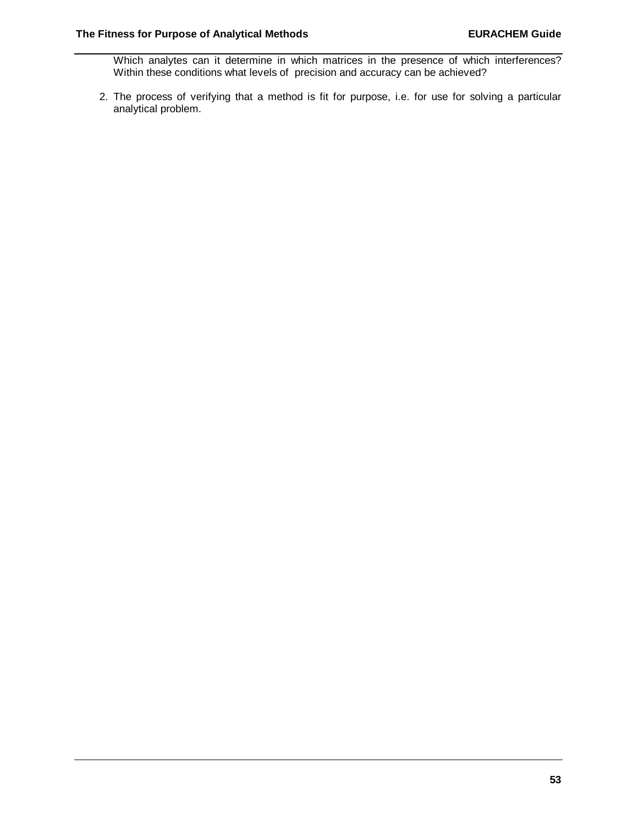Which analytes can it determine in which matrices in the presence of which interferences? Within these conditions what levels of precision and accuracy can be achieved?

2. The process of verifying that a method is fit for purpose, i.e. for use for solving a particular analytical problem.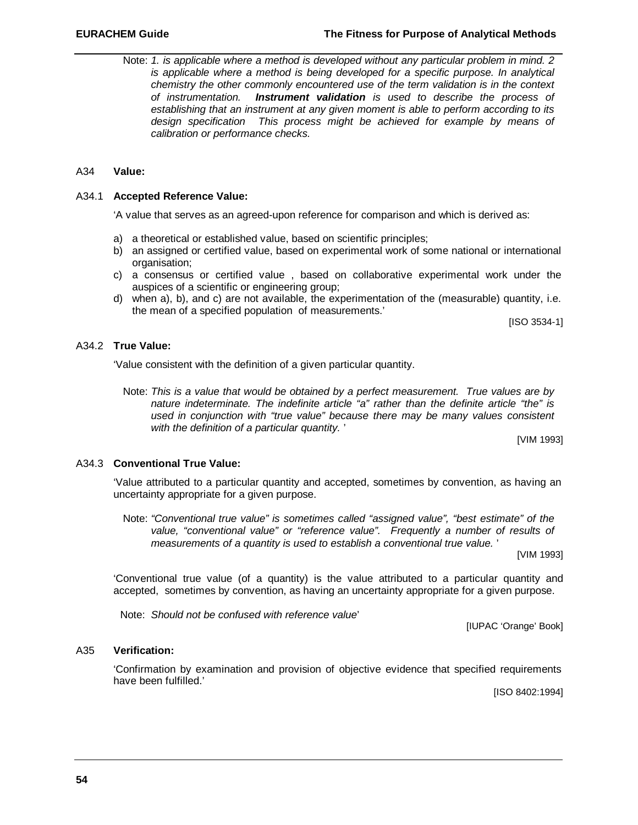Note: *1. is applicable where a method is developed without any particular problem in mind. 2 is applicable where a method is being developed for a specific purpose. In analytical chemistry the other commonly encountered use of the term validation is in the context of instrumentation. Instrument validation is used to describe the process of establishing that an instrument at any given moment is able to perform according to its design specification This process might be achieved for example by means of calibration or performance checks.*

## A34 **Value:**

#### A34.1 **Accepted Reference Value:**

'A value that serves as an agreed-upon reference for comparison and which is derived as:

- a) a theoretical or established value, based on scientific principles;
- b) an assigned or certified value, based on experimental work of some national or international organisation;
- c) a consensus or certified value , based on collaborative experimental work under the auspices of a scientific or engineering group;
- d) when a), b), and c) are not available, the experimentation of the (measurable) quantity, i.e. the mean of a specified population of measurements.'

[ISO 3534-1]

# A34.2 **True Value:**

'Value consistent with the definition of a given particular quantity.

Note: *This is a value that would be obtained by a perfect measurement. True values are by nature indeterminate. The indefinite article "a" rather than the definite article "the" is used in conjunction with "true value" because there may be many values consistent with the definition of a particular quantity.* '

[VIM 1993]

## A34.3 **Conventional True Value:**

'Value attributed to a particular quantity and accepted, sometimes by convention, as having an uncertainty appropriate for a given purpose.

Note: *"Conventional true value" is sometimes called "assigned value", "best estimate" of the value, "conventional value" or "reference value". Frequently a number of results of measurements of a quantity is used to establish a conventional true value.* '

[VIM 1993]

'Conventional true value (of a quantity) is the value attributed to a particular quantity and accepted, sometimes by convention, as having an uncertainty appropriate for a given purpose.

Note: *Should not be confused with reference value*'

[IUPAC 'Orange' Book]

# A35 **Verification:**

'Confirmation by examination and provision of objective evidence that specified requirements have been fulfilled.'

[ISO 8402:1994]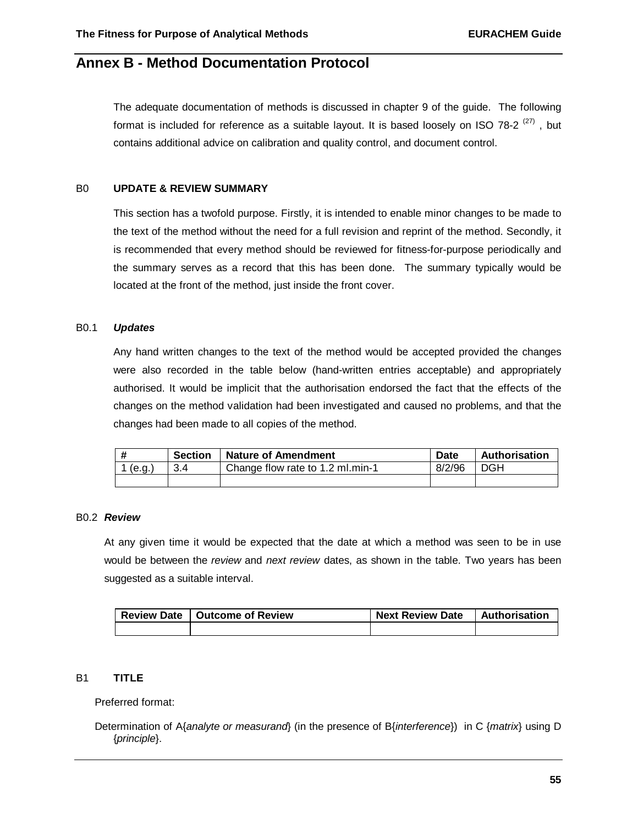# **Annex B - Method Documentation Protocol**

The adequate documentation of methods is discussed in chapter 9 of the guide. The following format is included for reference as a suitable layout. It is based loosely on ISO 78-2  $(27)$ , but contains additional advice on calibration and quality control, and document control.

#### B0 **UPDATE & REVIEW SUMMARY**

This section has a twofold purpose. Firstly, it is intended to enable minor changes to be made to the text of the method without the need for a full revision and reprint of the method. Secondly, it is recommended that every method should be reviewed for fitness-for-purpose periodically and the summary serves as a record that this has been done. The summary typically would be located at the front of the method, just inside the front cover.

#### B0.1 *Updates*

Any hand written changes to the text of the method would be accepted provided the changes were also recorded in the table below (hand-written entries acceptable) and appropriately authorised. It would be implicit that the authorisation endorsed the fact that the effects of the changes on the method validation had been investigated and caused no problems, and that the changes had been made to all copies of the method.

|         | <b>Section</b> | <b>Nature of Amendment</b>       | Date   | Authorisation |
|---------|----------------|----------------------------------|--------|---------------|
| 1 (e.g. |                | Change flow rate to 1.2 ml.min-1 | 8/2/96 | DGH           |
|         |                |                                  |        |               |

#### B0.2 *Review*

At any given time it would be expected that the date at which a method was seen to be in use would be between the *review* and *next review* dates, as shown in the table. Two years has been suggested as a suitable interval.

| Review Date   Outcome of Review |  | <b>Next Review Date</b> | <b>Authorisation</b> |
|---------------------------------|--|-------------------------|----------------------|
|                                 |  |                         |                      |

# B1 **TITLE**

Preferred format:

Determination of A{*analyte or measurand*} (in the presence of B{*interference*}) in C {*matrix*} using D {*principle*}.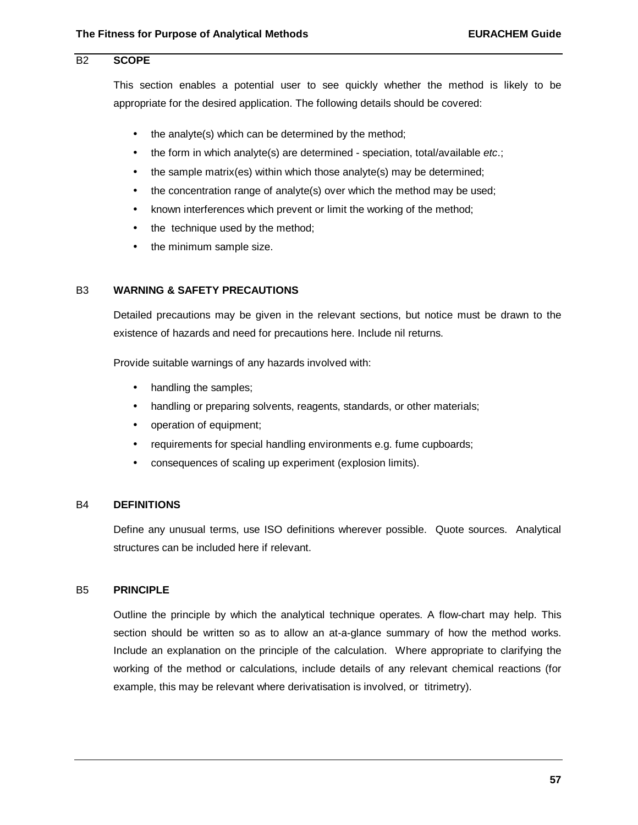# B2 **SCOPE**

This section enables a potential user to see quickly whether the method is likely to be appropriate for the desired application. The following details should be covered:

- the analyte(s) which can be determined by the method;
- the form in which analyte(s) are determined speciation, total/available *etc*.;
- the sample matrix(es) within which those analyte(s) may be determined;
- the concentration range of analyte(s) over which the method may be used;
- known interferences which prevent or limit the working of the method;
- the technique used by the method;
- the minimum sample size.

#### B3 **WARNING & SAFETY PRECAUTIONS**

Detailed precautions may be given in the relevant sections, but notice must be drawn to the existence of hazards and need for precautions here. Include nil returns.

Provide suitable warnings of any hazards involved with:

- handling the samples;
- handling or preparing solvents, reagents, standards, or other materials;
- operation of equipment;
- requirements for special handling environments e.g. fume cupboards;
- consequences of scaling up experiment (explosion limits).

#### B4 **DEFINITIONS**

Define any unusual terms, use ISO definitions wherever possible. Quote sources. Analytical structures can be included here if relevant.

### B5 **PRINCIPLE**

Outline the principle by which the analytical technique operates. A flow-chart may help. This section should be written so as to allow an at-a-glance summary of how the method works. Include an explanation on the principle of the calculation. Where appropriate to clarifying the working of the method or calculations, include details of any relevant chemical reactions (for example, this may be relevant where derivatisation is involved, or titrimetry).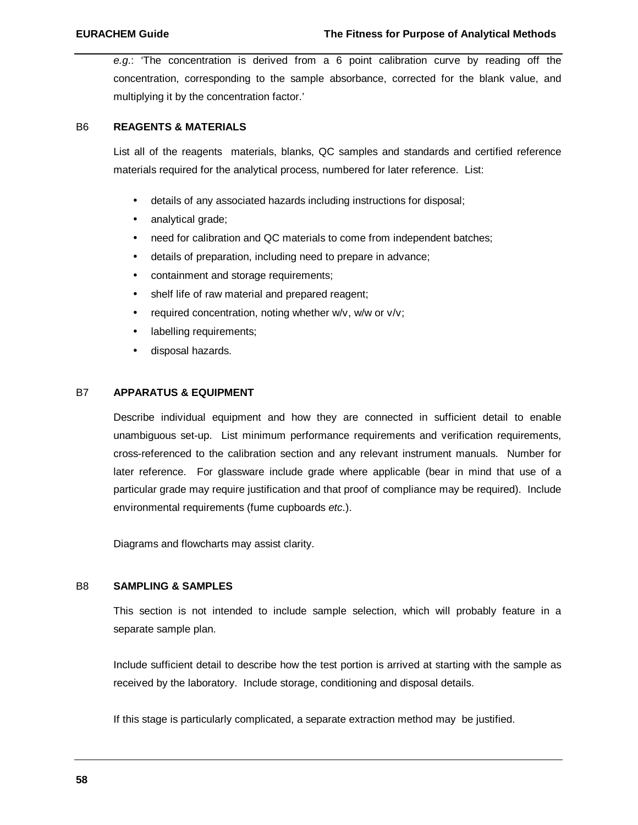*e.g*.: 'The concentration is derived from a 6 point calibration curve by reading off the concentration, corresponding to the sample absorbance, corrected for the blank value, and multiplying it by the concentration factor.'

# B6 **REAGENTS & MATERIALS**

List all of the reagents materials, blanks, QC samples and standards and certified reference materials required for the analytical process, numbered for later reference. List:

- details of any associated hazards including instructions for disposal;
- analytical grade;
- need for calibration and QC materials to come from independent batches;
- details of preparation, including need to prepare in advance;
- containment and storage requirements;
- shelf life of raw material and prepared reagent;
- required concentration, noting whether w/v, w/w or v/v;
- labelling requirements;
- disposal hazards.

# B7 **APPARATUS & EQUIPMENT**

Describe individual equipment and how they are connected in sufficient detail to enable unambiguous set-up. List minimum performance requirements and verification requirements, cross-referenced to the calibration section and any relevant instrument manuals. Number for later reference. For glassware include grade where applicable (bear in mind that use of a particular grade may require justification and that proof of compliance may be required). Include environmental requirements (fume cupboards *etc*.).

Diagrams and flowcharts may assist clarity.

#### B8 **SAMPLING & SAMPLES**

This section is not intended to include sample selection, which will probably feature in a separate sample plan.

Include sufficient detail to describe how the test portion is arrived at starting with the sample as received by the laboratory. Include storage, conditioning and disposal details.

If this stage is particularly complicated, a separate extraction method may be justified.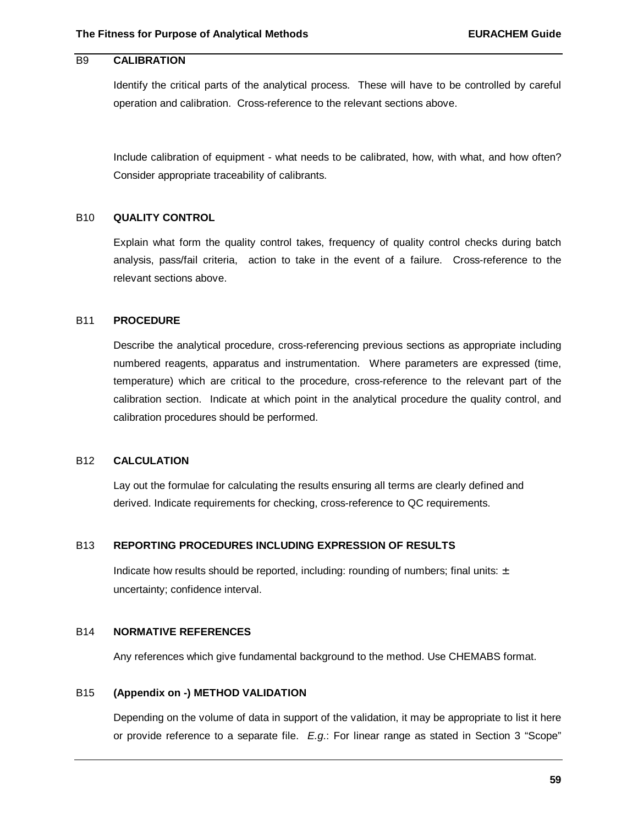# B9 **CALIBRATION**

Identify the critical parts of the analytical process. These will have to be controlled by careful operation and calibration. Cross-reference to the relevant sections above.

Include calibration of equipment - what needs to be calibrated, how, with what, and how often? Consider appropriate traceability of calibrants.

# B10 **QUALITY CONTROL**

Explain what form the quality control takes, frequency of quality control checks during batch analysis, pass/fail criteria, action to take in the event of a failure. Cross-reference to the relevant sections above.

## B11 **PROCEDURE**

Describe the analytical procedure, cross-referencing previous sections as appropriate including numbered reagents, apparatus and instrumentation. Where parameters are expressed (time, temperature) which are critical to the procedure, cross-reference to the relevant part of the calibration section. Indicate at which point in the analytical procedure the quality control, and calibration procedures should be performed.

## B12 **CALCULATION**

Lay out the formulae for calculating the results ensuring all terms are clearly defined and derived. Indicate requirements for checking, cross-reference to QC requirements.

#### B13 **REPORTING PROCEDURES INCLUDING EXPRESSION OF RESULTS**

Indicate how results should be reported, including: rounding of numbers; final units:  $\pm$ uncertainty; confidence interval.

## B14 **NORMATIVE REFERENCES**

Any references which give fundamental background to the method. Use CHEMABS format.

#### B15 **(Appendix on -) METHOD VALIDATION**

Depending on the volume of data in support of the validation, it may be appropriate to list it here or provide reference to a separate file. *E.g*.: For linear range as stated in Section 3 "Scope"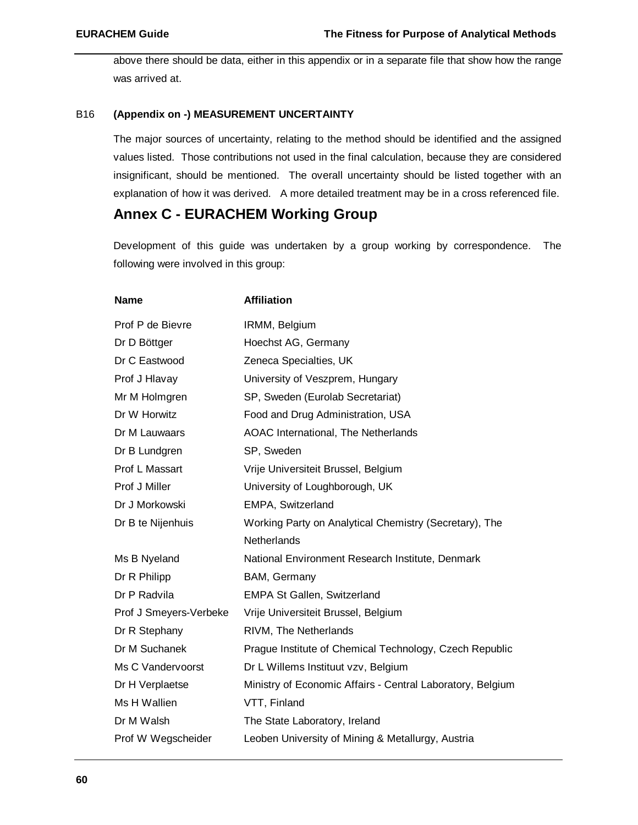above there should be data, either in this appendix or in a separate file that show how the range was arrived at.

# B16 **(Appendix on -) MEASUREMENT UNCERTAINTY**

The major sources of uncertainty, relating to the method should be identified and the assigned values listed. Those contributions not used in the final calculation, because they are considered insignificant, should be mentioned. The overall uncertainty should be listed together with an explanation of how it was derived. A more detailed treatment may be in a cross referenced file.

# **Annex C - EURACHEM Working Group**

Development of this guide was undertaken by a group working by correspondence. The following were involved in this group:

| <b>Name</b>            | <b>Affiliation</b>                                         |
|------------------------|------------------------------------------------------------|
| Prof P de Bievre       | IRMM, Belgium                                              |
| Dr D Böttger           | Hoechst AG, Germany                                        |
| Dr C Eastwood          | Zeneca Specialties, UK                                     |
| Prof J Hlavay          | University of Veszprem, Hungary                            |
| Mr M Holmgren          | SP, Sweden (Eurolab Secretariat)                           |
| Dr W Horwitz           | Food and Drug Administration, USA                          |
| Dr M Lauwaars          | AOAC International, The Netherlands                        |
| Dr B Lundgren          | SP, Sweden                                                 |
| Prof L Massart         | Vrije Universiteit Brussel, Belgium                        |
| Prof J Miller          | University of Loughborough, UK                             |
| Dr J Morkowski         | EMPA, Switzerland                                          |
| Dr B te Nijenhuis      | Working Party on Analytical Chemistry (Secretary), The     |
|                        | <b>Netherlands</b>                                         |
| Ms B Nyeland           | National Environment Research Institute, Denmark           |
| Dr R Philipp           | BAM, Germany                                               |
| Dr P Radvila           | <b>EMPA St Gallen, Switzerland</b>                         |
| Prof J Smeyers-Verbeke | Vrije Universiteit Brussel, Belgium                        |
| Dr R Stephany          | RIVM, The Netherlands                                      |
| Dr M Suchanek          | Prague Institute of Chemical Technology, Czech Republic    |
| Ms C Vandervoorst      | Dr L Willems Instituut vzv, Belgium                        |
| Dr H Verplaetse        | Ministry of Economic Affairs - Central Laboratory, Belgium |
| Ms H Wallien           | VTT, Finland                                               |
| Dr M Walsh             | The State Laboratory, Ireland                              |
| Prof W Wegscheider     | Leoben University of Mining & Metallurgy, Austria          |